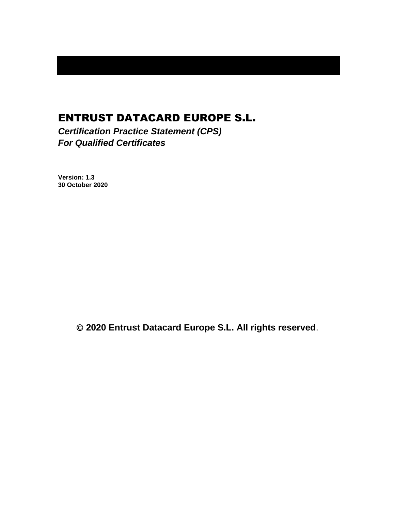# ENTRUST DATACARD EUROPE S.L.

*Certification Practice Statement (CPS) For Qualified Certificates*

**Version: 1.3 30 October 2020**

© **2020 Entrust Datacard Europe S.L. All rights reserved**.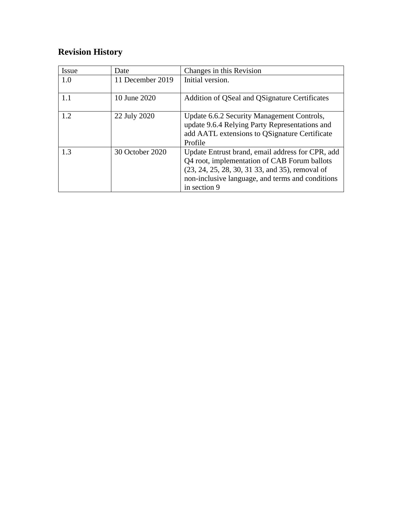# **Revision History**

| Issue | Date             | Changes in this Revision                                                                                                                                                                                                |
|-------|------------------|-------------------------------------------------------------------------------------------------------------------------------------------------------------------------------------------------------------------------|
| 1.0   | 11 December 2019 | Initial version.                                                                                                                                                                                                        |
| 1.1   | 10 June 2020     | Addition of QSeal and QSignature Certificates                                                                                                                                                                           |
| 1.2   | 22 July 2020     | Update 6.6.2 Security Management Controls,<br>update 9.6.4 Relying Party Representations and<br>add AATL extensions to QSignature Certificate<br>Profile                                                                |
| 1.3   | 30 October 2020  | Update Entrust brand, email address for CPR, add<br>Q4 root, implementation of CAB Forum ballots<br>(23, 24, 25, 28, 30, 31 33, and 35), removal of<br>non-inclusive language, and terms and conditions<br>in section 9 |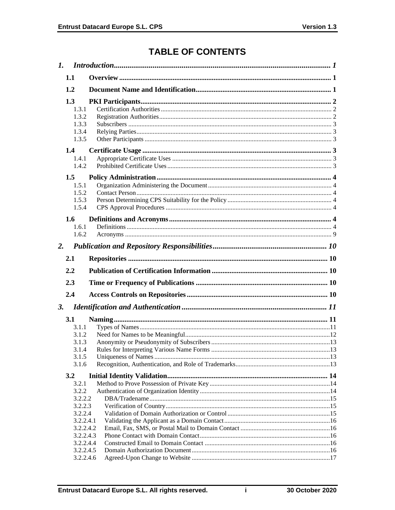# **TABLE OF CONTENTS**

|    | 1.1                                                                                                              |  |
|----|------------------------------------------------------------------------------------------------------------------|--|
|    | 1.2                                                                                                              |  |
|    | 1.3<br>1.3.1<br>1.3.2<br>1.3.3<br>1.3.4<br>1.3.5                                                                 |  |
|    | 1.4<br>1.4.1<br>1.4.2                                                                                            |  |
|    | 1.5<br>1.5.1<br>1.5.2<br>1.5.3<br>1.5.4                                                                          |  |
|    | 1.6<br>1.6.1<br>1.6.2                                                                                            |  |
| 2. |                                                                                                                  |  |
|    | 2.1                                                                                                              |  |
|    |                                                                                                                  |  |
|    | 2.2                                                                                                              |  |
|    |                                                                                                                  |  |
|    | 2.3                                                                                                              |  |
|    | 2.4                                                                                                              |  |
| 3. | 3.1<br>3.1.1<br>3.1.2<br>3.1.3<br>3.1.4<br>3.1.5<br>3.1.6                                                        |  |
|    | 3.2                                                                                                              |  |
|    | 3.2.1<br>3.2.2<br>3.2.2.2<br>3.2.2.3<br>3.2.2.4<br>3.2.2.4.1<br>3.2.2.4.2<br>3.2.2.4.3<br>3.2.2.4.4<br>3.2.2.4.5 |  |

 $\mathbf{i}$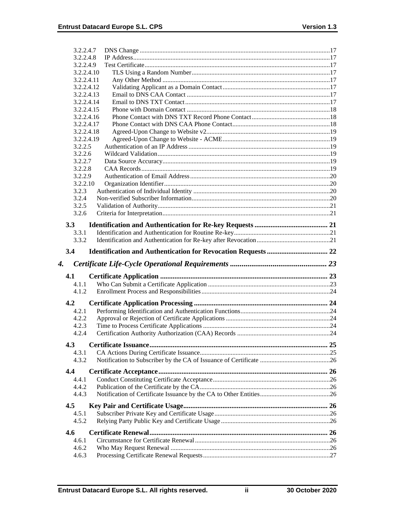| 3.2.2.4.7           |  |
|---------------------|--|
| 3.2.2.4.8           |  |
| 3.2.2.4.9           |  |
| 3.2.2.4.10          |  |
| 3.2.2.4.11          |  |
| 3.2.2.4.12          |  |
| 3.2.2.4.13          |  |
| 3.2.2.4.14          |  |
| 3.2.2.4.15          |  |
| 3.2.2.4.16          |  |
| 3.2.2.4.17          |  |
| 3.2.2.4.18          |  |
| 3.2.2.4.19          |  |
| 3.2.2.5             |  |
| 3.2.2.6             |  |
| 3.2.2.7             |  |
| 3.2.2.8             |  |
| 3.2.2.9<br>3.2.2.10 |  |
| 3.2.3               |  |
| 3.2.4               |  |
| 3.2.5               |  |
| 3.2.6               |  |
|                     |  |
| 3.3                 |  |
| 3.3.1               |  |
| 3.3.2               |  |
| 3.4                 |  |
|                     |  |
| 4.                  |  |
|                     |  |
| 4.1<br>4.1.1        |  |
| 4.1.2               |  |
|                     |  |
| 4.2                 |  |
| 4.2.1               |  |
| 4.2.2               |  |
| 4.2.3               |  |
| 4.2.4               |  |
| 4.3                 |  |
| 4.3.1               |  |
| 4.3.2               |  |
| 4.4                 |  |
| 4.4.1               |  |
| 4.4.2               |  |
| 4.4.3               |  |
|                     |  |
| 4.5                 |  |
| 4.5.1               |  |
| 4.5.2               |  |
| 4.6                 |  |
| 4.6.1               |  |
| 4.6.2<br>4.6.3      |  |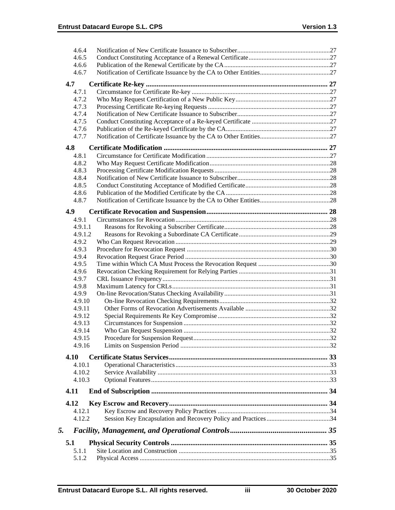|    | 4.6.4            |  |
|----|------------------|--|
|    | 4.6.5            |  |
|    | 4.6.6            |  |
|    | 4.6.7            |  |
|    | 4.7              |  |
|    | 4.7.1            |  |
|    | 4.7.2            |  |
|    | 4.7.3            |  |
|    | 4.7.4            |  |
|    | 4.7.5            |  |
|    | 4.7.6            |  |
|    | 4.7.7            |  |
|    | 4.8              |  |
|    | 4.8.1            |  |
|    | 4.8.2            |  |
|    | 4.8.3            |  |
|    | 4.8.4            |  |
|    | 4.8.5            |  |
|    | 4.8.6            |  |
|    | 4.8.7            |  |
|    |                  |  |
|    | 4.9<br>4.9.1     |  |
|    | 4.9.1.1          |  |
|    | 4.9.1.2          |  |
|    | 4.9.2            |  |
|    | 4.9.3            |  |
|    | 4.9.4            |  |
|    | 4.9.5            |  |
|    | 4.9.6            |  |
|    | 4.9.7            |  |
|    | 4.9.8            |  |
|    | 4.9.9            |  |
|    | 4.9.10           |  |
|    | 4.9.11           |  |
|    | 4.9.12           |  |
|    | 4.9.13           |  |
|    | 4.9.14<br>4.9.15 |  |
|    | 4.9.16           |  |
|    |                  |  |
|    | 4.10             |  |
|    | 4.10.1           |  |
|    | 4.10.2           |  |
|    | 4.10.3           |  |
|    | 4.11             |  |
|    | 4.12             |  |
|    | 4.12.1           |  |
|    | 4.12.2           |  |
|    |                  |  |
| 5. |                  |  |
|    | 5.1              |  |
|    | 5.1.1            |  |
|    | 5.1.2            |  |
|    |                  |  |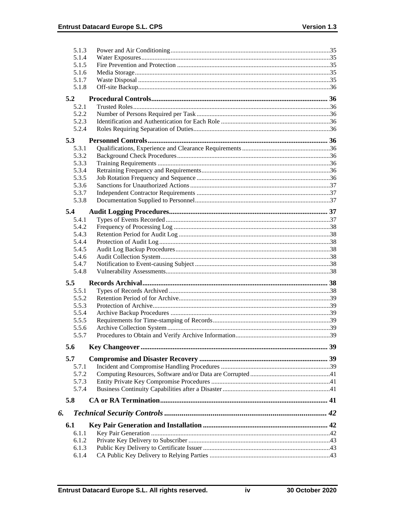|    | 5.1.3 |  |
|----|-------|--|
|    | 5.1.4 |  |
|    | 5.1.5 |  |
|    | 5.1.6 |  |
|    | 5.1.7 |  |
|    | 5.1.8 |  |
|    | 5.2   |  |
|    | 5.2.1 |  |
|    | 5.2.2 |  |
|    | 5.2.3 |  |
|    | 5.2.4 |  |
|    | 5.3   |  |
|    | 5.3.1 |  |
|    | 5.3.2 |  |
|    | 5.3.3 |  |
|    | 5.3.4 |  |
|    | 5.3.5 |  |
|    | 5.3.6 |  |
|    | 5.3.7 |  |
|    | 5.3.8 |  |
|    | 5.4   |  |
|    | 5.4.1 |  |
|    | 5.4.2 |  |
|    | 5.4.3 |  |
|    | 5.4.4 |  |
|    | 5.4.5 |  |
|    | 5.4.6 |  |
|    | 5.4.7 |  |
|    | 5.4.8 |  |
|    | 5.5   |  |
|    | 5.5.1 |  |
|    | 5.5.2 |  |
|    | 5.5.3 |  |
|    | 5.5.4 |  |
|    | 5.5.5 |  |
|    | 5.5.6 |  |
|    | 5.5.7 |  |
|    | 5.6   |  |
|    |       |  |
|    | 5.7   |  |
|    | 5.7.1 |  |
|    | 5.7.2 |  |
|    | 5.7.3 |  |
|    | 5.7.4 |  |
|    | 5.8   |  |
| 6. |       |  |
|    | 6.1   |  |
|    | 6.1.1 |  |
|    | 6.1.2 |  |
|    | 6.1.3 |  |
|    | 6.1.4 |  |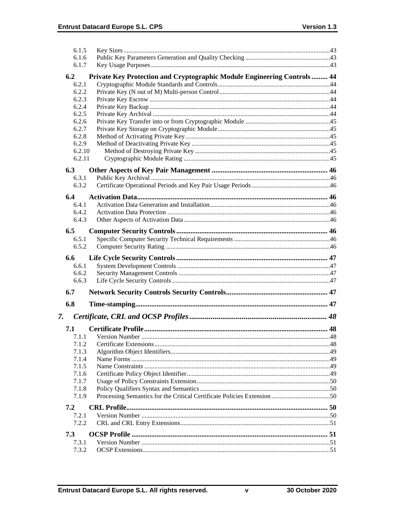|     | 6.1.5                                                                    |  |
|-----|--------------------------------------------------------------------------|--|
|     | 6.1.6                                                                    |  |
|     | 6.1.7                                                                    |  |
| 6.2 | Private Key Protection and Cryptographic Module Engineering Controls  44 |  |
|     | 6.2.1                                                                    |  |
|     | 6.2.2                                                                    |  |
|     | 6.2.3                                                                    |  |
|     | 6.2.4                                                                    |  |
|     | 6.2.5                                                                    |  |
|     | 6.2.6<br>6.2.7                                                           |  |
|     | 6.2.8                                                                    |  |
|     | 6.2.9                                                                    |  |
|     | 6.2.10                                                                   |  |
|     | 6.2.11                                                                   |  |
|     |                                                                          |  |
| 6.3 |                                                                          |  |
|     | 6.3.1<br>6.3.2                                                           |  |
|     |                                                                          |  |
| 6.4 |                                                                          |  |
|     | 6.4.1                                                                    |  |
|     | 6.4.2                                                                    |  |
|     | 6.4.3                                                                    |  |
| 6.5 |                                                                          |  |
|     | 6.5.1                                                                    |  |
|     | 6.5.2                                                                    |  |
| 6.6 |                                                                          |  |
|     | 6.6.1                                                                    |  |
|     | 6.6.2                                                                    |  |
|     | 6.6.3                                                                    |  |
| 6.7 |                                                                          |  |
|     |                                                                          |  |
| 6.8 |                                                                          |  |
| 7.  |                                                                          |  |
| 7.1 |                                                                          |  |
|     | 7.1.1                                                                    |  |
|     | 7.1.2                                                                    |  |
|     | 7.1.3                                                                    |  |
|     | 7.1.4                                                                    |  |
|     | 7.1.5                                                                    |  |
|     | 7.1.6                                                                    |  |
|     | 7.1.7                                                                    |  |
|     | 7.1.8                                                                    |  |
|     | 7.1.9                                                                    |  |
| 7.2 |                                                                          |  |
|     | 7.2.1                                                                    |  |
|     | 7.2.2                                                                    |  |
| 7.3 |                                                                          |  |
|     |                                                                          |  |
|     |                                                                          |  |
|     | 7.3.1<br>7.3.2                                                           |  |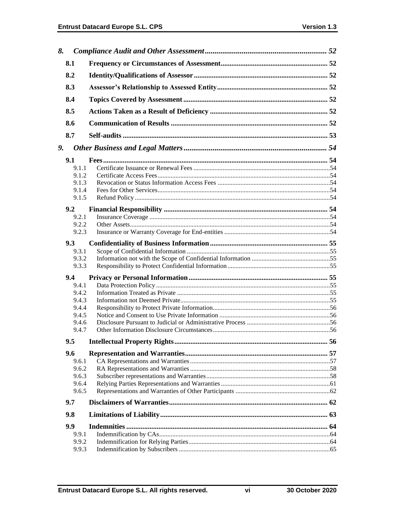| 8. |               |  |
|----|---------------|--|
|    | 8.1           |  |
|    | 8.2           |  |
|    | 8.3           |  |
|    | 8.4           |  |
|    | 8.5           |  |
|    | 8.6           |  |
|    | 8.7           |  |
| 9. |               |  |
|    |               |  |
|    | 9.1           |  |
|    | 9.1.1         |  |
|    | 9.1.2         |  |
|    | 9.1.3         |  |
|    | 9.1.4         |  |
|    | 9.1.5         |  |
|    |               |  |
|    | 9.2           |  |
|    | 9.2.1         |  |
|    | 9.2.2         |  |
|    | 9.2.3         |  |
|    | 9.3           |  |
|    | 9.3.1         |  |
|    |               |  |
|    | 9.3.2         |  |
|    | 9.3.3         |  |
|    | $9.4^{\circ}$ |  |
|    | 9.4.1         |  |
|    | 9.4.2         |  |
|    | 9.4.3         |  |
|    | 9.4.4         |  |
|    |               |  |
|    | 9.4.5         |  |
|    | 9.4.6         |  |
|    | 9.4.7         |  |
|    | 9.5           |  |
|    | 9.6           |  |
|    | 9.6.1         |  |
|    | 9.6.2         |  |
|    | 9.6.3         |  |
|    |               |  |
|    | 9.6.4         |  |
|    | 9.6.5         |  |
|    | 9.7           |  |
|    | 9.8           |  |
|    | 9.9           |  |
|    | 9.9.1         |  |
|    | 9.9.2         |  |
|    | 9.9.3         |  |
|    |               |  |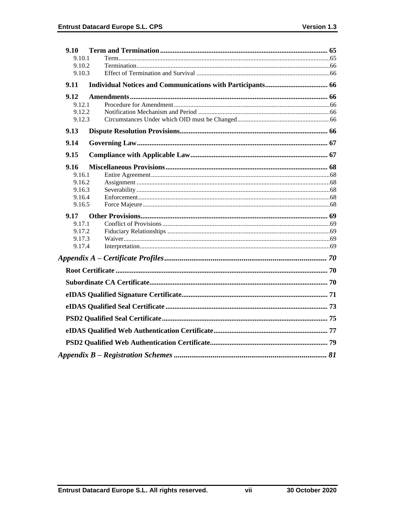| 9.10             |  |
|------------------|--|
| 9.10.1           |  |
| 9.10.2           |  |
| 9.10.3           |  |
| 9.11             |  |
| 9.12             |  |
| 9.12.1           |  |
| 9.12.2           |  |
| 9.12.3           |  |
| 9.13             |  |
| 9.14             |  |
| 9.15             |  |
| 9.16             |  |
| 9.16.1           |  |
| 9.16.2           |  |
| 9.16.3           |  |
| 9.16.4<br>9.16.5 |  |
|                  |  |
| 9.17<br>9.17.1   |  |
| 9.17.2           |  |
| 9.17.3           |  |
| 9.17.4           |  |
|                  |  |
|                  |  |
|                  |  |
|                  |  |
|                  |  |
|                  |  |
|                  |  |
|                  |  |
|                  |  |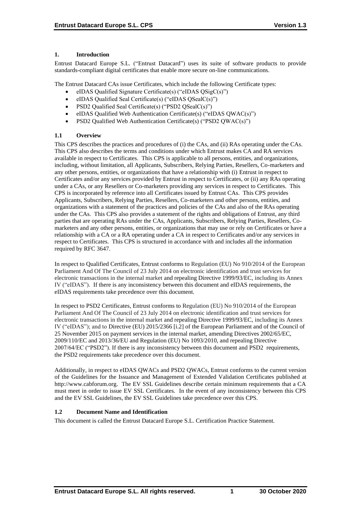# **1. Introduction**

Entrust Datacard Europe S.L. ("Entrust Datacard") uses its suite of software products to provide standards-compliant digital certificates that enable more secure on-line communications.

The Entrust Datacard CAs issue Certificates, which include the following Certificate types:

- eIDAS Qualified Signature Certificate(s) ("eIDAS QSigC(s)")
- eIDAS Qualified Seal Certificate(s) ("eIDAS QSealC(s)")
- PSD2 Qualified Seal Certificate(s) ("PSD2 QSealC(s)")
- eIDAS Qualified Web Authentication Certificate(s) ("eIDAS QWAC(s)")
- PSD2 Qualified Web Authentication Certificate(s) ("PSD2 QWAC(s)")

# **1.1 Overview**

This CPS describes the practices and procedures of (i) the CAs, and (ii) RAs operating under the CAs. This CPS also describes the terms and conditions under which Entrust makes CA and RA services available in respect to Certificates. This CPS is applicable to all persons, entities, and organizations, including, without limitation, all Applicants, Subscribers, Relying Parties, Resellers, Co-marketers and any other persons, entities, or organizations that have a relationship with (i) Entrust in respect to Certificates and/or any services provided by Entrust in respect to Certificates, or (ii) any RAs operating under a CAs, or any Resellers or Co-marketers providing any services in respect to Certificates. This CPS is incorporated by reference into all Certificates issued by Entrust CAs. This CPS provides Applicants, Subscribers, Relying Parties, Resellers, Co-marketers and other persons, entities, and organizations with a statement of the practices and policies of the CAs and also of the RAs operating under the CAs. This CPS also provides a statement of the rights and obligations of Entrust, any third parties that are operating RAs under the CAs, Applicants, Subscribers, Relying Parties, Resellers, Comarketers and any other persons, entities, or organizations that may use or rely on Certificates or have a relationship with a CA or a RA operating under a CA in respect to Certificates and/or any services in respect to Certificates. This CPS is structured in accordance with and includes all the information required by RFC 3647.

In respect to Qualified Certificates, Entrust conforms to Regulation (EU) No 910/2014 of the European Parliament And Of The Council of 23 July 2014 on electronic identification and trust services for electronic transactions in the internal market and repealing Directive 1999/93/EC, including its Annex IV ("eIDAS"). If there is any inconsistency between this document and eIDAS requirements, the eIDAS requirements take precedence over this document.

In respect to PSD2 Certificates, Entrust conforms to Regulation (EU) No 910/2014 of the European Parliament And Of The Council of 23 July 2014 on electronic identification and trust services for electronic transactions in the internal market and repealing Directive 1999/93/EC, including its Annex IV ("eIDAS"); and to Directive (EU) 2015/2366 [i.2] of the European Parliament and of the Council of 25 November 2015 on payment services in the internal market, amending Directives 2002/65/EC, 2009/110/EC and 2013/36/EU and Regulation (EU) No 1093/2010, and repealing Directive 2007/64/EC ("PSD2"). If there is any inconsistency between this document and PSD2 requirements, the PSD2 requirements take precedence over this document.

Additionally, in respect to eIDAS QWACs and PSD2 QWACs, Entrust conforms to the current version of the Guidelines for the Issuance and Management of Extended Validation Certificates published at http://www.cabforum.org. The EV SSL Guidelines describe certain minimum requirements that a CA must meet in order to issue EV SSL Certificates. In the event of any inconsistency between this CPS and the EV SSL Guidelines, the EV SSL Guidelines take precedence over this CPS.

# **1.2 Document Name and Identification**

This document is called the Entrust Datacard Europe S.L. Certification Practice Statement.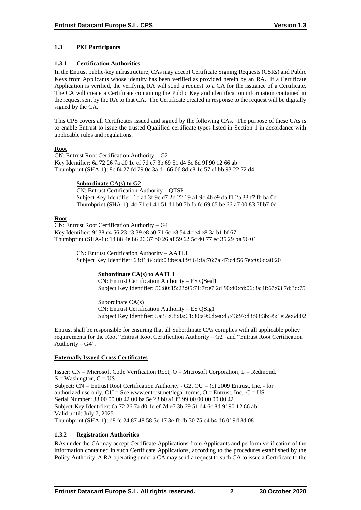# **1.3 PKI Participants**

#### **1.3.1 Certification Authorities**

In the Entrust public-key infrastructure, CAs may accept Certificate Signing Requests (CSRs) and Public Keys from Applicants whose identity has been verified as provided herein by an RA. If a Certificate Application is verified, the verifying RA will send a request to a CA for the issuance of a Certificate. The CA will create a Certificate containing the Public Key and identification information contained in the request sent by the RA to that CA. The Certificate created in response to the request will be digitally signed by the CA.

This CPS covers all Certificates issued and signed by the following CAs. The purpose of these CAs is to enable Entrust to issue the trusted Qualified certificate types listed in Section 1 in accordance with applicable rules and regulations.

# **Root**

CN: Entrust Root Certification Authority – G2 Key Identifier: 6a 72 26 7a d0 1e ef 7d e7 3b 69 51 d4 6c 8d 9f 90 12 66 ab Thumbprint (SHA-1): 8c f4 27 fd 79 0c 3a d1 66 06 8d e8 1e 57 ef bb 93 22 72 d4

#### **Subordinate CA(s) to G2**

CN: Entrust Certification Authority – QTSP1 Subject Key Identifier: 1c ad 3f 9c d7 2d 22 19 a1 9c 4b e9 da f1 2a 33 f7 fb ba 0d Thumbprint (SHA-1): 4c 71 c1 41 51 d1 b0 7b fb fe 69 65 be 66 a7 00 83 7f b7 0d

#### **Root**

CN: Entrust Root Certification Authority – G4 Key Identifier: 9f 38 c4 56 23 c3 39 e8 a0 71 6c e8 54 4c e4 e8 3a b1 bf 67 Thumbprint (SHA-1): 14 88 4e 86 26 37 b0 26 af 59 62 5c 40 77 ec 35 29 ba 96 01

> CN: Entrust Certification Authority – AATL1 Subject Key Identifier: 63:f1:84:dd:03:be:a3:9f:64:fa:76:7a:47:c4:56:7e:c0:6d:a0:20

# **Subordinate CA(s) to AATL1**

CN: Entrust Certification Authority – ES QSeal1 Subject Key Identifier: 56:80:15:23:95:71:7f:e7:2d:90:d0:cd:06:3a:4f:67:63:7d:3d:75

Subordinate CA(s) CN: Entrust Certification Authority – ES QSig1 Subject Key Identifier: 5a:53:08:8a:61:30:a9:0d:ea:d5:43:97:d3:98:3b:95:1e:2e:6d:02

Entrust shall be responsible for ensuring that all Subordinate CAs complies with all applicable policy requirements for the Root "Entrust Root Certification Authority – G2" and "Entrust Root Certification Authority –  $G4$ ".

# **Externally Issued Cross Certificates**

Issuer:  $CN = Microsoft Code Verification Root, O = Microsoft Corporation, L = Redmond,$  $S =$  Washington,  $C = US$ Subject:  $CN =$  Entrust Root Certification Authority - G2,  $OU = (c)$  2009 Entrust, Inc. - for authorized use only,  $OU = See$  www.entrust.net/legal-terms,  $O =$  Entrust, Inc.,  $C = US$ Serial Number: 33 00 00 00 42 00 ba 5e 23 b0 a1 f3 99 00 00 00 00 00 42 Subject Key Identifier: 6a 72 26 7a d0 1e ef 7d e7 3b 69 51 d4 6c 8d 9f 90 12 66 ab Valid until: July 7, 2025 Thumbprint (SHA-1): d8 fc 24 87 48 58 5e 17 3e fb fb 30 75 c4 b4 d6 0f 9d 8d 08

# **1.3.2 Registration Authorities**

RAs under the CA may accept Certificate Applications from Applicants and perform verification of the information contained in such Certificate Applications, according to the procedures established by the Policy Authority. A RA operating under a CA may send a request to such CA to issue a Certificate to the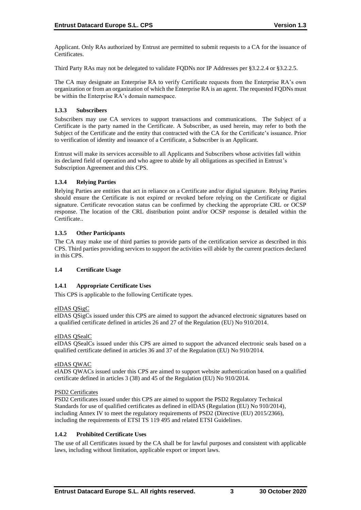Applicant. Only RAs authorized by Entrust are permitted to submit requests to a CA for the issuance of Certificates.

Third Party RAs may not be delegated to validate FQDNs nor IP Addresses per §3.2.2.4 or §3.2.2.5.

The CA may designate an Enterprise RA to verify Certificate requests from the Enterprise RA's own organization or from an organization of which the Enterprise RA is an agent. The requested FQDNs must be within the Enterprise RA's domain namespace.

# **1.3.3 Subscribers**

Subscribers may use CA services to support transactions and communications. The Subject of a Certificate is the party named in the Certificate. A Subscriber, as used herein, may refer to both the Subject of the Certificate and the entity that contracted with the CA for the Certificate's issuance. Prior to verification of identity and issuance of a Certificate, a Subscriber is an Applicant.

Entrust will make its services accessible to all Applicants and Subscribers whose activities fall within its declared field of operation and who agree to abide by all obligations as specified in Entrust's Subscription Agreement and this CPS.

# **1.3.4 Relying Parties**

Relying Parties are entities that act in reliance on a Certificate and/or digital signature. Relying Parties should ensure the Certificate is not expired or revoked before relying on the Certificate or digital signature. Certificate revocation status can be confirmed by checking the appropriate CRL or OCSP response. The location of the CRL distribution point and/or OCSP response is detailed within the Certificate..

# **1.3.5 Other Participants**

The CA may make use of third parties to provide parts of the certification service as described in this CPS. Third parties providing services to support the activities will abide by the current practices declared in this CPS.

# **1.4 Certificate Usage**

# **1.4.1 Appropriate Certificate Uses**

This CPS is applicable to the following Certificate types.

# eIDAS QSigC

eIDAS QSigCs issued under this CPS are aimed to support the advanced electronic signatures based on a qualified certificate defined in articles 26 and 27 of the Regulation (EU) No 910/2014.

# eIDAS QSealC

eIDAS QSealCs issued under this CPS are aimed to support the advanced electronic seals based on a qualified certificate defined in articles 36 and 37 of the Regulation (EU) No 910/2014.

# eIDAS QWAC

eIADS QWACs issued under this CPS are aimed to support website authentication based on a qualified certificate defined in articles 3 (38) and 45 of the Regulation (EU) No 910/2014.

# PSD2 Certificates

PSD2 Certificates issued under this CPS are aimed to support the PSD2 Regulatory Technical Standards for use of qualified certificates as defined in eIDAS (Regulation (EU) No 910/2014), including Annex IV to meet the regulatory requirements of PSD2 (Directive (EU) 2015/2366), including the requirements of ETSI TS 119 495 and related ETSI Guidelines.

# **1.4.2 Prohibited Certificate Uses**

The use of all Certificates issued by the CA shall be for lawful purposes and consistent with applicable laws, including without limitation, applicable export or import laws.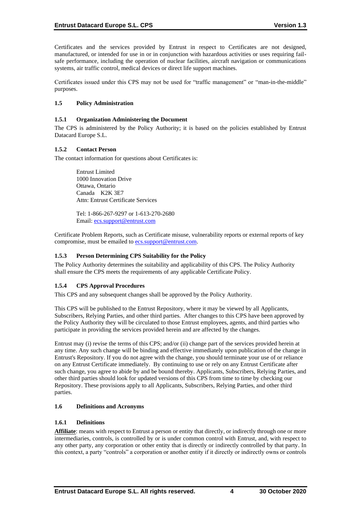Certificates and the services provided by Entrust in respect to Certificates are not designed, manufactured, or intended for use in or in conjunction with hazardous activities or uses requiring failsafe performance, including the operation of nuclear facilities, aircraft navigation or communications systems, air traffic control, medical devices or direct life support machines.

Certificates issued under this CPS may not be used for "traffic management" or "man-in-the-middle" purposes.

#### **1.5 Policy Administration**

#### **1.5.1 Organization Administering the Document**

The CPS is administered by the Policy Authority; it is based on the policies established by Entrust Datacard Europe S.L.

#### **1.5.2 Contact Person**

The contact information for questions about Certificates is:

Entrust Limited 1000 Innovation Drive Ottawa, Ontario Canada K2K 3E7 Attn: Entrust Certificate Services

Tel: 1-866-267-9297 or 1-613-270-2680 Email: [ecs.support@entrust.com](mailto:ecs.support@entrust.com)

Certificate Problem Reports, such as Certificate misuse, vulnerability reports or external reports of key compromise, must be emailed to **ecs.support@entrust.com**.

#### **1.5.3 Person Determining CPS Suitability for the Policy**

The Policy Authority determines the suitability and applicability of this CPS. The Policy Authority shall ensure the CPS meets the requirements of any applicable Certificate Policy.

# **1.5.4 CPS Approval Procedures**

This CPS and any subsequent changes shall be approved by the Policy Authority.

This CPS will be published to the Entrust Repository, where it may be viewed by all Applicants, Subscribers, Relying Parties, and other third parties. After changes to this CPS have been approved by the Policy Authority they will be circulated to those Entrust employees, agents, and third parties who participate in providing the services provided herein and are affected by the changes.

Entrust may (i) revise the terms of this CPS; and/or (ii) change part of the services provided herein at any time. Any such change will be binding and effective immediately upon publication of the change in Entrust's Repository. If you do not agree with the change, you should terminate your use of or reliance on any Entrust Certificate immediately. By continuing to use or rely on any Entrust Certificate after such change, you agree to abide by and be bound thereby. Applicants, Subscribers, Relying Parties, and other third parties should look for updated versions of this CPS from time to time by checking our Repository. These provisions apply to all Applicants, Subscribers, Relying Parties, and other third parties.

#### **1.6 Definitions and Acronyms**

#### **1.6.1 Definitions**

**Affiliate**: means with respect to Entrust a person or entity that directly, or indirectly through one or more intermediaries, controls, is controlled by or is under common control with Entrust, and, with respect to any other party, any corporation or other entity that is directly or indirectly controlled by that party. In this context, a party "controls" a corporation or another entity if it directly or indirectly owns or controls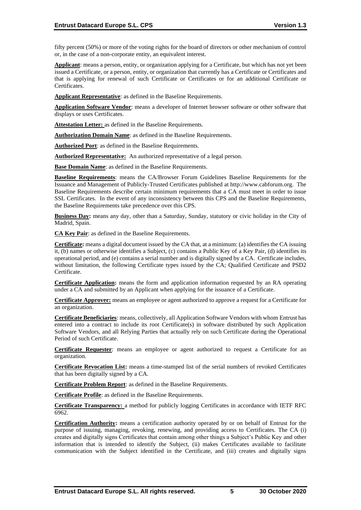fifty percent (50%) or more of the voting rights for the board of directors or other mechanism of control or, in the case of a non-corporate entity, an equivalent interest.

**Applicant**: means a person, entity, or organization applying for a Certificate, but which has not yet been issued a Certificate, or a person, entity, or organization that currently has a Certificate or Certificates and that is applying for renewal of such Certificate or Certificates or for an additional Certificate or Certificates.

**Applicant Representative**: as defined in the Baseline Requirements.

**Application Software Vendor**: means a developer of Internet browser software or other software that displays or uses Certificates.

**Attestation Letter:** as defined in the Baseline Requirements.

**Authorization Domain Name**: as defined in the Baseline Requirements.

**Authorized Port**: as defined in the Baseline Requirements.

**Authorized Representative:** An authorized representative of a legal person.

**Base Domain Name**: as defined in the Baseline Requirements.

**Baseline Requirements**: means the CA/Browser Forum Guidelines Baseline Requirements for the Issuance and Management of Publicly-Trusted Certificates published at http://www.cabforum.org. The Baseline Requirements describe certain minimum requirements that a CA must meet in order to issue SSL Certificates. In the event of any inconsistency between this CPS and the Baseline Requirements, the Baseline Requirements take precedence over this CPS.

**Business Day:** means any day, other than a Saturday, Sunday, statutory or civic holiday in the City of Madrid, Spain.

**CA Key Pair**: as defined in the Baseline Requirements.

**Certificate:** means a digital document issued by the CA that, at a minimum: (a) identifies the CA issuing it, (b) names or otherwise identifies a Subject, (c) contains a Public Key of a Key Pair, (d) identifies its operational period, and (e) contains a serial number and is digitally signed by a CA. Certificate includes, without limitation, the following Certificate types issued by the CA; Qualified Certificate and PSD2 Certificate.

**Certificate Application:** means the form and application information requested by an RA operating under a CA and submitted by an Applicant when applying for the issuance of a Certificate.

**Certificate Approver:** means an employee or agent authorized to approve a request for a Certificate for an organization.

**Certificate Beneficiaries**: means, collectively, all Application Software Vendors with whom Entrust has entered into a contract to include its root Certificate(s) in software distributed by such Application Software Vendors, and all Relying Parties that actually rely on such Certificate during the Operational Period of such Certificate.

**Certificate Requester**: means an employee or agent authorized to request a Certificate for an organization.

**Certificate Revocation List:** means a time-stamped list of the serial numbers of revoked Certificates that has been digitally signed by a CA.

**Certificate Problem Report**: as defined in the Baseline Requirements.

**Certificate Profile**: as defined in the Baseline Requirements.

**Certificate Transparency:** a method for publicly logging Certificates in accordance with IETF RFC 6962.

**Certification Authority:** means a certification authority operated by or on behalf of Entrust for the purpose of issuing, managing, revoking, renewing, and providing access to Certificates. The CA (i) creates and digitally signs Certificates that contain among other things a Subject's Public Key and other information that is intended to identify the Subject, (ii) makes Certificates available to facilitate communication with the Subject identified in the Certificate, and (iii) creates and digitally signs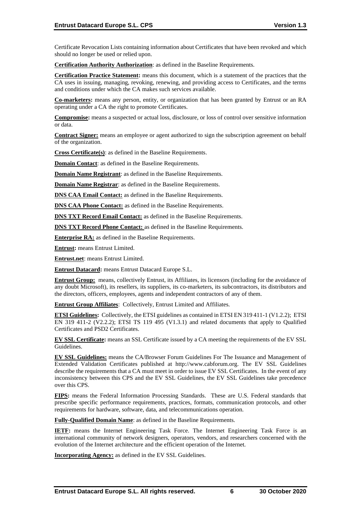Certificate Revocation Lists containing information about Certificates that have been revoked and which should no longer be used or relied upon.

**Certification Authority Authorization**: as defined in the Baseline Requirements.

**Certification Practice Statement:** means this document, which is a statement of the practices that the CA uses in issuing, managing, revoking, renewing, and providing access to Certificates, and the terms and conditions under which the CA makes such services available.

**Co-marketers:** means any person, entity, or organization that has been granted by Entrust or an RA operating under a CA the right to promote Certificates.

**Compromise:** means a suspected or actual loss, disclosure, or loss of control over sensitive information or data.

**Contract Signer:** means an employee or agent authorized to sign the subscription agreement on behalf of the organization.

**Cross Certificate(s)**: as defined in the Baseline Requirements.

**Domain Contact**: as defined in the Baseline Requirements.

**Domain Name Registrant**: as defined in the Baseline Requirements.

**Domain Name Registrar**: as defined in the Baseline Requirements.

**DNS CAA Email Contact:** as defined in the Baseline Requirements.

**DNS CAA Phone Contact:** as defined in the Baseline Requirements.

**DNS TXT Record Email Contact:** as defined in the Baseline Requirements.

**DNS TXT Record Phone Contact:** as defined in the Baseline Requirements.

**Enterprise RA:** as defined in the Baseline Requirements.

**Entrust:** means Entrust Limited.

**Entrust.net**: means Entrust Limited.

**Entrust Datacard:** means Entrust Datacard Europe S.L.

**Entrust Group:** means, collectively Entrust, its Affiliates, its licensors (including for the avoidance of any doubt Microsoft), its resellers, its suppliers, its co-marketers, its subcontractors, its distributors and the directors, officers, employees, agents and independent contractors of any of them.

**Entrust Group Affiliates**: Collectively, Entrust Limited and Affiliates.

**ETSI Guidelines:** Collectively, the ETSI guidelines as contained in ETSI EN 319 411-1 (V1.2.2); ETSI EN 319 411-2 (V2.2.2); ETSI TS 119 495 (V1.3.1) and related documents that apply to Qualified Certificates and PSD2 Certificates.

**EV SSL Certificate:** means an SSL Certificate issued by a CA meeting the requirements of the EV SSL Guidelines.

**EV SSL Guidelines:** means the CA/Browser Forum Guidelines For The Issuance and Management of Extended Validation Certificates published at http://www.cabforum.org. The EV SSL Guidelines describe the requirements that a CA must meet in order to issue EV SSL Certificates. In the event of any inconsistency between this CPS and the EV SSL Guidelines, the EV SSL Guidelines take precedence over this CPS.

**FIPS:** means the Federal Information Processing Standards. These are U.S. Federal standards that prescribe specific performance requirements, practices, formats, communication protocols, and other requirements for hardware, software, data, and telecommunications operation.

**Fully-Qualified Domain Name**: as defined in the Baseline Requirements.

**IETF:** means the Internet Engineering Task Force. The Internet Engineering Task Force is an international community of network designers, operators, vendors, and researchers concerned with the evolution of the Internet architecture and the efficient operation of the Internet.

**Incorporating Agency:** as defined in the EV SSL Guidelines.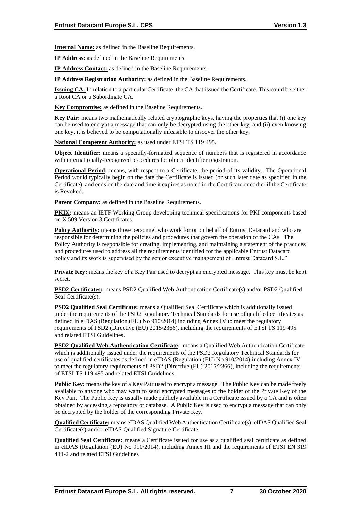**Internal Name:** as defined in the Baseline Requirements.

**IP Address:** as defined in the Baseline Requirements.

**IP Address Contact:** as defined in the Baseline Requirements.

**IP Address Registration Authority:** as defined in the Baseline Requirements.

**Issuing CA:** In relation to a particular Certificate, the CA that issued the Certificate. This could be either a Root CA or a Subordinate CA.

**Key Compromise:** as defined in the Baseline Requirements.

**Key Pair:** means two mathematically related cryptographic keys, having the properties that (i) one key can be used to encrypt a message that can only be decrypted using the other key, and (ii) even knowing one key, it is believed to be computationally infeasible to discover the other key.

**National Competent Authority:** as used under ETSI TS 119 495.

**Object Identifier:** means a specially-formatted sequence of numbers that is registered in accordance with internationally-recognized procedures for object identifier registration.

**Operational Period:** means, with respect to a Certificate, the period of its validity. The Operational Period would typically begin on the date the Certificate is issued (or such later date as specified in the Certificate), and ends on the date and time it expires as noted in the Certificate or earlier if the Certificate is Revoked.

**Parent Company:** as defined in the Baseline Requirements.

**PKIX:** means an IETF Working Group developing technical specifications for PKI components based on X.509 Version 3 Certificates.

**Policy Authority:** means those personnel who work for or on behalf of Entrust Datacard and who are responsible for determining the policies and procedures that govern the operation of the CAs. The Policy Authority is responsible for creating, implementing, and maintaining a statement of the practices and procedures used to address all the requirements identified for the applicable Entrust Datacard policy and its work is supervised by the senior executive management of Entrust Datacard S.L."

**Private Key:** means the key of a Key Pair used to decrypt an encrypted message. This key must be kept secret.

**PSD2 Certificates:** means PSD2 Qualified Web Authentication Certificate(s) and/or PSD2 Qualified Seal Certificate(s).

**PSD2 Qualified Seal Certificate:** means a Qualified Seal Certificate which is additionally issued under the requirements of the PSD2 Regulatory Technical Standards for use of qualified certificates as defined in eIDAS (Regulation (EU) No 910/2014) including Annex IV to meet the regulatory requirements of PSD2 (Directive (EU) 2015/2366), including the requirements of ETSI TS 119 495 and related ETSI Guidelines.

**PSD2 Qualified Web Authentication Certificate:** means a Qualified Web Authentication Certificate which is additionally issued under the requirements of the PSD2 Regulatory Technical Standards for use of qualified certificates as defined in eIDAS (Regulation (EU) No 910/2014) including Annex IV to meet the regulatory requirements of PSD2 (Directive (EU) 2015/2366), including the requirements of ETSI TS 119 495 and related ETSI Guidelines.

**Public Key:** means the key of a Key Pair used to encrypt a message. The Public Key can be made freely available to anyone who may want to send encrypted messages to the holder of the Private Key of the Key Pair. The Public Key is usually made publicly available in a Certificate issued by a CA and is often obtained by accessing a repository or database. A Public Key is used to encrypt a message that can only be decrypted by the holder of the corresponding Private Key.

**Qualified Certificate:** means eIDAS Qualified Web Authentication Certificate(s), eIDAS Qualified Seal Certificate(s) and/or eIDAS Qualified Signature Certificate.

**Qualified Seal Certificate:** means a Certificate issued for use as a qualified seal certificate as defined in eIDAS (Regulation (EU) No 910/2014), including Annex III and the requirements of ETSI EN 319 411-2 and related ETSI Guidelines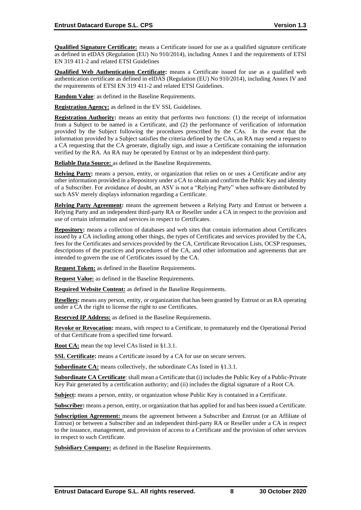**Qualified Signature Certificate:** means a Certificate issued for use as a qualified signature certificate as defined in eIDAS (Regulation (EU) No 910/2014), including Annex I and the requirements of ETSI EN 319 411-2 and related ETSI Guidelines

**Qualified Web Authentication Certificate:** means a Certificate issued for use as a qualified web authentication certificate as defined in eIDAS (Regulation (EU) No 910/2014), including Annex IV and the requirements of ETSI EN 319 411-2 and related ETSI Guidelines.

**Random Value**: as defined in the Baseline Requirements.

**Registration Agency:** as defined in the EV SSL Guidelines.

**Registration Authority:** means an entity that performs two functions: (1) the receipt of information from a Subject to be named in a Certificate, and (2) the performance of verification of information provided by the Subject following the procedures prescribed by the CAs. In the event that the information provided by a Subject satisfies the criteria defined by the CAs, an RA may send a request to a CA requesting that the CA generate, digitally sign, and issue a Certificate containing the information verified by the RA. An RA may be operated by Entrust or by an independent third-party.

**Reliable Data Source:** as defined in the Baseline Requirements.

**Relying Party:** means a person, entity, or organization that relies on or uses a Certificate and/or any other information provided in a Repository under a CA to obtain and confirm the Public Key and identity of a Subscriber. For avoidance of doubt, an ASV is not a "Relying Party" when software distributed by such ASV merely displays information regarding a Certificate.

**Relying Party Agreement:** means the agreement between a Relying Party and Entrust or between a Relying Party and an independent third-party RA or Reseller under a CA in respect to the provision and use of certain information and services in respect to Certificates.

**Repository:** means a collection of databases and web sites that contain information about Certificates issued by a CA including among other things, the types of Certificates and services provided by the CA, fees for the Certificates and services provided by the CA, Certificate Revocation Lists, OCSP responses, descriptions of the practices and procedures of the CA, and other information and agreements that are intended to govern the use of Certificates issued by the CA.

**Request Token:** as defined in the Baseline Requirements.

**Request Value:** as defined in the Baseline Requirements.

**Required Website Content:** as defined in the Baseline Requirements.

**Resellers:** means any person, entity, or organization that has been granted by Entrust or an RA operating under a CA the right to license the right to use Certificates.

**Reserved IP Address:** as defined in the Baseline Requirements.

**Revoke or Revocation:** means, with respect to a Certificate, to prematurely end the Operational Period of that Certificate from a specified time forward.

**Root CA:** mean the top level CAs listed in §1.3.1.

**SSL Certificate:** means a Certificate issued by a CA for use on secure servers.

**Subordinate CA:** means collectively, the subordinate CAs listed in §1.3.1.

**Subordinate CA Certificate**: shall mean a Certificate that (i) includes the Public Key of a Public-Private Key Pair generated by a certification authority; and (ii) includes the digital signature of a Root CA.

**Subject:** means a person, entity, or organization whose Public Key is contained in a Certificate.

**Subscriber:** means a person, entity, or organization that has applied for and has been issued a Certificate.

**Subscription Agreement:** means the agreement between a Subscriber and Entrust (or an Affiliate of Entrust) or between a Subscriber and an independent third-party RA or Reseller under a CA in respect to the issuance, management, and provision of access to a Certificate and the provision of other services in respect to such Certificate.

**Subsidiary Company:** as defined in the Baseline Requirements.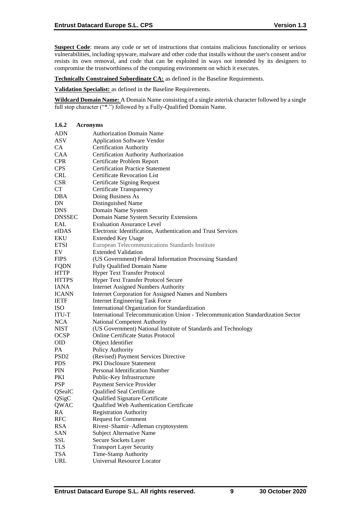**Suspect Code**: means any code or set of instructions that contains malicious functionality or serious vulnerabilities, including spyware, malware and other code that installs without the user's consent and/or resists its own removal, and code that can be exploited in ways not intended by its designers to compromise the trustworthiness of the computing environment on which it executes.

**Technically Constrained Subordinate CA:** as defined in the Baseline Requirements.

**Validation Specialist:** as defined in the Baseline Requirements.

**Wildcard Domain Name:** A Domain Name consisting of a single asterisk character followed by a single full stop character ("\*.") followed by a Fully-Qualified Domain Name.

| 1.6.2            | <b>Acronyms</b>                                                                          |
|------------------|------------------------------------------------------------------------------------------|
| <b>ADN</b>       | <b>Authorization Domain Name</b>                                                         |
| ASV              | <b>Application Software Vendor</b>                                                       |
| CA               | <b>Certification Authority</b>                                                           |
| CAA              | Certification Authority Authorization                                                    |
| <b>CPR</b>       | Certificate Problem Report                                                               |
| <b>CPS</b>       | <b>Certification Practice Statement</b>                                                  |
| <b>CRL</b>       | <b>Certificate Revocation List</b>                                                       |
| <b>CSR</b>       | <b>Certificate Signing Request</b>                                                       |
| CT               | Certificate Transparency                                                                 |
| DBA              | Doing Business As                                                                        |
| DN               | Distinguished Name                                                                       |
| <b>DNS</b>       | Domain Name System                                                                       |
| <b>DNSSEC</b>    | Domain Name System Security Extensions                                                   |
| <b>EAL</b>       | <b>Evaluation Assurance Level</b>                                                        |
| eIDAS            | Electronic Identification, Authentication and Trust Services                             |
| EKU              | <b>Extended Key Usage</b>                                                                |
| <b>ETSI</b>      | European Telecommunications Standards Institute                                          |
| EV               | <b>Extended Validation</b>                                                               |
| <b>FIPS</b>      | (US Government) Federal Information Processing Standard                                  |
| <b>FQDN</b>      | Fully Qualified Domain Name                                                              |
|                  | <b>Hyper Text Transfer Protocol</b>                                                      |
| HTTP             |                                                                                          |
| <b>HTTPS</b>     | <b>Hyper Text Transfer Protocol Secure</b><br><b>Internet Assigned Numbers Authority</b> |
| IANA             |                                                                                          |
| <b>ICANN</b>     | Internet Corporation for Assigned Names and Numbers                                      |
| <b>IETF</b>      | <b>Internet Engineering Task Force</b>                                                   |
| ISO              | International Organization for Standardization                                           |
| <b>ITU-T</b>     | International Telecommunication Union - Telecommunication Standardization Sector         |
| <b>NCA</b>       | National Competent Authority                                                             |
| <b>NIST</b>      | (US Government) National Institute of Standards and Technology                           |
| <b>OCSP</b>      | <b>Online Certificate Status Protocol</b>                                                |
| <b>OID</b>       | Object Identifier                                                                        |
| PA               | Policy Authority                                                                         |
| PSD <sub>2</sub> | (Revised) Payment Services Directive                                                     |
| <b>PDS</b>       | <b>PKI</b> Disclosure Statement                                                          |
| PIN              | Personal Identification Number                                                           |
| PKI              | Public-Key Infrastructure                                                                |
| <b>PSP</b>       | Payment Service Provider                                                                 |
| QSealC           | Qualified Seal Certificate                                                               |
| QSigC            | Qualified Signature Certificate                                                          |
| QWAC             | Qualified Web Authentication Certificate                                                 |
| RA               | <b>Registration Authority</b>                                                            |
| <b>RFC</b>       | <b>Request for Comment</b>                                                               |
| <b>RSA</b>       | Rivest-Shamir-Adleman cryptosystem                                                       |
| SAN              | <b>Subject Alternative Name</b>                                                          |
| SSL              | Secure Sockets Layer                                                                     |
| <b>TLS</b>       | <b>Transport Layer Security</b>                                                          |
| <b>TSA</b>       | <b>Time-Stamp Authority</b>                                                              |
| <b>URL</b>       | Universal Resource Locator                                                               |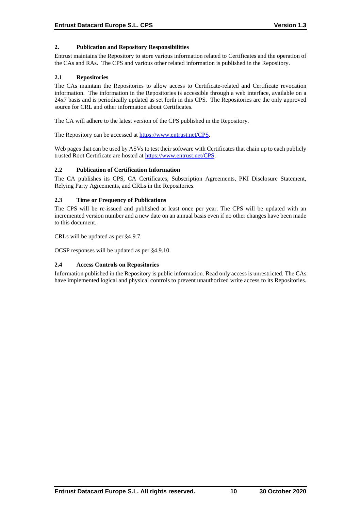# **2. Publication and Repository Responsibilities**

Entrust maintains the Repository to store various information related to Certificates and the operation of the CAs and RAs. The CPS and various other related information is published in the Repository.

#### **2.1 Repositories**

The CAs maintain the Repositories to allow access to Certificate-related and Certificate revocation information. The information in the Repositories is accessible through a web interface, available on a 24x7 basis and is periodically updated as set forth in this CPS. The Repositories are the only approved source for CRL and other information about Certificates.

The CA will adhere to the latest version of the CPS published in the Repository.

The Repository can be accessed at [https://www.entrust.net/CPS.](https://www.entrust.net/CPS)

Web pages that can be used by ASVs to test their software with Certificates that chain up to each publicly trusted Root Certificate are hosted at [https://www.entrust.net/CPS.](https://www.entrust.net/CPS)

#### **2.2 Publication of Certification Information**

The CA publishes its CPS, CA Certificates, Subscription Agreements, PKI Disclosure Statement, Relying Party Agreements, and CRLs in the Repositories.

# **2.3 Time or Frequency of Publications**

The CPS will be re-issued and published at least once per year. The CPS will be updated with an incremented version number and a new date on an annual basis even if no other changes have been made to this document.

CRLs will be updated as per §4.9.7.

OCSP responses will be updated as per §4.9.10.

#### **2.4 Access Controls on Repositories**

Information published in the Repository is public information. Read only access is unrestricted. The CAs have implemented logical and physical controls to prevent unauthorized write access to its Repositories.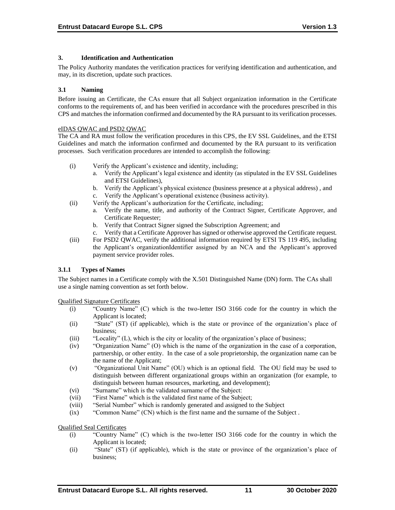#### **3. Identification and Authentication**

The Policy Authority mandates the verification practices for verifying identification and authentication, and may, in its discretion, update such practices.

#### **3.1 Naming**

Before issuing an Certificate, the CAs ensure that all Subject organization information in the Certificate conforms to the requirements of, and has been verified in accordance with the procedures prescribed in this CPS and matches the information confirmed and documented by the RA pursuant to its verification processes.

#### eIDAS QWAC and PSD2 QWAC

The CA and RA must follow the verification procedures in this CPS, the EV SSL Guidelines, and the ETSI Guidelines and match the information confirmed and documented by the RA pursuant to its verification processes. Such verification procedures are intended to accomplish the following:

- (i) Verify the Applicant's existence and identity, including;
	- a. Verify the Applicant's legal existence and identity (as stipulated in the EV SSL Guidelines and ETSI Guidelines),
	- b. Verify the Applicant's physical existence (business presence at a physical address) , and
	- c. Verify the Applicant's operational existence (business activity).
- (ii) Verify the Applicant's authorization for the Certificate, including;
	- a. Verify the name, title, and authority of the Contract Signer, Certificate Approver, and Certificate Requester;
	- b. Verify that Contract Signer signed the Subscription Agreement; and
	- c. Verify that a Certificate Approver has signed or otherwise approved the Certificate request.
- (iii) For PSD2 QWAC, verify the additional information required by ETSI TS 119 495, including the Applicant's organizationIdentifier assigned by an NCA and the Applicant's approved payment service provider roles.

# **3.1.1 Types of Names**

The Subject names in a Certificate comply with the X.501 Distinguished Name (DN) form. The CAs shall use a single naming convention as set forth below.

Qualified Signature Certificates

- (i) "Country Name" (C) which is the two-letter ISO 3166 code for the country in which the Applicant is located;
- (ii) "State" (ST) (if applicable), which is the state or province of the organization's place of business;
- (iii) "Locality" (L), which is the city or locality of the organization's place of business;
- (iv) "Organization Name" (O) which is the name of the organization in the case of a corporation, partnership, or other entity. In the case of a sole proprietorship, the organization name can be the name of the Applicant;
- (v) "Organizational Unit Name" (OU) which is an optional field. The OU field may be used to distinguish between different organizational groups within an organization (for example, to distinguish between human resources, marketing, and development);
- (vi) "Surname" which is the validated surname of the Subject:
- (vii) "First Name" which is the validated first name of the Subject;
- (viii) "Serial Number" which is randomly generated and assigned to the Subject
- (ix) "Common Name" (CN) which is the first name and the surname of the Subject .

Qualified Seal Certificates

- (i) "Country Name" (C) which is the two-letter ISO 3166 code for the country in which the Applicant is located;
- (ii) "State" (ST) (if applicable), which is the state or province of the organization's place of business;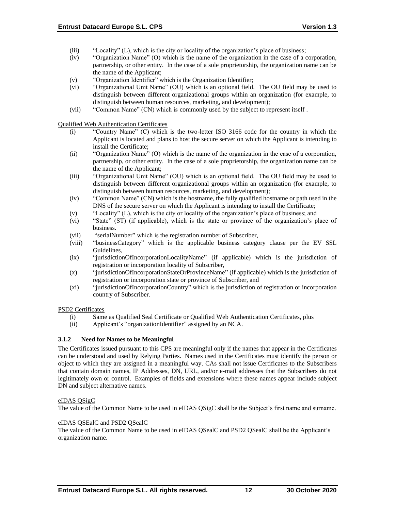- (iii) "Locality" (L), which is the city or locality of the organization's place of business;
- (iv) "Organization Name" (O) which is the name of the organization in the case of a corporation, partnership, or other entity. In the case of a sole proprietorship, the organization name can be the name of the Applicant;
- (v) "Organization Identifier" which is the Organization Identifier;
- (vi) "Organizational Unit Name" (OU) which is an optional field. The OU field may be used to distinguish between different organizational groups within an organization (for example, to distinguish between human resources, marketing, and development);
- (vii) "Common Name" (CN) which is commonly used by the subject to represent itself .

Qualified Web Authentication Certificates

- (i) "Country Name" (C) which is the two-letter ISO 3166 code for the country in which the Applicant is located and plans to host the secure server on which the Applicant is intending to install the Certificate;
- (ii) "Organization Name" (O) which is the name of the organization in the case of a corporation, partnership, or other entity. In the case of a sole proprietorship, the organization name can be the name of the Applicant;
- (iii) "Organizational Unit Name" (OU) which is an optional field. The OU field may be used to distinguish between different organizational groups within an organization (for example, to distinguish between human resources, marketing, and development);
- (iv) "Common Name" (CN) which is the hostname, the fully qualified hostname or path used in the DNS of the secure server on which the Applicant is intending to install the Certificate;
- (v) "Locality" (L), which is the city or locality of the organization's place of business; and
- (vi) "State" (ST) (if applicable), which is the state or province of the organization's place of business.
- (vii) "serialNumber" which is the registration number of Subscriber,
- (viii) "businessCategory" which is the applicable business category clause per the EV SSL Guidelines,
- (ix) "jurisdictionOfIncorporationLocalityName" (if applicable) which is the jurisdiction of registration or incorporation locality of Subscriber,
- (x) "jurisdictionOfIncorporationStateOrProvinceName" (if applicable) which is the jurisdiction of registration or incorporation state or province of Subscriber, and
- (xi) "jurisdictionOfIncorporationCountry" which is the jurisdiction of registration or incorporation country of Subscriber.

# PSD2 Certificates

- (i) Same as Qualified Seal Certificate or Qualified Web Authentication Certificates, plus
- (ii) Applicant's "organizationIdentifier" assigned by an NCA.

# **3.1.2 Need for Names to be Meaningful**

The Certificates issued pursuant to this CPS are meaningful only if the names that appear in the Certificates can be understood and used by Relying Parties. Names used in the Certificates must identify the person or object to which they are assigned in a meaningful way. CAs shall not issue Certificates to the Subscribers that contain domain names, IP Addresses, DN, URL, and/or e-mail addresses that the Subscribers do not legitimately own or control. Examples of fields and extensions where these names appear include subject DN and subject alternative names.

#### eIDAS QSigC

The value of the Common Name to be used in eIDAS QSigC shall be the Subject's first name and surname.

#### eIDAS QSEalC and PSD2 QSealC

The value of the Common Name to be used in eIDAS QSealC and PSD2 QSealC shall be the Applicant's organization name.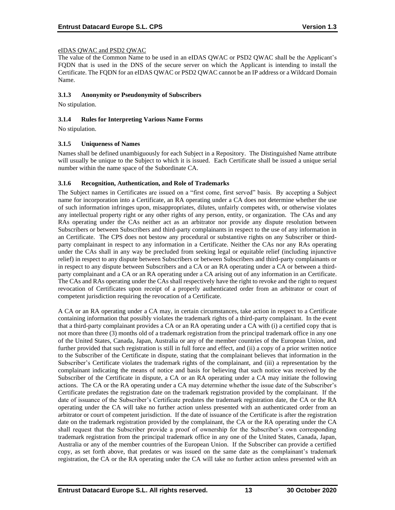#### eIDAS QWAC and PSD2 QWAC

The value of the Common Name to be used in an eIDAS QWAC or PSD2 QWAC shall be the Applicant's FQDN that is used in the DNS of the secure server on which the Applicant is intending to install the Certificate. The FQDN for an eIDAS QWAC or PSD2 QWAC cannot be an IP address or a Wildcard Domain Name.

#### **3.1.3 Anonymity or Pseudonymity of Subscribers**

No stipulation.

#### **3.1.4 Rules for Interpreting Various Name Forms**

No stipulation.

#### **3.1.5 Uniqueness of Names**

Names shall be defined unambiguously for each Subject in a Repository. The Distinguished Name attribute will usually be unique to the Subject to which it is issued. Each Certificate shall be issued a unique serial number within the name space of the Subordinate CA.

#### **3.1.6 Recognition, Authentication, and Role of Trademarks**

The Subject names in Certificates are issued on a "first come, first served" basis. By accepting a Subject name for incorporation into a Certificate, an RA operating under a CA does not determine whether the use of such information infringes upon, misappropriates, dilutes, unfairly competes with, or otherwise violates any intellectual property right or any other rights of any person, entity, or organization. The CAs and any RAs operating under the CAs neither act as an arbitrator nor provide any dispute resolution between Subscribers or between Subscribers and third-party complainants in respect to the use of any information in an Certificate. The CPS does not bestow any procedural or substantive rights on any Subscriber or thirdparty complainant in respect to any information in a Certificate. Neither the CAs nor any RAs operating under the CAs shall in any way be precluded from seeking legal or equitable relief (including injunctive relief) in respect to any dispute between Subscribers or between Subscribers and third-party complainants or in respect to any dispute between Subscribers and a CA or an RA operating under a CA or between a thirdparty complainant and a CA or an RA operating under a CA arising out of any information in an Certificate. The CAs and RAs operating under the CAs shall respectively have the right to revoke and the right to request revocation of Certificates upon receipt of a properly authenticated order from an arbitrator or court of competent jurisdiction requiring the revocation of a Certificate.

A CA or an RA operating under a CA may, in certain circumstances, take action in respect to a Certificate containing information that possibly violates the trademark rights of a third-party complainant. In the event that a third-party complainant provides a CA or an RA operating under a CA with (i) a certified copy that is not more than three (3) months old of a trademark registration from the principal trademark office in any one of the United States, Canada, Japan, Australia or any of the member countries of the European Union, and further provided that such registration is still in full force and effect, and (ii) a copy of a prior written notice to the Subscriber of the Certificate in dispute, stating that the complainant believes that information in the Subscriber's Certificate violates the trademark rights of the complainant, and (iii) a representation by the complainant indicating the means of notice and basis for believing that such notice was received by the Subscriber of the Certificate in dispute, a CA or an RA operating under a CA may initiate the following actions. The CA or the RA operating under a CA may determine whether the issue date of the Subscriber's Certificate predates the registration date on the trademark registration provided by the complainant. If the date of issuance of the Subscriber's Certificate predates the trademark registration date, the CA or the RA operating under the CA will take no further action unless presented with an authenticated order from an arbitrator or court of competent jurisdiction. If the date of issuance of the Certificate is after the registration date on the trademark registration provided by the complainant, the CA or the RA operating under the CA shall request that the Subscriber provide a proof of ownership for the Subscriber's own corresponding trademark registration from the principal trademark office in any one of the United States, Canada, Japan, Australia or any of the member countries of the European Union. If the Subscriber can provide a certified copy, as set forth above, that predates or was issued on the same date as the complainant's trademark registration, the CA or the RA operating under the CA will take no further action unless presented with an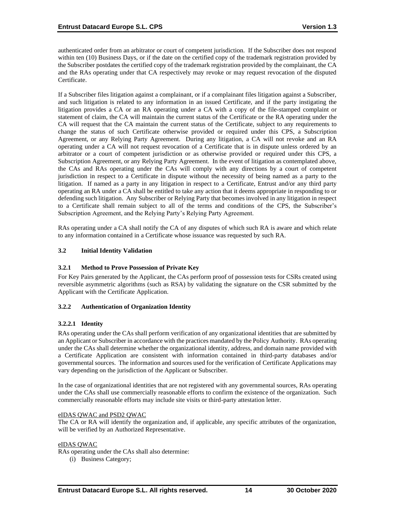authenticated order from an arbitrator or court of competent jurisdiction. If the Subscriber does not respond within ten (10) Business Days, or if the date on the certified copy of the trademark registration provided by the Subscriber postdates the certified copy of the trademark registration provided by the complainant, the CA and the RAs operating under that CA respectively may revoke or may request revocation of the disputed Certificate.

If a Subscriber files litigation against a complainant, or if a complainant files litigation against a Subscriber, and such litigation is related to any information in an issued Certificate, and if the party instigating the litigation provides a CA or an RA operating under a CA with a copy of the file-stamped complaint or statement of claim, the CA will maintain the current status of the Certificate or the RA operating under the CA will request that the CA maintain the current status of the Certificate, subject to any requirements to change the status of such Certificate otherwise provided or required under this CPS, a Subscription Agreement, or any Relying Party Agreement. During any litigation, a CA will not revoke and an RA operating under a CA will not request revocation of a Certificate that is in dispute unless ordered by an arbitrator or a court of competent jurisdiction or as otherwise provided or required under this CPS, a Subscription Agreement, or any Relying Party Agreement. In the event of litigation as contemplated above, the CAs and RAs operating under the CAs will comply with any directions by a court of competent jurisdiction in respect to a Certificate in dispute without the necessity of being named as a party to the litigation. If named as a party in any litigation in respect to a Certificate, Entrust and/or any third party operating an RA under a CA shall be entitled to take any action that it deems appropriate in responding to or defending such litigation. Any Subscriber or Relying Party that becomes involved in any litigation in respect to a Certificate shall remain subject to all of the terms and conditions of the CPS, the Subscriber's Subscription Agreement, and the Relying Party's Relying Party Agreement.

RAs operating under a CA shall notify the CA of any disputes of which such RA is aware and which relate to any information contained in a Certificate whose issuance was requested by such RA.

# **3.2 Initial Identity Validation**

# **3.2.1 Method to Prove Possession of Private Key**

For Key Pairs generated by the Applicant, the CAs perform proof of possession tests for CSRs created using reversible asymmetric algorithms (such as RSA) by validating the signature on the CSR submitted by the Applicant with the Certificate Application.

# **3.2.2 Authentication of Organization Identity**

# **3.2.2.1 Identity**

RAs operating under the CAs shall perform verification of any organizational identities that are submitted by an Applicant or Subscriber in accordance with the practices mandated by the Policy Authority. RAs operating under the CAs shall determine whether the organizational identity, address, and domain name provided with a Certificate Application are consistent with information contained in third-party databases and/or governmental sources. The information and sources used for the verification of Certificate Applications may vary depending on the jurisdiction of the Applicant or Subscriber.

In the case of organizational identities that are not registered with any governmental sources, RAs operating under the CAs shall use commercially reasonable efforts to confirm the existence of the organization. Such commercially reasonable efforts may include site visits or third-party attestation letter.

#### eIDAS QWAC and PSD2 QWAC

The CA or RA will identify the organization and, if applicable, any specific attributes of the organization, will be verified by an Authorized Representative.

#### eIDAS QWAC

RAs operating under the CAs shall also determine:

(i) Business Category;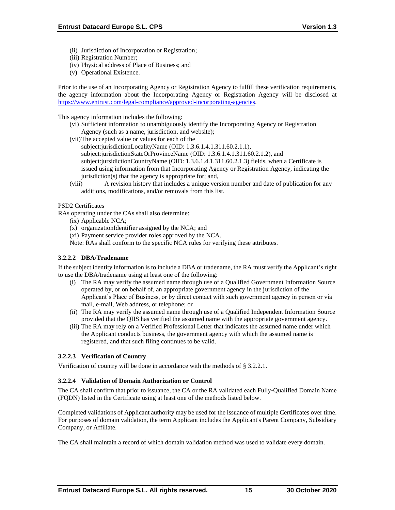- (ii) Jurisdiction of Incorporation or Registration;
- (iii) Registration Number;
- (iv) Physical address of Place of Business; and
- (v) Operational Existence.

Prior to the use of an Incorporating Agency or Registration Agency to fulfill these verification requirements, the agency information about the Incorporating Agency or Registration Agency will be disclosed at [https://www.entrust.com/legal-compliance/approved-incorporating-agencies.](https://www.entrust.com/legal-compliance/approved-incorporating-agencies)

This agency information includes the following:

- (vi) Sufficient information to unambiguously identify the Incorporating Agency or Registration Agency (such as a name, jurisdiction, and website);
- (vii)The accepted value or values for each of the
	- subject:jurisdictionLocalityName (OID: 1.3.6.1.4.1.311.60.2.1.1), subject:jurisdictionStateOrProvinceName (OID: 1.3.6.1.4.1.311.60.2.1.2), and subject:jursidictionCountryName (OID: 1.3.6.1.4.1.311.60.2.1.3) fields, when a Certificate is issued using information from that Incorporating Agency or Registration Agency, indicating the jurisdiction(s) that the agency is appropriate for; and,
- (viii) A revision history that includes a unique version number and date of publication for any additions, modifications, and/or removals from this list.

#### PSD2 Certificates

RAs operating under the CAs shall also determine:

- (ix) Applicable NCA;
- (x) organizationIdentifier assigned by the NCA; and
- (xi) Payment service provider roles approved by the NCA.
- Note: RAs shall conform to the specific NCA rules for verifying these attributes.

# **3.2.2.2 DBA/Tradename**

If the subject identity information is to include a DBA or tradename, the RA must verify the Applicant's right to use the DBA/tradename using at least one of the following:

- (i) The RA may verify the assumed name through use of a Qualified Government Information Source operated by, or on behalf of, an appropriate government agency in the jurisdiction of the Applicant's Place of Business, or by direct contact with such government agency in person or via mail, e-mail, Web address, or telephone; or
- (ii) The RA may verify the assumed name through use of a Qualified Independent Information Source provided that the QIIS has verified the assumed name with the appropriate government agency.
- (iii) The RA may rely on a Verified Professional Letter that indicates the assumed name under which the Applicant conducts business, the government agency with which the assumed name is registered, and that such filing continues to be valid.

# **3.2.2.3 Verification of Country**

Verification of country will be done in accordance with the methods of § 3.2.2.1.

#### **3.2.2.4 Validation of Domain Authorization or Control**

The CA shall confirm that prior to issuance, the CA or the RA validated each Fully-Qualified Domain Name (FQDN) listed in the Certificate using at least one of the methods listed below.

Completed validations of Applicant authority may be used for the issuance of multiple Certificates over time. For purposes of domain validation, the term Applicant includes the Applicant's Parent Company, Subsidiary Company, or Affiliate.

The CA shall maintain a record of which domain validation method was used to validate every domain.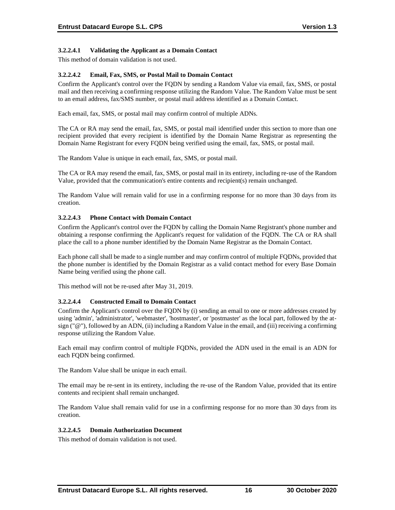# **3.2.2.4.1 Validating the Applicant as a Domain Contact**

This method of domain validation is not used.

#### **3.2.2.4.2 Email, Fax, SMS, or Postal Mail to Domain Contact**

Confirm the Applicant's control over the FQDN by sending a Random Value via email, fax, SMS, or postal mail and then receiving a confirming response utilizing the Random Value. The Random Value must be sent to an email address, fax/SMS number, or postal mail address identified as a Domain Contact.

Each email, fax, SMS, or postal mail may confirm control of multiple ADNs.

The CA or RA may send the email, fax, SMS, or postal mail identified under this section to more than one recipient provided that every recipient is identified by the Domain Name Registrar as representing the Domain Name Registrant for every FQDN being verified using the email, fax, SMS, or postal mail.

The Random Value is unique in each email, fax, SMS, or postal mail.

The CA or RA may resend the email, fax, SMS, or postal mail in its entirety, including re-use of the Random Value, provided that the communication's entire contents and recipient(s) remain unchanged.

The Random Value will remain valid for use in a confirming response for no more than 30 days from its creation.

#### **3.2.2.4.3 Phone Contact with Domain Contact**

Confirm the Applicant's control over the FQDN by calling the Domain Name Registrant's phone number and obtaining a response confirming the Applicant's request for validation of the FQDN. The CA or RA shall place the call to a phone number identified by the Domain Name Registrar as the Domain Contact.

Each phone call shall be made to a single number and may confirm control of multiple FQDNs, provided that the phone number is identified by the Domain Registrar as a valid contact method for every Base Domain Name being verified using the phone call.

This method will not be re-used after May 31, 2019.

#### **3.2.2.4.4 Constructed Email to Domain Contact**

Confirm the Applicant's control over the FQDN by (i) sending an email to one or more addresses created by using 'admin', 'administrator', 'webmaster', 'hostmaster', or 'postmaster' as the local part, followed by the atsign ("@"), followed by an ADN, (ii) including a Random Value in the email, and (iii) receiving a confirming response utilizing the Random Value.

Each email may confirm control of multiple FQDNs, provided the ADN used in the email is an ADN for each FQDN being confirmed.

The Random Value shall be unique in each email.

The email may be re-sent in its entirety, including the re-use of the Random Value, provided that its entire contents and recipient shall remain unchanged.

The Random Value shall remain valid for use in a confirming response for no more than 30 days from its creation.

#### **3.2.2.4.5 Domain Authorization Document**

This method of domain validation is not used.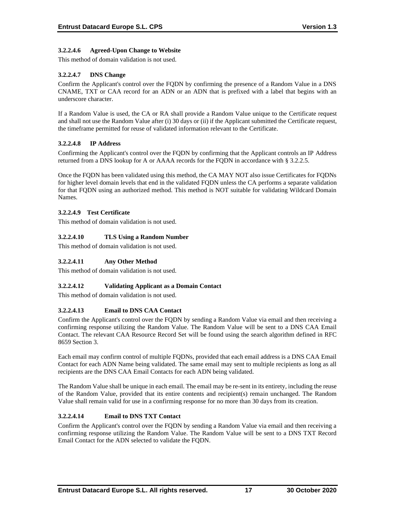# **3.2.2.4.6 Agreed-Upon Change to Website**

This method of domain validation is not used.

# **3.2.2.4.7 DNS Change**

Confirm the Applicant's control over the FQDN by confirming the presence of a Random Value in a DNS CNAME, TXT or CAA record for an ADN or an ADN that is prefixed with a label that begins with an underscore character.

If a Random Value is used, the CA or RA shall provide a Random Value unique to the Certificate request and shall not use the Random Value after (i) 30 days or (ii) if the Applicant submitted the Certificate request, the timeframe permitted for reuse of validated information relevant to the Certificate.

# **3.2.2.4.8 IP Address**

Confirming the Applicant's control over the FQDN by confirming that the Applicant controls an IP Address returned from a DNS lookup for A or AAAA records for the FQDN in accordance with § 3.2.2.5.

Once the FQDN has been validated using this method, the CA MAY NOT also issue Certificates for FQDNs for higher level domain levels that end in the validated FQDN unless the CA performs a separate validation for that FQDN using an authorized method. This method is NOT suitable for validating Wildcard Domain Names.

# **3.2.2.4.9 Test Certificate**

This method of domain validation is not used.

# **3.2.2.4.10 TLS Using a Random Number**

This method of domain validation is not used.

# **3.2.2.4.11 Any Other Method**

This method of domain validation is not used.

# **3.2.2.4.12 Validating Applicant as a Domain Contact**

This method of domain validation is not used.

# **3.2.2.4.13 Email to DNS CAA Contact**

Confirm the Applicant's control over the FQDN by sending a Random Value via email and then receiving a confirming response utilizing the Random Value. The Random Value will be sent to a DNS CAA Email Contact. The relevant CAA Resource Record Set will be found using the search algorithm defined in RFC 8659 Section 3.

Each email may confirm control of multiple FQDNs, provided that each email address is a DNS CAA Email Contact for each ADN Name being validated. The same email may sent to multiple recipients as long as all recipients are the DNS CAA Email Contacts for each ADN being validated.

The Random Value shall be unique in each email. The email may be re-sent in its entirety, including the reuse of the Random Value, provided that its entire contents and recipient(s) remain unchanged. The Random Value shall remain valid for use in a confirming response for no more than 30 days from its creation.

# **3.2.2.4.14 Email to DNS TXT Contact**

Confirm the Applicant's control over the FQDN by sending a Random Value via email and then receiving a confirming response utilizing the Random Value. The Random Value will be sent to a DNS TXT Record Email Contact for the ADN selected to validate the FQDN.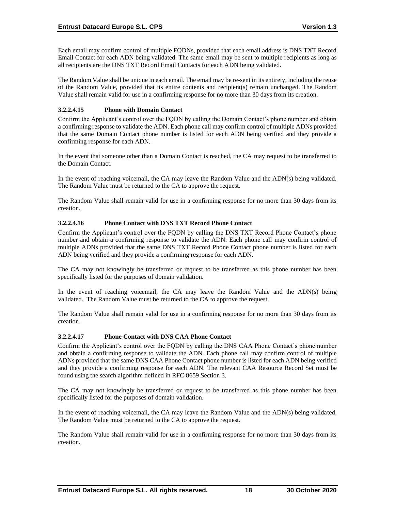Each email may confirm control of multiple FQDNs, provided that each email address is DNS TXT Record Email Contact for each ADN being validated. The same email may be sent to multiple recipients as long as all recipients are the DNS TXT Record Email Contacts for each ADN being validated.

The Random Value shall be unique in each email. The email may be re-sent in its entirety, including the reuse of the Random Value, provided that its entire contents and recipient(s) remain unchanged. The Random Value shall remain valid for use in a confirming response for no more than 30 days from its creation.

# **3.2.2.4.15 Phone with Domain Contact**

Confirm the Applicant's control over the FQDN by calling the Domain Contact's phone number and obtain a confirming response to validate the ADN. Each phone call may confirm control of multiple ADNs provided that the same Domain Contact phone number is listed for each ADN being verified and they provide a confirming response for each ADN.

In the event that someone other than a Domain Contact is reached, the CA may request to be transferred to the Domain Contact.

In the event of reaching voicemail, the CA may leave the Random Value and the ADN(s) being validated. The Random Value must be returned to the CA to approve the request.

The Random Value shall remain valid for use in a confirming response for no more than 30 days from its creation.

# **3.2.2.4.16 Phone Contact with DNS TXT Record Phone Contact**

Confirm the Applicant's control over the FQDN by calling the DNS TXT Record Phone Contact's phone number and obtain a confirming response to validate the ADN. Each phone call may confirm control of multiple ADNs provided that the same DNS TXT Record Phone Contact phone number is listed for each ADN being verified and they provide a confirming response for each ADN.

The CA may not knowingly be transferred or request to be transferred as this phone number has been specifically listed for the purposes of domain validation.

In the event of reaching voicemail, the CA may leave the Random Value and the ADN(s) being validated. The Random Value must be returned to the CA to approve the request.

The Random Value shall remain valid for use in a confirming response for no more than 30 days from its creation.

# **3.2.2.4.17 Phone Contact with DNS CAA Phone Contact**

Confirm the Applicant's control over the FQDN by calling the DNS CAA Phone Contact's phone number and obtain a confirming response to validate the ADN. Each phone call may confirm control of multiple ADNs provided that the same DNS CAA Phone Contact phone number is listed for each ADN being verified and they provide a confirming response for each ADN. The relevant CAA Resource Record Set must be found using the search algorithm defined in RFC 8659 Section 3.

The CA may not knowingly be transferred or request to be transferred as this phone number has been specifically listed for the purposes of domain validation.

In the event of reaching voicemail, the CA may leave the Random Value and the ADN(s) being validated. The Random Value must be returned to the CA to approve the request.

The Random Value shall remain valid for use in a confirming response for no more than 30 days from its creation.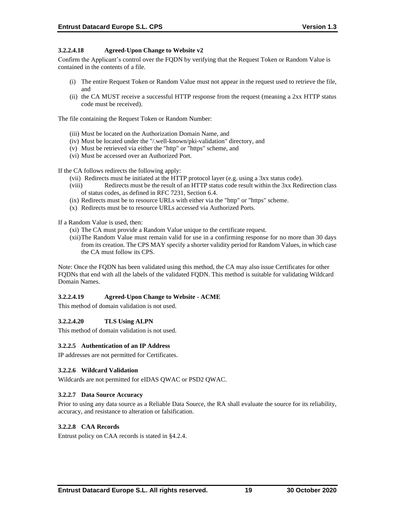#### **3.2.2.4.18 Agreed-Upon Change to Website v2**

Confirm the Applicant's control over the FQDN by verifying that the Request Token or Random Value is contained in the contents of a file.

- (i) The entire Request Token or Random Value must not appear in the request used to retrieve the file, and
- (ii) the CA MUST receive a successful HTTP response from the request (meaning a 2xx HTTP status code must be received).

The file containing the Request Token or Random Number:

- (iii) Must be located on the Authorization Domain Name, and
- (iv) Must be located under the "/.well-known/pki-validation" directory, and
- (v) Must be retrieved via either the "http" or "https" scheme, and
- (vi) Must be accessed over an Authorized Port.

If the CA follows redirects the following apply:

- (vii) Redirects must be initiated at the HTTP protocol layer (e.g. using a 3xx status code).
- (viii) Redirects must be the result of an HTTP status code result within the 3xx Redirection class of status codes, as defined in RFC 7231, Section 6.4.
- (ix) Redirects must be to resource URLs with either via the "http" or "https" scheme.
- (x) Redirects must be to resource URLs accessed via Authorized Ports.

If a Random Value is used, then:

- (xi) The CA must provide a Random Value unique to the certificate request.
- (xii)The Random Value must remain valid for use in a confirming response for no more than 30 days from its creation. The CPS MAY specify a shorter validity period for Random Values, in which case the CA must follow its CPS.

Note: Once the FQDN has been validated using this method, the CA may also issue Certificates for other FQDNs that end with all the labels of the validated FQDN. This method is suitable for validating Wildcard Domain Names.

# **3.2.2.4.19 Agreed-Upon Change to Website - ACME**

This method of domain validation is not used.

#### **3.2.2.4.20 TLS Using ALPN**

This method of domain validation is not used.

#### **3.2.2.5 Authentication of an IP Address**

IP addresses are not permitted for Certificates.

#### **3.2.2.6 Wildcard Validation**

Wildcards are not permitted for eIDAS QWAC or PSD2 QWAC.

#### **3.2.2.7 Data Source Accuracy**

Prior to using any data source as a Reliable Data Source, the RA shall evaluate the source for its reliability, accuracy, and resistance to alteration or falsification.

#### **3.2.2.8 CAA Records**

Entrust policy on CAA records is stated in §4.2.4.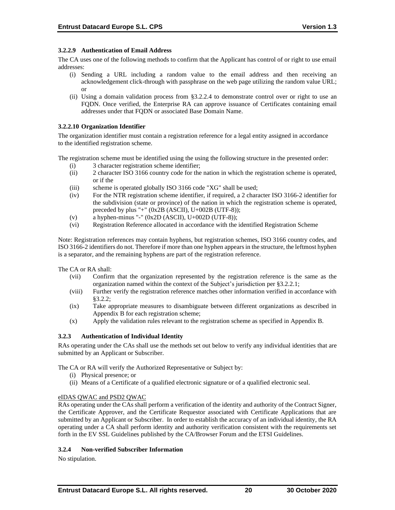#### **3.2.2.9 Authentication of Email Address**

The CA uses one of the following methods to confirm that the Applicant has control of or right to use email addresses:

- (i) Sending a URL including a random value to the email address and then receiving an acknowledgement click-through with passphrase on the web page utilizing the random value URL; or
- (ii) Using a domain validation process from §3.2.2.4 to demonstrate control over or right to use an FQDN. Once verified, the Enterprise RA can approve issuance of Certificates containing email addresses under that FQDN or associated Base Domain Name.

#### **3.2.2.10 Organization Identifier**

The organization identifier must contain a registration reference for a legal entity assigned in accordance to the identified registration scheme.

The registration scheme must be identified using the using the following structure in the presented order:

- (i) 3 character registration scheme identifier;
- (ii) 2 character ISO 3166 country code for the nation in which the registration scheme is operated, or if the
- (iii) scheme is operated globally ISO 3166 code "XG" shall be used;
- (iv) For the NTR registration scheme identifier, if required, a 2 character ISO 3166-2 identifier for the subdivision (state or province) of the nation in which the registration scheme is operated, preceded by plus "+" (0x2B (ASCII), U+002B (UTF-8));
- (v) a hyphen-minus "-"  $(0x2D (ASCII), U+002D (UTF-8));$
- (vi) Registration Reference allocated in accordance with the identified Registration Scheme

Note: Registration references may contain hyphens, but registration schemes, ISO 3166 country codes, and ISO 3166-2 identifiers do not. Therefore if more than one hyphen appears in the structure, the leftmost hyphen is a separator, and the remaining hyphens are part of the registration reference.

The CA or RA shall:

- (vii) Confirm that the organization represented by the registration reference is the same as the organization named within the context of the Subject's jurisdiction per §3.2.2.1;
- (viii) Further verify the registration reference matches other information verified in accordance with §3.2.2;
- (ix) Take appropriate measures to disambiguate between different organizations as described in Appendix B for each registration scheme;
- (x) Apply the validation rules relevant to the registration scheme as specified in Appendix B.

# **3.2.3 Authentication of Individual Identity**

RAs operating under the CAs shall use the methods set out below to verify any individual identities that are submitted by an Applicant or Subscriber.

The CA or RA will verify the Authorized Representative or Subject by:

- (i) Physical presence; or
- (ii) Means of a Certificate of a qualified electronic signature or of a qualified electronic seal.

#### eIDAS QWAC and PSD2 QWAC

RAs operating under the CAs shall perform a verification of the identity and authority of the Contract Signer, the Certificate Approver, and the Certificate Requestor associated with Certificate Applications that are submitted by an Applicant or Subscriber. In order to establish the accuracy of an individual identity, the RA operating under a CA shall perform identity and authority verification consistent with the requirements set forth in the EV SSL Guidelines published by the CA/Browser Forum and the ETSI Guidelines.

# **3.2.4 Non-verified Subscriber Information**

No stipulation.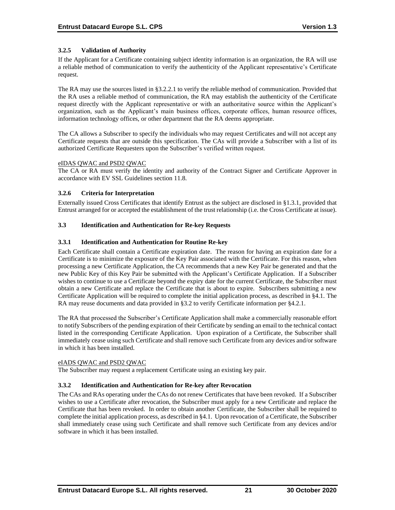# **3.2.5 Validation of Authority**

If the Applicant for a Certificate containing subject identity information is an organization, the RA will use a reliable method of communication to verify the authenticity of the Applicant representative's Certificate request.

The RA may use the sources listed in §3.2.2.1 to verify the reliable method of communication. Provided that the RA uses a reliable method of communication, the RA may establish the authenticity of the Certificate request directly with the Applicant representative or with an authoritative source within the Applicant's organization, such as the Applicant's main business offices, corporate offices, human resource offices, information technology offices, or other department that the RA deems appropriate.

The CA allows a Subscriber to specify the individuals who may request Certificates and will not accept any Certificate requests that are outside this specification. The CAs will provide a Subscriber with a list of its authorized Certificate Requesters upon the Subscriber's verified written request.

#### eIDAS QWAC and PSD2 QWAC

The CA or RA must verify the identity and authority of the Contract Signer and Certificate Approver in accordance with EV SSL Guidelines section 11.8.

#### **3.2.6 Criteria for Interpretation**

Externally issued Cross Certificates that identify Entrust as the subject are disclosed in §1.3.1, provided that Entrust arranged for or accepted the establishment of the trust relationship (i.e. the Cross Certificate at issue).

#### **3.3 Identification and Authentication for Re-key Requests**

#### **3.3.1 Identification and Authentication for Routine Re-key**

Each Certificate shall contain a Certificate expiration date. The reason for having an expiration date for a Certificate is to minimize the exposure of the Key Pair associated with the Certificate. For this reason, when processing a new Certificate Application, the CA recommends that a new Key Pair be generated and that the new Public Key of this Key Pair be submitted with the Applicant's Certificate Application. If a Subscriber wishes to continue to use a Certificate beyond the expiry date for the current Certificate, the Subscriber must obtain a new Certificate and replace the Certificate that is about to expire. Subscribers submitting a new Certificate Application will be required to complete the initial application process, as described in §4.1. The RA may reuse documents and data provided in §3.2 to verify Certificate information per §4.2.1.

The RA that processed the Subscriber's Certificate Application shall make a commercially reasonable effort to notify Subscribers of the pending expiration of their Certificate by sending an email to the technical contact listed in the corresponding Certificate Application. Upon expiration of a Certificate, the Subscriber shall immediately cease using such Certificate and shall remove such Certificate from any devices and/or software in which it has been installed.

#### eIADS QWAC and PSD2 QWAC

The Subscriber may request a replacement Certificate using an existing key pair.

#### **3.3.2 Identification and Authentication for Re-key after Revocation**

The CAs and RAs operating under the CAs do not renew Certificates that have been revoked. If a Subscriber wishes to use a Certificate after revocation, the Subscriber must apply for a new Certificate and replace the Certificate that has been revoked. In order to obtain another Certificate, the Subscriber shall be required to complete the initial application process, as described in §4.1. Upon revocation of a Certificate, the Subscriber shall immediately cease using such Certificate and shall remove such Certificate from any devices and/or software in which it has been installed.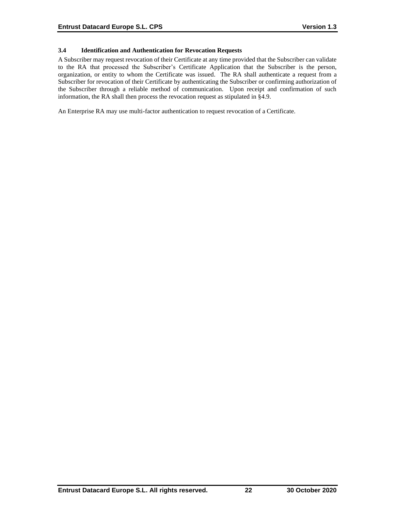# **3.4 Identification and Authentication for Revocation Requests**

A Subscriber may request revocation of their Certificate at any time provided that the Subscriber can validate to the RA that processed the Subscriber's Certificate Application that the Subscriber is the person, organization, or entity to whom the Certificate was issued. The RA shall authenticate a request from a Subscriber for revocation of their Certificate by authenticating the Subscriber or confirming authorization of the Subscriber through a reliable method of communication. Upon receipt and confirmation of such information, the RA shall then process the revocation request as stipulated in §4.9.

An Enterprise RA may use multi-factor authentication to request revocation of a Certificate.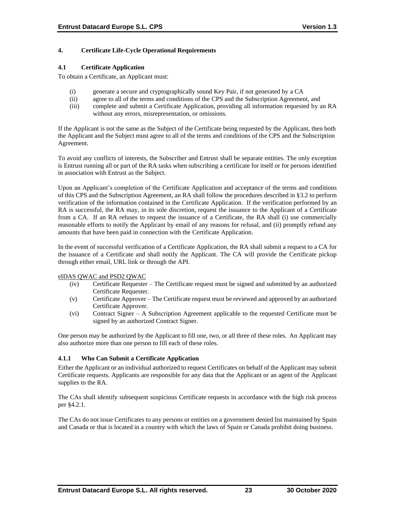# **4. Certificate Life-Cycle Operational Requirements**

#### **4.1 Certificate Application**

To obtain a Certificate, an Applicant must:

- (i) generate a secure and cryptographically sound Key Pair, if not generated by a CA
- (ii) agree to all of the terms and conditions of the CPS and the Subscription Agreement, and
- (iii) complete and submit a Certificate Application, providing all information requested by an RA without any errors, misrepresentation, or omissions.

If the Applicant is not the same as the Subject of the Certificate being requested by the Applicant, then both the Applicant and the Subject must agree to all of the terms and conditions of the CPS and the Subscription Agreement.

To avoid any conflicts of interests, the Subscriber and Entrust shall be separate entities. The only exception is Entrust running all or part of the RA tasks when subscribing a certificate for itself or for persons identified in association with Entrust as the Subject.

Upon an Applicant's completion of the Certificate Application and acceptance of the terms and conditions of this CPS and the Subscription Agreement, an RA shall follow the procedures described in §3.2 to perform verification of the information contained in the Certificate Application. If the verification performed by an RA is successful, the RA may, in its sole discretion, request the issuance to the Applicant of a Certificate from a CA. If an RA refuses to request the issuance of a Certificate, the RA shall (i) use commercially reasonable efforts to notify the Applicant by email of any reasons for refusal, and (ii) promptly refund any amounts that have been paid in connection with the Certificate Application.

In the event of successful verification of a Certificate Application, the RA shall submit a request to a CA for the issuance of a Certificate and shall notify the Applicant. The CA will provide the Certificate pickup through either email, URL link or through the API.

#### eIDAS QWAC and PSD2 QWAC

- (iv) Certificate Requester The Certificate request must be signed and submitted by an authorized Certificate Requester.
- (v) Certificate Approver The Certificate request must be reviewed and approved by an authorized Certificate Approver.
- (vi) Contract Signer A Subscription Agreement applicable to the requested Certificate must be signed by an authorized Contract Signer.

One person may be authorized by the Applicant to fill one, two, or all three of these roles. An Applicant may also authorize more than one person to fill each of these roles.

# **4.1.1 Who Can Submit a Certificate Application**

Either the Applicant or an individual authorized to request Certificates on behalf of the Applicant may submit Certificate requests. Applicants are responsible for any data that the Applicant or an agent of the Applicant supplies to the RA.

The CAs shall identify subsequent suspicious Certificate requests in accordance with the high risk process per §4.2.1.

The CAs do not issue Certificates to any persons or entities on a government denied list maintained by Spain and Canada or that is located in a country with which the laws of Spain or Canada prohibit doing business.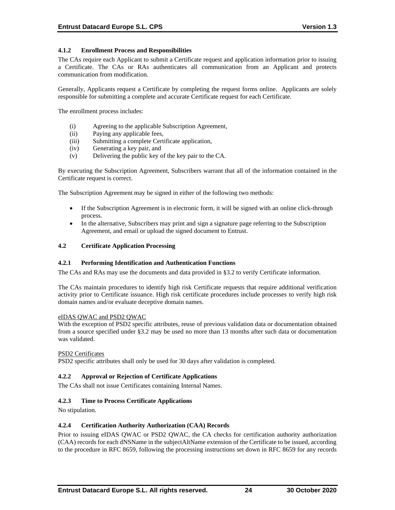# **4.1.2 Enrollment Process and Responsibilities**

The CAs require each Applicant to submit a Certificate request and application information prior to issuing a Certificate. The CAs or RAs authenticates all communication from an Applicant and protects communication from modification.

Generally, Applicants request a Certificate by completing the request forms online. Applicants are solely responsible for submitting a complete and accurate Certificate request for each Certificate.

The enrollment process includes:

- (i) Agreeing to the applicable Subscription Agreement,
- (ii) Paying any applicable fees,
- (iii) Submitting a complete Certificate application,
- (iv) Generating a key pair, and
- (v) Delivering the public key of the key pair to the CA.

By executing the Subscription Agreement, Subscribers warrant that all of the information contained in the Certificate request is correct.

The Subscription Agreement may be signed in either of the following two methods:

- If the Subscription Agreement is in electronic form, it will be signed with an online click-through process.
- In the alternative, Subscribers may print and sign a signature page referring to the Subscription Agreement, and email or upload the signed document to Entrust.

#### **4.2 Certificate Application Processing**

#### **4.2.1 Performing Identification and Authentication Functions**

The CAs and RAs may use the documents and data provided in §3.2 to verify Certificate information.

The CAs maintain procedures to identify high risk Certificate requests that require additional verification activity prior to Certificate issuance. High risk certificate procedures include processes to verify high risk domain names and/or evaluate deceptive domain names.

#### eIDAS QWAC and PSD2 QWAC

With the exception of PSD2 specific attributes, reuse of previous validation data or documentation obtained from a source specified under §3.2 may be used no more than 13 months after such data or documentation was validated.

#### PSD2 Certificates

PSD2 specific attributes shall only be used for 30 days after validation is completed.

#### **4.2.2 Approval or Rejection of Certificate Applications**

The CAs shall not issue Certificates containing Internal Names.

#### **4.2.3 Time to Process Certificate Applications**

No stipulation.

#### **4.2.4 Certification Authority Authorization (CAA) Records**

Prior to issuing eIDAS QWAC or PSD2 QWAC, the CA checks for certification authority authorization (CAA) records for each dNSName in the subjectAltName extension of the Certificate to be issued, according to the procedure in RFC 8659, following the processing instructions set down in RFC 8659 for any records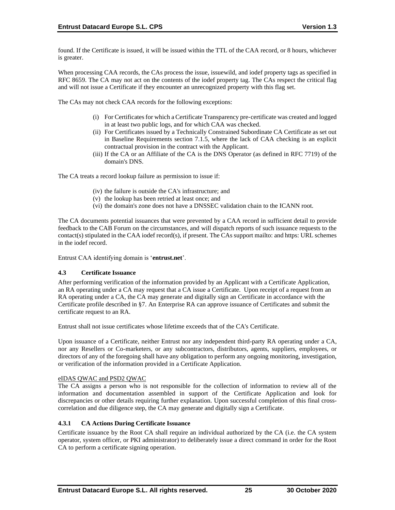found. If the Certificate is issued, it will be issued within the TTL of the CAA record, or 8 hours, whichever is greater.

When processing CAA records, the CAs process the issue, issuewild, and iodef property tags as specified in RFC 8659. The CA may not act on the contents of the iodef property tag. The CAs respect the critical flag and will not issue a Certificate if they encounter an unrecognized property with this flag set.

The CAs may not check CAA records for the following exceptions:

- (i) For Certificates for which a Certificate Transparency pre‐certificate was created and logged in at least two public logs, and for which CAA was checked.
- (ii) For Certificates issued by a Technically Constrained Subordinate CA Certificate as set out in Baseline Requirements section 7.1.5, where the lack of CAA checking is an explicit contractual provision in the contract with the Applicant.
- (iii) If the CA or an Affiliate of the CA is the DNS Operator (as defined in RFC 7719) of the domain's DNS.

The CA treats a record lookup failure as permission to issue if:

- (iv) the failure is outside the CA's infrastructure; and
- (v) the lookup has been retried at least once; and
- (vi) the domain's zone does not have a DNSSEC validation chain to the ICANN root.

The CA documents potential issuances that were prevented by a CAA record in sufficient detail to provide feedback to the CAB Forum on the circumstances, and will dispatch reports of such issuance requests to the contact(s) stipulated in the CAA iodef record(s), if present. The CAs support mailto: and https: URL schemes in the iodef record.

Entrust CAA identifying domain is '**entrust.net**'.

#### **4.3 Certificate Issuance**

After performing verification of the information provided by an Applicant with a Certificate Application, an RA operating under a CA may request that a CA issue a Certificate. Upon receipt of a request from an RA operating under a CA, the CA may generate and digitally sign an Certificate in accordance with the Certificate profile described in §7. An Enterprise RA can approve issuance of Certificates and submit the certificate request to an RA.

Entrust shall not issue certificates whose lifetime exceeds that of the CA's Certificate.

Upon issuance of a Certificate, neither Entrust nor any independent third-party RA operating under a CA, nor any Resellers or Co-marketers, or any subcontractors, distributors, agents, suppliers, employees, or directors of any of the foregoing shall have any obligation to perform any ongoing monitoring, investigation, or verification of the information provided in a Certificate Application.

#### eIDAS QWAC and PSD2 QWAC

The CA assigns a person who is not responsible for the collection of information to review all of the information and documentation assembled in support of the Certificate Application and look for discrepancies or other details requiring further explanation. Upon successful completion of this final crosscorrelation and due diligence step, the CA may generate and digitally sign a Certificate.

# **4.3.1 CA Actions During Certificate Issuance**

Certificate issuance by the Root CA shall require an individual authorized by the CA (i.e. the CA system operator, system officer, or PKI administrator) to deliberately issue a direct command in order for the Root CA to perform a certificate signing operation.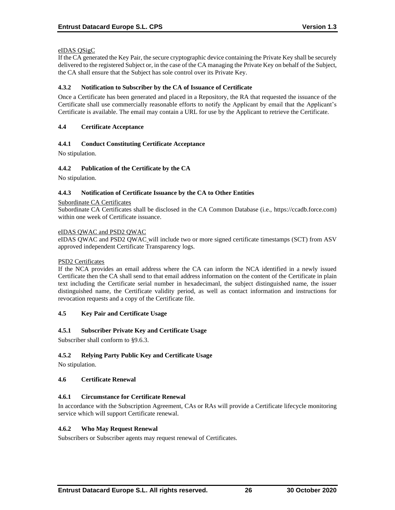#### eIDAS QSigC

If the CA generated the Key Pair, the secure cryptographic device containing the Private Key shall be securely delivered to the registered Subject or, in the case of the CA managing the Private Key on behalf of the Subject, the CA shall ensure that the Subject has sole control over its Private Key.

#### **4.3.2 Notification to Subscriber by the CA of Issuance of Certificate**

Once a Certificate has been generated and placed in a Repository, the RA that requested the issuance of the Certificate shall use commercially reasonable efforts to notify the Applicant by email that the Applicant's Certificate is available. The email may contain a URL for use by the Applicant to retrieve the Certificate.

#### **4.4 Certificate Acceptance**

# **4.4.1 Conduct Constituting Certificate Acceptance**

No stipulation.

#### **4.4.2 Publication of the Certificate by the CA**

No stipulation.

#### **4.4.3 Notification of Certificate Issuance by the CA to Other Entities**

#### Subordinate CA Certificates

Subordinate CA Certificates shall be disclosed in the CA Common Database (i.e., https://ccadb.force.com) within one week of Certificate issuance.

#### eIDAS QWAC and PSD2 QWAC

eIDAS QWAC and PSD2 QWAC will include two or more signed certificate timestamps (SCT) from ASV approved independent Certificate Transparency logs.

#### PSD2 Certificates

If the NCA provides an email address where the CA can inform the NCA identified in a newly issued Certificate then the CA shall send to that email address information on the content of the Certificate in plain text including the Certificate serial number in hexadecimanl, the subject distinguished name, the issuer distinguished name, the Certificate validity period, as well as contact information and instructions for revocation requests and a copy of the Certificate file.

#### **4.5 Key Pair and Certificate Usage**

#### **4.5.1 Subscriber Private Key and Certificate Usage**

Subscriber shall conform to §9.6.3.

# **4.5.2 Relying Party Public Key and Certificate Usage**

No stipulation.

#### **4.6 Certificate Renewal**

# **4.6.1 Circumstance for Certificate Renewal**

In accordance with the Subscription Agreement, CAs or RAs will provide a Certificate lifecycle monitoring service which will support Certificate renewal.

#### **4.6.2 Who May Request Renewal**

Subscribers or Subscriber agents may request renewal of Certificates.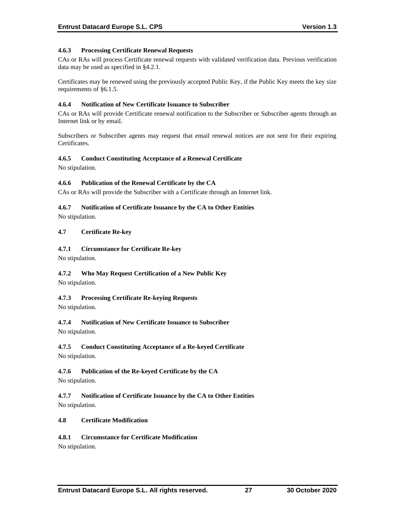#### **4.6.3 Processing Certificate Renewal Requests**

CAs or RAs will process Certificate renewal requests with validated verification data. Previous verification data may be used as specified in §4.2.1.

Certificates may be renewed using the previously accepted Public Key, if the Public Key meets the key size requirements of §6.1.5.

#### **4.6.4 Notification of New Certificate Issuance to Subscriber**

CAs or RAs will provide Certificate renewal notification to the Subscriber or Subscriber agents through an Internet link or by email.

Subscribers or Subscriber agents may request that email renewal notices are not sent for their expiring Certificates.

#### **4.6.5 Conduct Constituting Acceptance of a Renewal Certificate**

No stipulation.

#### **4.6.6 Publication of the Renewal Certificate by the CA**

CAs or RAs will provide the Subscriber with a Certificate through an Internet link.

#### **4.6.7 Notification of Certificate Issuance by the CA to Other Entities**

No stipulation.

#### **4.7 Certificate Re-key**

#### **4.7.1 Circumstance for Certificate Re-key**

No stipulation.

# **4.7.2 Who May Request Certification of a New Public Key**

No stipulation.

# **4.7.3 Processing Certificate Re-keying Requests**

No stipulation.

# **4.7.4 Notification of New Certificate Issuance to Subscriber**

No stipulation.

# **4.7.5 Conduct Constituting Acceptance of a Re-keyed Certificate**

No stipulation.

# **4.7.6 Publication of the Re-keyed Certificate by the CA**

No stipulation.

**4.7.7 Notification of Certificate Issuance by the CA to Other Entities** No stipulation.

#### **4.8 Certificate Modification**

# **4.8.1 Circumstance for Certificate Modification**

No stipulation.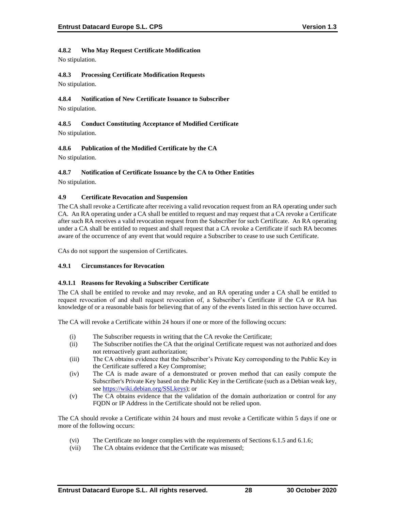## **4.8.2 Who May Request Certificate Modification**

No stipulation.

# **4.8.3 Processing Certificate Modification Requests**

No stipulation.

# **4.8.4 Notification of New Certificate Issuance to Subscriber**

No stipulation.

## **4.8.5 Conduct Constituting Acceptance of Modified Certificate** No stipulation.

# **4.8.6 Publication of the Modified Certificate by the CA**

No stipulation.

# **4.8.7 Notification of Certificate Issuance by the CA to Other Entities**

No stipulation.

## **4.9 Certificate Revocation and Suspension**

The CA shall revoke a Certificate after receiving a valid revocation request from an RA operating under such CA. An RA operating under a CA shall be entitled to request and may request that a CA revoke a Certificate after such RA receives a valid revocation request from the Subscriber for such Certificate. An RA operating under a CA shall be entitled to request and shall request that a CA revoke a Certificate if such RA becomes aware of the occurrence of any event that would require a Subscriber to cease to use such Certificate.

CAs do not support the suspension of Certificates.

# **4.9.1 Circumstances for Revocation**

## **4.9.1.1 Reasons for Revoking a Subscriber Certificate**

The CA shall be entitled to revoke and may revoke, and an RA operating under a CA shall be entitled to request revocation of and shall request revocation of, a Subscriber's Certificate if the CA or RA has knowledge of or a reasonable basis for believing that of any of the events listed in this section have occurred.

The CA will revoke a Certificate within 24 hours if one or more of the following occurs:

- (i) The Subscriber requests in writing that the CA revoke the Certificate;
- (ii) The Subscriber notifies the CA that the original Certificate request was not authorized and does not retroactively grant authorization;
- (iii) The CA obtains evidence that the Subscriber's Private Key corresponding to the Public Key in the Certificate suffered a Key Compromise;
- (iv) The CA is made aware of a demonstrated or proven method that can easily compute the Subscriber's Private Key based on the Public Key in the Certificate (such as a Debian weak key, see [https://wiki.debian.org/SSLkeys\)](https://wiki.debian.org/SSLkeys); or
- (v) The CA obtains evidence that the validation of the domain authorization or control for any FQDN or IP Address in the Certificate should not be relied upon.

The CA should revoke a Certificate within 24 hours and must revoke a Certificate within 5 days if one or more of the following occurs:

- (vi) The Certificate no longer complies with the requirements of Sections 6.1.5 and 6.1.6;
- (vii) The CA obtains evidence that the Certificate was misused;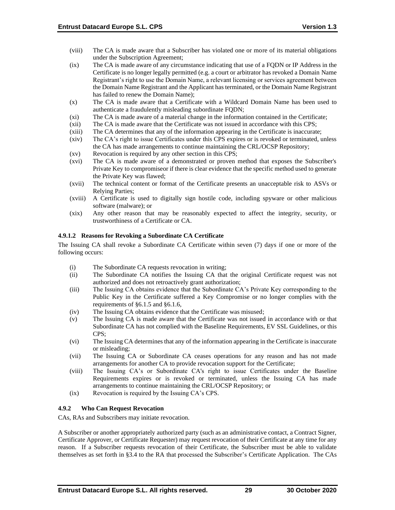- (viii) The CA is made aware that a Subscriber has violated one or more of its material obligations under the Subscription Agreement;
- (ix) The CA is made aware of any circumstance indicating that use of a FQDN or IP Address in the Certificate is no longer legally permitted (e.g. a court or arbitrator has revoked a Domain Name Registrant's right to use the Domain Name, a relevant licensing or services agreement between the Domain Name Registrant and the Applicant has terminated, or the Domain Name Registrant has failed to renew the Domain Name);
- (x) The CA is made aware that a Certificate with a Wildcard Domain Name has been used to authenticate a fraudulently misleading subordinate FQDN;
- (xi) The CA is made aware of a material change in the information contained in the Certificate;
- (xii) The CA is made aware that the Certificate was not issued in accordance with this CPS;
- (xiii) The CA determines that any of the information appearing in the Certificate is inaccurate;
- (xiv) The CA's right to issue Certificates under this CPS expires or is revoked or terminated, unless the CA has made arrangements to continue maintaining the CRL/OCSP Repository;
- (xv) Revocation is required by any other section in this CPS;
- (xvi) The CA is made aware of a demonstrated or proven method that exposes the Subscriber's Private Key to compromiseor if there is clear evidence that the specific method used to generate the Private Key was flawed;
- (xvii) The technical content or format of the Certificate presents an unacceptable risk to ASVs or Relying Parties;
- (xviii) A Certificate is used to digitally sign hostile code, including spyware or other malicious software (malware); or
- (xix) Any other reason that may be reasonably expected to affect the integrity, security, or trustworthiness of a Certificate or CA.

### **4.9.1.2 Reasons for Revoking a Subordinate CA Certificate**

The Issuing CA shall revoke a Subordinate CA Certificate within seven (7) days if one or more of the following occurs:

- (i) The Subordinate CA requests revocation in writing;
- (ii) The Subordinate CA notifies the Issuing CA that the original Certificate request was not authorized and does not retroactively grant authorization;
- (iii) The Issuing CA obtains evidence that the Subordinate CA's Private Key corresponding to the Public Key in the Certificate suffered a Key Compromise or no longer complies with the requirements of §6.1.5 and §6.1.6,
- (iv) The Issuing CA obtains evidence that the Certificate was misused;
- (v) The Issuing CA is made aware that the Certificate was not issued in accordance with or that Subordinate CA has not complied with the Baseline Requirements, EV SSL Guidelines, or this CPS;
- (vi) The Issuing CA determines that any of the information appearing in the Certificate is inaccurate or misleading;
- (vii) The Issuing CA or Subordinate CA ceases operations for any reason and has not made arrangements for another CA to provide revocation support for the Certificate;
- (viii) The Issuing CA's or Subordinate CA's right to issue Certificates under the Baseline Requirements expires or is revoked or terminated, unless the Issuing CA has made arrangements to continue maintaining the CRL/OCSP Repository; or
- (ix) Revocation is required by the Issuing CA's CPS.

## **4.9.2 Who Can Request Revocation**

CAs, RAs and Subscribers may initiate revocation.

A Subscriber or another appropriately authorized party (such as an administrative contact, a Contract Signer, Certificate Approver, or Certificate Requester) may request revocation of their Certificate at any time for any reason. If a Subscriber requests revocation of their Certificate, the Subscriber must be able to validate themselves as set forth in §3.4 to the RA that processed the Subscriber's Certificate Application. The CAs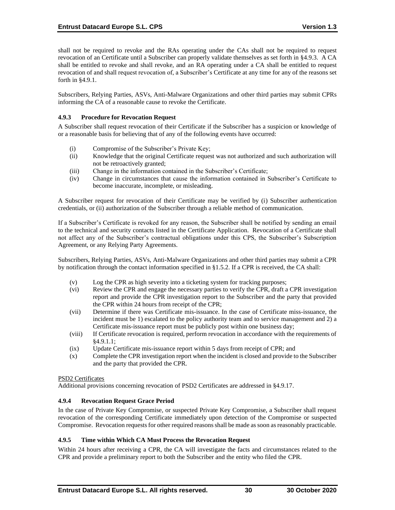shall not be required to revoke and the RAs operating under the CAs shall not be required to request revocation of an Certificate until a Subscriber can properly validate themselves as set forth in §4.9.3. A CA shall be entitled to revoke and shall revoke, and an RA operating under a CA shall be entitled to request revocation of and shall request revocation of, a Subscriber's Certificate at any time for any of the reasons set forth in §4.9.1.

Subscribers, Relying Parties, ASVs, Anti-Malware Organizations and other third parties may submit CPRs informing the CA of a reasonable cause to revoke the Certificate.

### **4.9.3 Procedure for Revocation Request**

A Subscriber shall request revocation of their Certificate if the Subscriber has a suspicion or knowledge of or a reasonable basis for believing that of any of the following events have occurred:

- (i) Compromise of the Subscriber's Private Key;
- (ii) Knowledge that the original Certificate request was not authorized and such authorization will not be retroactively granted;
- (iii) Change in the information contained in the Subscriber's Certificate;
- (iv) Change in circumstances that cause the information contained in Subscriber's Certificate to become inaccurate, incomplete, or misleading.

A Subscriber request for revocation of their Certificate may be verified by (i) Subscriber authentication credentials, or (ii) authorization of the Subscriber through a reliable method of communication.

If a Subscriber's Certificate is revoked for any reason, the Subscriber shall be notified by sending an email to the technical and security contacts listed in the Certificate Application. Revocation of a Certificate shall not affect any of the Subscriber's contractual obligations under this CPS, the Subscriber's Subscription Agreement, or any Relying Party Agreements.

Subscribers, Relying Parties, ASVs, Anti-Malware Organizations and other third parties may submit a CPR by notification through the contact information specified in §1.5.2. If a CPR is received, the CA shall:

- (v) Log the CPR as high severity into a ticketing system for tracking purposes;
- (vi) Review the CPR and engage the necessary parties to verify the CPR, draft a CPR investigation report and provide the CPR investigation report to the Subscriber and the party that provided the CPR within 24 hours from receipt of the CPR;
- (vii) Determine if there was Certificate mis-issuance. In the case of Certificate miss-issuance, the incident must be 1) escalated to the policy authority team and to service management and 2) a Certificate mis-issuance report must be publicly post within one business day;
- (viii) If Certificate revocation is required, perform revocation in accordance with the requirements of §4.9.1.1;
- (ix) Update Certificate mis-issuance report within 5 days from receipt of CPR; and
- (x) Complete the CPR investigation report when the incident is closed and provide to the Subscriber and the party that provided the CPR.

#### PSD2 Certificates

Additional provisions concerning revocation of PSD2 Certificates are addressed in §4.9.17.

#### **4.9.4 Revocation Request Grace Period**

In the case of Private Key Compromise, or suspected Private Key Compromise, a Subscriber shall request revocation of the corresponding Certificate immediately upon detection of the Compromise or suspected Compromise. Revocation requests for other required reasons shall be made as soon as reasonably practicable.

#### **4.9.5 Time within Which CA Must Process the Revocation Request**

Within 24 hours after receiving a CPR, the CA will investigate the facts and circumstances related to the CPR and provide a preliminary report to both the Subscriber and the entity who filed the CPR.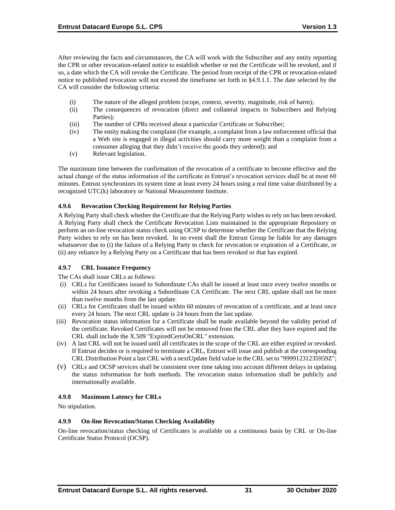After reviewing the facts and circumstances, the CA will work with the Subscriber and any entity reporting the CPR or other revocation-related notice to establish whether or not the Certificate will be revoked, and if so, a date which the CA will revoke the Certificate. The period from receipt of the CPR or revocation-related notice to published revocation will not exceed the timeframe set forth in §4.9.1.1. The date selected by the CA will consider the following criteria:

- (i) The nature of the alleged problem (scope, context, severity, magnitude, risk of harm);
- (ii) The consequences of revocation (direct and collateral impacts to Subscribers and Relying Parties);
- (iii) The number of CPRs received about a particular Certificate or Subscriber;
- (iv) The entity making the complaint (for example, a complaint from a law enforcement official that a Web site is engaged in illegal activities should carry more weight than a complaint from a consumer alleging that they didn't receive the goods they ordered); and
- (v) Relevant legislation.

The maximum time between the confirmation of the revocation of a certificate to become effective and the actual change of the status information of the certificate in Entrust's revocation services shall be at most 60 minutes. Entrust synchronizes its system time at least every 24 hours using a real time value distributed by a recognized UTC(k) laboratory or National Measurement Institute.

### **4.9.6 Revocation Checking Requirement for Relying Parties**

A Relying Party shall check whether the Certificate that the Relying Party wishes to rely on has been revoked. A Relying Party shall check the Certificate Revocation Lists maintained in the appropriate Repository or perform an on-line revocation status check using OCSP to determine whether the Certificate that the Relying Party wishes to rely on has been revoked. In no event shall the Entrust Group be liable for any damages whatsoever due to (i) the failure of a Relying Party to check for revocation or expiration of a Certificate, or (ii) any reliance by a Relying Party on a Certificate that has been revoked or that has expired.

## **4.9.7 CRL Issuance Frequency**

The CAs shall issue CRLs as follows:

- (i) CRLs for Certificates issued to Subordinate CAs shall be issued at least once every twelve months or within 24 hours after revoking a Subordinate CA Certificate. The next CRL update shall not be more than twelve months from the last update.
- (ii) CRLs for Certificates shall be issued within 60 minutes of revocation of a certificate, and at least once every 24 hours. The next CRL update is 24 hours from the last update.
- (iii) Revocation status information for a Certificate shall be made available beyond the validity period of the certificate. Revoked Certificates will not be removed from the CRL after they have expired and the CRL shall include the X.509 "ExpiredCertsOnCRL" extension.
- (iv) A last CRL will not be issued until all certificates in the scope of the CRL are either expired or revoked. If Entrust decides or is required to terminate a CRL, Entrust will issue and publish at the corresponding CRL Distribution Point a last CRL with a nextUpdate field value in the CRL set to "99991231235959Z";
- (v) CRLs and OCSP services shall be consistent over time taking into account different delays in updating the status information for both methods. The revocation status information shall be publicly and internationally available.

## **4.9.8 Maximum Latency for CRLs**

No stipulation.

## **4.9.9 On-line Revocation/Status Checking Availability**

On-line revocation/status checking of Certificates is available on a continuous basis by CRL or On-line Certificate Status Protocol (OCSP).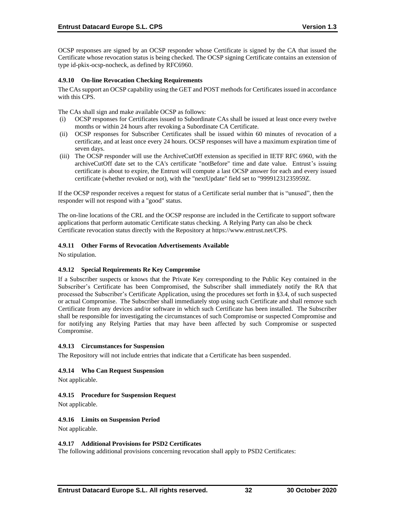OCSP responses are signed by an OCSP responder whose Certificate is signed by the CA that issued the Certificate whose revocation status is being checked. The OCSP signing Certificate contains an extension of type id-pkix-ocsp-nocheck, as defined by RFC6960.

### **4.9.10 On-line Revocation Checking Requirements**

The CAs support an OCSP capability using the GET and POST methods for Certificates issued in accordance with this CPS.

The CAs shall sign and make available OCSP as follows:

- (i) OCSP responses for Certificates issued to Subordinate CAs shall be issued at least once every twelve months or within 24 hours after revoking a Subordinate CA Certificate.
- (ii) OCSP responses for Subscriber Certificates shall be issued within 60 minutes of revocation of a certificate, and at least once every 24 hours. OCSP responses will have a maximum expiration time of seven days.
- (iii) The OCSP responder will use the ArchiveCutOff extension as specified in IETF RFC 6960, with the archiveCutOff date set to the CA's certificate "notBefore" time and date value. Entrust's issuing certificate is about to expire, the Entrust will compute a last OCSP answer for each and every issued certificate (whether revoked or not), with the "nextUpdate" field set to "99991231235959Z.

If the OCSP responder receives a request for status of a Certificate serial number that is "unused", then the responder will not respond with a "good" status.

The on-line locations of the CRL and the OCSP response are included in the Certificate to support software applications that perform automatic Certificate status checking. A Relying Party can also be check Certificate revocation status directly with the Repository at [https://www.entrust.net/CPS.](https://www.entrust.net/CPS) 

### **4.9.11 Other Forms of Revocation Advertisements Available**

No stipulation.

## **4.9.12 Special Requirements Re Key Compromise**

If a Subscriber suspects or knows that the Private Key corresponding to the Public Key contained in the Subscriber's Certificate has been Compromised, the Subscriber shall immediately notify the RA that processed the Subscriber's Certificate Application, using the procedures set forth in §3.4, of such suspected or actual Compromise. The Subscriber shall immediately stop using such Certificate and shall remove such Certificate from any devices and/or software in which such Certificate has been installed. The Subscriber shall be responsible for investigating the circumstances of such Compromise or suspected Compromise and for notifying any Relying Parties that may have been affected by such Compromise or suspected Compromise.

#### **4.9.13 Circumstances for Suspension**

The Repository will not include entries that indicate that a Certificate has been suspended.

#### **4.9.14 Who Can Request Suspension**

Not applicable.

#### **4.9.15 Procedure for Suspension Request**

Not applicable.

#### **4.9.16 Limits on Suspension Period**

Not applicable.

#### **4.9.17 Additional Provisions for PSD2 Certificates**

The following additional provisions concerning revocation shall apply to PSD2 Certificates: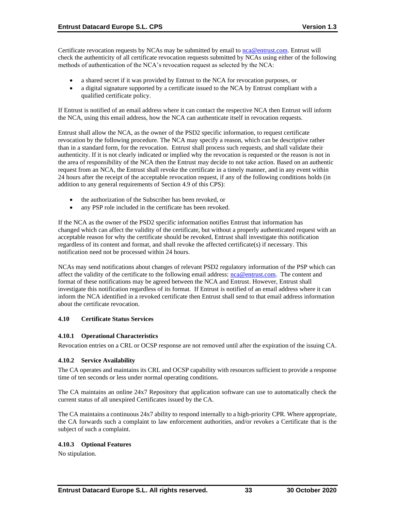Certificate revocation requests by NCAs may be submitted by email to [nca@entrust.com.](mailto:nca@entrustdatacard.com) Entrust will check the authenticity of all certificate revocation requests submitted by NCAs using either of the following methods of authentication of the NCA's revocation request as selected by the NCA:

- a shared secret if it was provided by Entrust to the NCA for revocation purposes, or
- a digital signature supported by a certificate issued to the NCA by Entrust compliant with a qualified certificate policy.

If Entrust is notified of an email address where it can contact the respective NCA then Entrust will inform the NCA, using this email address, how the NCA can authenticate itself in revocation requests.

Entrust shall allow the NCA, as the owner of the PSD2 specific information, to request certificate revocation by the following procedure. The NCA may specify a reason, which can be descriptive rather than in a standard form, for the revocation. Entrust shall process such requests, and shall validate their authenticity. If it is not clearly indicated or implied why the revocation is requested or the reason is not in the area of responsibility of the NCA then the Entrust may decide to not take action. Based on an authentic request from an NCA, the Entrust shall revoke the certificate in a timely manner, and in any event within 24 hours after the receipt of the acceptable revocation request, if any of the following conditions holds (in addition to any general requirements of Section 4.9 of this CPS):

- the authorization of the Subscriber has been revoked, or
- any PSP role included in the certificate has been revoked.

If the NCA as the owner of the PSD2 specific information notifies Entrust that information has changed which can affect the validity of the certificate, but without a properly authenticated request with an acceptable reason for why the certificate should be revoked, Entrust shall investigate this notification regardless of its content and format, and shall revoke the affected certificate(s) if necessary. This notification need not be processed within 24 hours.

NCAs may send notifications about changes of relevant PSD2 regulatory information of the PSP which can affect the validity of the certificate to the following email address: [nca@entrust.com.](mailto:nca@entrust.com) The content and format of these notifications may be agreed between the NCA and Entrust. However, Entrust shall investigate this notification regardless of its format. If Entrust is notified of an email address where it can inform the NCA identified in a revoked certificate then Entrust shall send to that email address information about the certificate revocation.

## **4.10 Certificate Status Services**

#### **4.10.1 Operational Characteristics**

Revocation entries on a CRL or OCSP response are not removed until after the expiration of the issuing CA.

#### **4.10.2 Service Availability**

The CA operates and maintains its CRL and OCSP capability with resources sufficient to provide a response time of ten seconds or less under normal operating conditions.

The CA maintains an online 24x7 Repository that application software can use to automatically check the current status of all unexpired Certificates issued by the CA.

The CA maintains a continuous 24x7 ability to respond internally to a high-priority CPR. Where appropriate, the CA forwards such a complaint to law enforcement authorities, and/or revokes a Certificate that is the subject of such a complaint.

## **4.10.3 Optional Features**

No stipulation.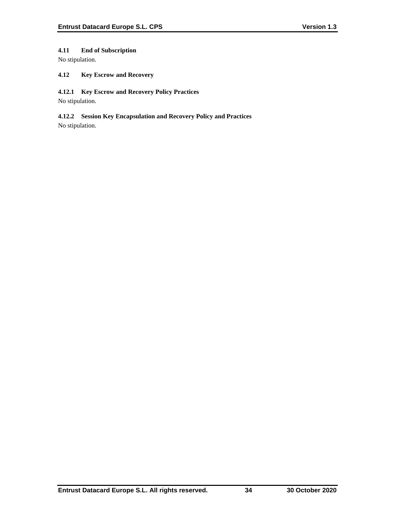# **4.11 End of Subscription**

No stipulation.

## **4.12 Key Escrow and Recovery**

### **4.12.1 Key Escrow and Recovery Policy Practices**

No stipulation.

# **4.12.2 Session Key Encapsulation and Recovery Policy and Practices**

No stipulation.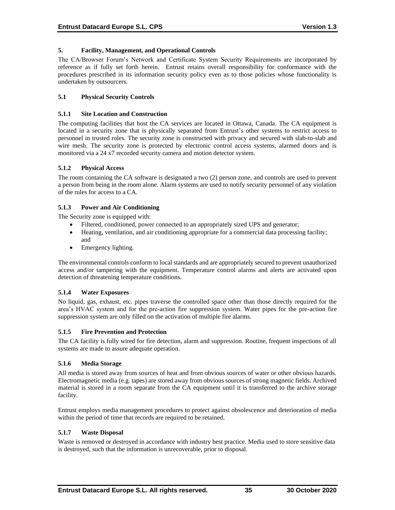### **5. Facility, Management, and Operational Controls**

The CA/Browser Forum's Network and Certificate System Security Requirements are incorporated by reference as if fully set forth herein. Entrust retains overall responsibility for conformance with the procedures prescribed in its information security policy even as to those policies whose functionality is undertaken by outsourcers.

### **5.1 Physical Security Controls**

#### **5.1.1 Site Location and Construction**

The computing facilities that host the CA services are located in Ottawa, Canada. The CA equipment is located in a security zone that is physically separated from Entrust's other systems to restrict access to personnel in trusted roles. The security zone is constructed with privacy and secured with slab-to-slab and wire mesh. The security zone is protected by electronic control access systems, alarmed doors and is monitored via a 24 x7 recorded security camera and motion detector system.

### **5.1.2 Physical Access**

The room containing the CA software is designated a two (2) person zone, and controls are used to prevent a person from being in the room alone. Alarm systems are used to notify security personnel of any violation of the rules for access to a CA.

### **5.1.3 Power and Air Conditioning**

The Security zone is equipped with:

- Filtered, conditioned, power connected to an appropriately sized UPS and generator;
- Heating, ventilation, and air conditioning appropriate for a commercial data processing facility; and
- Emergency lighting.

The environmental controls conform to local standards and are appropriately secured to prevent unauthorized access and/or tampering with the equipment. Temperature control alarms and alerts are activated upon detection of threatening temperature conditions.

#### **5.1.4 Water Exposures**

No liquid, gas, exhaust, etc. pipes traverse the controlled space other than those directly required for the area's HVAC system and for the pre-action fire suppression system. Water pipes for the pre-action fire suppression system are only filled on the activation of multiple fire alarms.

#### **5.1.5 Fire Prevention and Protection**

The CA facility is fully wired for fire detection, alarm and suppression. Routine, frequent inspections of all systems are made to assure adequate operation.

#### **5.1.6 Media Storage**

All media is stored away from sources of heat and from obvious sources of water or other obvious hazards. Electromagnetic media (e.g. tapes) are stored away from obvious sources of strong magnetic fields. Archived material is stored in a room separate from the CA equipment until it is transferred to the archive storage facility.

Entrust employs media management procedures to protect against obsolescence and deterioration of media within the period of time that records are required to be retained.

#### **5.1.7 Waste Disposal**

Waste is removed or destroyed in accordance with industry best practice. Media used to store sensitive data is destroyed, such that the information is unrecoverable, prior to disposal.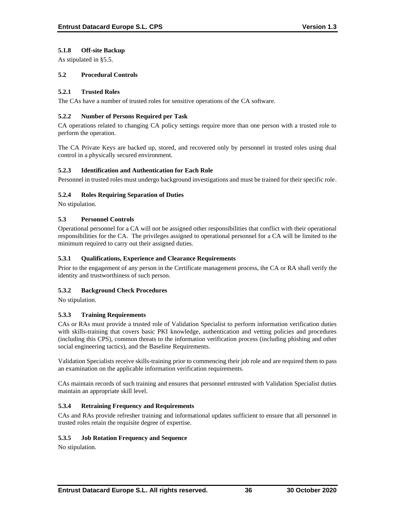## **5.1.8 Off-site Backup**

As stipulated in §5.5.

## **5.2 Procedural Controls**

### **5.2.1 Trusted Roles**

The CAs have a number of trusted roles for sensitive operations of the CA software.

### **5.2.2 Number of Persons Required per Task**

CA operations related to changing CA policy settings require more than one person with a trusted role to perform the operation.

The CA Private Keys are backed up, stored, and recovered only by personnel in trusted roles using dual control in a physically secured environment.

### **5.2.3 Identification and Authentication for Each Role**

Personnel in trusted roles must undergo background investigations and must be trained for their specific role.

## **5.2.4 Roles Requiring Separation of Duties**

No stipulation.

### **5.3 Personnel Controls**

Operational personnel for a CA will not be assigned other responsibilities that conflict with their operational responsibilities for the CA. The privileges assigned to operational personnel for a CA will be limited to the minimum required to carry out their assigned duties.

### **5.3.1 Qualifications, Experience and Clearance Requirements**

Prior to the engagement of any person in the Certificate management process, the CA or RA shall verify the identity and trustworthiness of such person.

## **5.3.2 Background Check Procedures**

No stipulation.

## **5.3.3 Training Requirements**

CAs or RAs must provide a trusted role of Validation Specialist to perform information verification duties with skills-training that covers basic PKI knowledge, authentication and vetting policies and procedures (including this CPS), common threats to the information verification process (including phishing and other social engineering tactics), and the Baseline Requirements.

Validation Specialists receive skills-training prior to commencing their job role and are required them to pass an examination on the applicable information verification requirements.

CAs maintain records of such training and ensures that personnel entrusted with Validation Specialist duties maintain an appropriate skill level.

## **5.3.4 Retraining Frequency and Requirements**

CAs and RAs provide refresher training and informational updates sufficient to ensure that all personnel in trusted roles retain the requisite degree of expertise.

## **5.3.5 Job Rotation Frequency and Sequence**

No stipulation.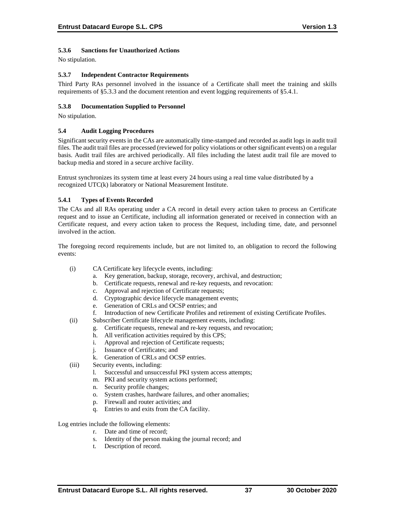## **5.3.6 Sanctions for Unauthorized Actions**

No stipulation.

### **5.3.7 Independent Contractor Requirements**

Third Party RAs personnel involved in the issuance of a Certificate shall meet the training and skills requirements of §5.3.3 and the document retention and event logging requirements of §5.4.1.

### **5.3.8 Documentation Supplied to Personnel**

No stipulation.

### **5.4 Audit Logging Procedures**

Significant security events in the CAs are automatically time-stamped and recorded as audit logs in audit trail files. The audit trail files are processed (reviewed for policy violations or other significant events) on a regular basis. Audit trail files are archived periodically. All files including the latest audit trail file are moved to backup media and stored in a secure archive facility.

Entrust synchronizes its system time at least every 24 hours using a real time value distributed by a recognized UTC(k) laboratory or National Measurement Institute.

### **5.4.1 Types of Events Recorded**

The CAs and all RAs operating under a CA record in detail every action taken to process an Certificate request and to issue an Certificate, including all information generated or received in connection with an Certificate request, and every action taken to process the Request, including time, date, and personnel involved in the action.

The foregoing record requirements include, but are not limited to, an obligation to record the following events:

- (i) CA Certificate key lifecycle events, including:
	- a. Key generation, backup, storage, recovery, archival, and destruction;
	- b. Certificate requests, renewal and re-key requests, and revocation:
	- c. Approval and rejection of Certificate requests;
	- d. Cryptographic device lifecycle management events;
	- e. Generation of CRLs and OCSP entries; and
	- f. Introduction of new Certificate Profiles and retirement of existing Certificate Profiles.
- (ii) Subscriber Certificate lifecycle management events, including:
	- g. Certificate requests, renewal and re-key requests, and revocation;
	- h. All verification activities required by this CPS;
	- i. Approval and rejection of Certificate requests;
	- j. Issuance of Certificates; and
	- k. Generation of CRLs and OCSP entries.
- (iii) Security events, including:
	- l. Successful and unsuccessful PKI system access attempts;
	- m. PKI and security system actions performed;
	- n. Security profile changes;
	- o. System crashes, hardware failures, and other anomalies;
	- p. Firewall and router activities; and
	- q. Entries to and exits from the CA facility.

Log entries include the following elements:

- r. Date and time of record;
- s. Identity of the person making the journal record; and
- t. Description of record.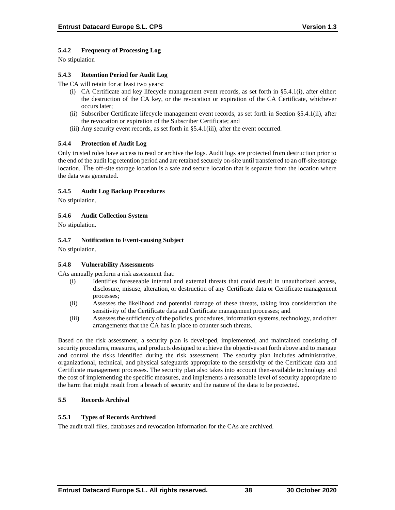# **5.4.2 Frequency of Processing Log**

No stipulation

## **5.4.3 Retention Period for Audit Log**

The CA will retain for at least two years:

- (i) CA Certificate and key lifecycle management event records, as set forth in §5.4.1(i), after either: the destruction of the CA key, or the revocation or expiration of the CA Certificate, whichever occurs later;
- (ii) Subscriber Certificate lifecycle management event records, as set forth in Section §5.4.1(ii), after the revocation or expiration of the Subscriber Certificate; and
- (iii) Any security event records, as set forth in §5.4.1(iii), after the event occurred.

## **5.4.4 Protection of Audit Log**

Only trusted roles have access to read or archive the logs. Audit logs are protected from destruction prior to the end of the audit log retention period and are retained securely on-site until transferred to an off-site storage location. The off-site storage location is a safe and secure location that is separate from the location where the data was generated.

### **5.4.5 Audit Log Backup Procedures**

No stipulation.

## **5.4.6 Audit Collection System**

No stipulation.

### **5.4.7 Notification to Event-causing Subject**

No stipulation.

#### **5.4.8 Vulnerability Assessments**

CAs annually perform a risk assessment that:

- (i) Identifies foreseeable internal and external threats that could result in unauthorized access, disclosure, misuse, alteration, or destruction of any Certificate data or Certificate management processes;
- (ii) Assesses the likelihood and potential damage of these threats, taking into consideration the sensitivity of the Certificate data and Certificate management processes; and
- (iii) Assesses the sufficiency of the policies, procedures, information systems, technology, and other arrangements that the CA has in place to counter such threats.

Based on the risk assessment, a security plan is developed, implemented, and maintained consisting of security procedures, measures, and products designed to achieve the objectives set forth above and to manage and control the risks identified during the risk assessment. The security plan includes administrative, organizational, technical, and physical safeguards appropriate to the sensitivity of the Certificate data and Certificate management processes. The security plan also takes into account then-available technology and the cost of implementing the specific measures, and implements a reasonable level of security appropriate to the harm that might result from a breach of security and the nature of the data to be protected.

## **5.5 Records Archival**

#### **5.5.1 Types of Records Archived**

The audit trail files, databases and revocation information for the CAs are archived.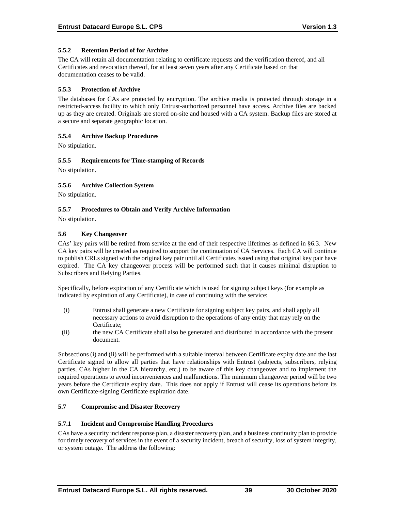### **5.5.2 Retention Period of for Archive**

The CA will retain all documentation relating to certificate requests and the verification thereof, and all Certificates and revocation thereof, for at least seven years after any Certificate based on that documentation ceases to be valid.

#### **5.5.3 Protection of Archive**

The databases for CAs are protected by encryption. The archive media is protected through storage in a restricted-access facility to which only Entrust-authorized personnel have access. Archive files are backed up as they are created. Originals are stored on-site and housed with a CA system. Backup files are stored at a secure and separate geographic location.

### **5.5.4 Archive Backup Procedures**

No stipulation.

### **5.5.5 Requirements for Time-stamping of Records**

No stipulation.

### **5.5.6 Archive Collection System**

No stipulation.

### **5.5.7 Procedures to Obtain and Verify Archive Information**

No stipulation.

### **5.6 Key Changeover**

CAs' key pairs will be retired from service at the end of their respective lifetimes as defined in §6.3. New CA key pairs will be created as required to support the continuation of CA Services. Each CA will continue to publish CRLs signed with the original key pair until all Certificates issued using that original key pair have expired. The CA key changeover process will be performed such that it causes minimal disruption to Subscribers and Relying Parties.

Specifically, before expiration of any Certificate which is used for signing subject keys (for example as indicated by expiration of any Certificate), in case of continuing with the service:

- (i) Entrust shall generate a new Certificate for signing subject key pairs, and shall apply all necessary actions to avoid disruption to the operations of any entity that may rely on the Certificate;
- (ii) the new CA Certificate shall also be generated and distributed in accordance with the present document.

Subsections (i) and (ii) will be performed with a suitable interval between Certificate expiry date and the last Certificate signed to allow all parties that have relationships with Entrust (subjects, subscribers, relying parties, CAs higher in the CA hierarchy, etc.) to be aware of this key changeover and to implement the required operations to avoid inconveniences and malfunctions. The minimum changeover period will be two years before the Certificate expiry date. This does not apply if Entrust will cease its operations before its own Certificate-signing Certificate expiration date.

#### **5.7 Compromise and Disaster Recovery**

#### **5.7.1 Incident and Compromise Handling Procedures**

CAs have a security incident response plan, a disaster recovery plan, and a business continuity plan to provide for timely recovery of services in the event of a security incident, breach of security, loss of system integrity, or system outage. The address the following: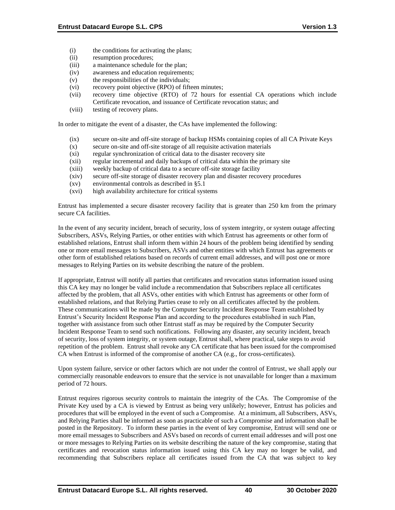- (i) the conditions for activating the plans;
- (ii) resumption procedures;
- (iii) a maintenance schedule for the plan;
- (iv) awareness and education requirements;
- (v) the responsibilities of the individuals;
- (vi) recovery point objective (RPO) of fifteen minutes;
- (vii) recovery time objective (RTO) of 72 hours for essential CA operations which include Certificate revocation, and issuance of Certificate revocation status; and
- (viii) testing of recovery plans.

In order to mitigate the event of a disaster, the CAs have implemented the following:

- (ix) secure on-site and off-site storage of backup HSMs containing copies of all CA Private Keys
- (x) secure on-site and off-site storage of all requisite activation materials
- (xi) regular synchronization of critical data to the disaster recovery site
- (xii) regular incremental and daily backups of critical data within the primary site
- (xiii) weekly backup of critical data to a secure off-site storage facility
- (xiv) secure off-site storage of disaster recovery plan and disaster recovery procedures
- (xv) environmental controls as described in §5.1
- (xvi) high availability architecture for critical systems

Entrust has implemented a secure disaster recovery facility that is greater than 250 km from the primary secure CA facilities.

In the event of any security incident, breach of security, loss of system integrity, or system outage affecting Subscribers, ASVs, Relying Parties, or other entities with which Entrust has agreements or other form of established relations, Entrust shall inform them within 24 hours of the problem being identified by sending one or more email messages to Subscribers, ASVs and other entities with which Entrust has agreements or other form of established relations based on records of current email addresses, and will post one or more messages to Relying Parties on its website describing the nature of the problem.

If appropriate, Entrust will notify all parties that certificates and revocation status information issued using this CA key may no longer be valid include a recommendation that Subscribers replace all certificates affected by the problem, that all ASVs, other entities with which Entrust has agreements or other form of established relations, and that Relying Parties cease to rely on all certificates affected by the problem. These communications will be made by the Computer Security Incident Response Team established by Entrust's Security Incident Response Plan and according to the procedures established in such Plan, together with assistance from such other Entrust staff as may be required by the Computer Security Incident Response Team to send such notifications. Following any disaster, any security incident, breach of security, loss of system integrity, or system outage, Entrust shall, where practical, take steps to avoid repetition of the problem. Entrust shall revoke any CA certificate that has been issued for the compromised CA when Entrust is informed of the compromise of another CA (e.g., for cross-certificates).

Upon system failure, service or other factors which are not under the control of Entrust, we shall apply our commercially reasonable endeavors to ensure that the service is not unavailable for longer than a maximum period of 72 hours.

Entrust requires rigorous security controls to maintain the integrity of the CAs. The Compromise of the Private Key used by a CA is viewed by Entrust as being very unlikely; however, Entrust has policies and procedures that will be employed in the event of such a Compromise. At a minimum, all Subscribers, ASVs, and Relying Parties shall be informed as soon as practicable of such a Compromise and information shall be posted in the Repository. To inform these parties in the event of key compromise, Entrust will send one or more email messages to Subscribers and ASVs based on records of current email addresses and will post one or more messages to Relying Parties on its website describing the nature of the key compromise, stating that certificates and revocation status information issued using this CA key may no longer be valid, and recommending that Subscribers replace all certificates issued from the CA that was subject to key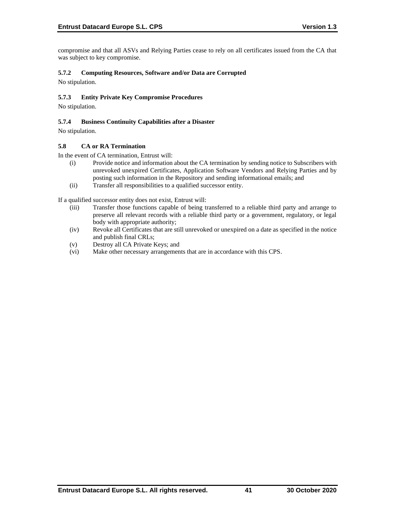compromise and that all ASVs and Relying Parties cease to rely on all certificates issued from the CA that was subject to key compromise.

## **5.7.2 Computing Resources, Software and/or Data are Corrupted**

No stipulation.

## **5.7.3 Entity Private Key Compromise Procedures**

No stipulation.

## **5.7.4 Business Continuity Capabilities after a Disaster**

No stipulation.

### **5.8 CA or RA Termination**

In the event of CA termination, Entrust will:

- (i) Provide notice and information about the CA termination by sending notice to Subscribers with unrevoked unexpired Certificates, Application Software Vendors and Relying Parties and by posting such information in the Repository and sending informational emails; and
- (ii) Transfer all responsibilities to a qualified successor entity.

If a qualified successor entity does not exist, Entrust will:

- (iii) Transfer those functions capable of being transferred to a reliable third party and arrange to preserve all relevant records with a reliable third party or a government, regulatory, or legal body with appropriate authority;
- (iv) Revoke all Certificates that are still unrevoked or unexpired on a date as specified in the notice and publish final CRLs;
- (v) Destroy all CA Private Keys; and
- (vi) Make other necessary arrangements that are in accordance with this CPS.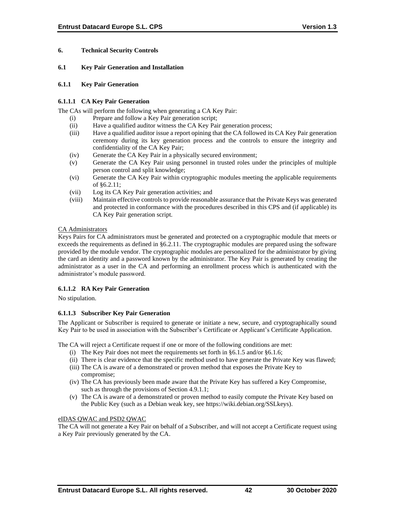## **6. Technical Security Controls**

### **6.1 Key Pair Generation and Installation**

#### **6.1.1 Key Pair Generation**

### **6.1.1.1 CA Key Pair Generation**

The CAs will perform the following when generating a CA Key Pair:

- (i) Prepare and follow a Key Pair generation script;
- (ii) Have a qualified auditor witness the CA Key Pair generation process;
- (iii) Have a qualified auditor issue a report opining that the CA followed its CA Key Pair generation ceremony during its key generation process and the controls to ensure the integrity and confidentiality of the CA Key Pair;
- (iv) Generate the CA Key Pair in a physically secured environment;
- (v) Generate the CA Key Pair using personnel in trusted roles under the principles of multiple person control and split knowledge;
- (vi) Generate the CA Key Pair within cryptographic modules meeting the applicable requirements of §6.2.11;
- (vii) Log its CA Key Pair generation activities; and
- (viii) Maintain effective controls to provide reasonable assurance that the Private Keys was generated and protected in conformance with the procedures described in this CPS and (if applicable) its CA Key Pair generation script.

### CA Administrators

Keys Pairs for CA administrators must be generated and protected on a cryptographic module that meets or exceeds the requirements as defined in §6.2.11. The cryptographic modules are prepared using the software provided by the module vendor. The cryptographic modules are personalized for the administrator by giving the card an identity and a password known by the administrator. The Key Pair is generated by creating the administrator as a user in the CA and performing an enrollment process which is authenticated with the administrator's module password.

## **6.1.1.2 RA Key Pair Generation**

No stipulation.

## **6.1.1.3 Subscriber Key Pair Generation**

The Applicant or Subscriber is required to generate or initiate a new, secure, and cryptographically sound Key Pair to be used in association with the Subscriber's Certificate or Applicant's Certificate Application.

The CA will reject a Certificate request if one or more of the following conditions are met:

- (i) The Key Pair does not meet the requirements set forth in §6.1.5 and/or §6.1.6;
- (ii) There is clear evidence that the specific method used to have generate the Private Key was flawed;
- (iii) The CA is aware of a demonstrated or proven method that exposes the Private Key to compromise;
- (iv) The CA has previously been made aware that the Private Key has suffered a Key Compromise, such as through the provisions of Section 4.9.1.1;
- (v) The CA is aware of a demonstrated or proven method to easily compute the Private Key based on the Public Key (such as a Debian weak key, see https://wiki.debian.org/SSLkeys).

## eIDAS QWAC and PSD2 QWAC

The CA will not generate a Key Pair on behalf of a Subscriber, and will not accept a Certificate request using a Key Pair previously generated by the CA.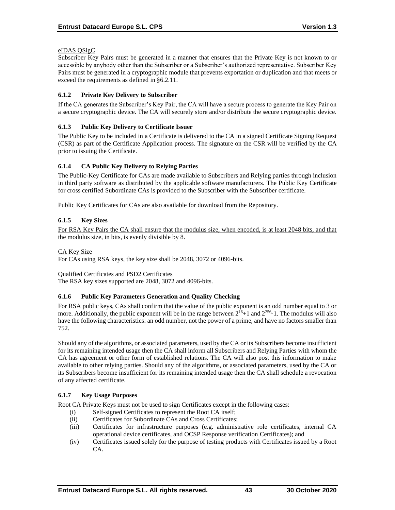### eIDAS QSigC

Subscriber Key Pairs must be generated in a manner that ensures that the Private Key is not known to or accessible by anybody other than the Subscriber or a Subscriber's authorized representative. Subscriber Key Pairs must be generated in a cryptographic module that prevents exportation or duplication and that meets or exceed the requirements as defined in §6.2.11.

### **6.1.2 Private Key Delivery to Subscriber**

If the CA generates the Subscriber's Key Pair, the CA will have a secure process to generate the Key Pair on a secure cryptographic device. The CA will securely store and/or distribute the secure cryptographic device.

### **6.1.3 Public Key Delivery to Certificate Issuer**

The Public Key to be included in a Certificate is delivered to the CA in a signed Certificate Signing Request (CSR) as part of the Certificate Application process. The signature on the CSR will be verified by the CA prior to issuing the Certificate.

### **6.1.4 CA Public Key Delivery to Relying Parties**

The Public-Key Certificate for CAs are made available to Subscribers and Relying parties through inclusion in third party software as distributed by the applicable software manufacturers. The Public Key Certificate for cross certified Subordinate CAs is provided to the Subscriber with the Subscriber certificate.

Public Key Certificates for CAs are also available for download from the Repository.

### **6.1.5 Key Sizes**

For RSA Key Pairs the CA shall ensure that the modulus size, when encoded, is at least 2048 bits, and that the modulus size, in bits, is evenly divisible by 8.

### CA Key Size

For CAs using RSA keys, the key size shall be 2048, 3072 or 4096-bits.

#### Qualified Certificates and PSD2 Certificates

The RSA key sizes supported are 2048, 3072 and 4096-bits.

## **6.1.6 Public Key Parameters Generation and Quality Checking**

For RSA public keys, CAs shall confirm that the value of the public exponent is an odd number equal to 3 or more. Additionally, the public exponent will be in the range between  $2^{16}+1$  and  $2^{256}$ -1. The modulus will also have the following characteristics: an odd number, not the power of a prime, and have no factors smaller than 752.

Should any of the algorithms, or associated parameters, used by the CA or its Subscribers become insufficient for its remaining intended usage then the CA shall inform all Subscribers and Relying Parties with whom the CA has agreement or other form of established relations. The CA will also post this information to make available to other relying parties. Should any of the algorithms, or associated parameters, used by the CA or its Subscribers become insufficient for its remaining intended usage then the CA shall schedule a revocation of any affected certificate.

## **6.1.7 Key Usage Purposes**

Root CA Private Keys must not be used to sign Certificates except in the following cases:

- (i) Self-signed Certificates to represent the Root CA itself;
- (ii) Certificates for Subordinate CAs and Cross Certificates;
- (iii) Certificates for infrastructure purposes (e.g. administrative role certificates, internal CA operational device certificates, and OCSP Response verification Certificates); and
- (iv) Certificates issued solely for the purpose of testing products with Certificates issued by a Root CA.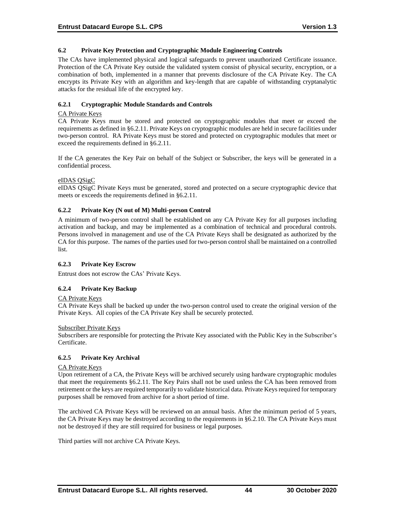### **6.2 Private Key Protection and Cryptographic Module Engineering Controls**

The CAs have implemented physical and logical safeguards to prevent unauthorized Certificate issuance. Protection of the CA Private Key outside the validated system consist of physical security, encryption, or a combination of both, implemented in a manner that prevents disclosure of the CA Private Key. The CA encrypts its Private Key with an algorithm and key-length that are capable of withstanding cryptanalytic attacks for the residual life of the encrypted key.

## **6.2.1 Cryptographic Module Standards and Controls**

#### CA Private Keys

CA Private Keys must be stored and protected on cryptographic modules that meet or exceed the requirements as defined in §6.2.11. Private Keys on cryptographic modules are held in secure facilities under two-person control. RA Private Keys must be stored and protected on cryptographic modules that meet or exceed the requirements defined in §6.2.11.

If the CA generates the Key Pair on behalf of the Subject or Subscriber, the keys will be generated in a confidential process.

### eIDAS QSigC

eIDAS QSigC Private Keys must be generated, stored and protected on a secure cryptographic device that meets or exceeds the requirements defined in §6.2.11.

### **6.2.2 Private Key (N out of M) Multi-person Control**

A minimum of two-person control shall be established on any CA Private Key for all purposes including activation and backup, and may be implemented as a combination of technical and procedural controls. Persons involved in management and use of the CA Private Keys shall be designated as authorized by the CA for this purpose. The names of the parties used for two-person control shall be maintained on a controlled list.

#### **6.2.3 Private Key Escrow**

Entrust does not escrow the CAs' Private Keys.

## **6.2.4 Private Key Backup**

#### CA Private Keys

CA Private Keys shall be backed up under the two-person control used to create the original version of the Private Keys. All copies of the CA Private Key shall be securely protected.

#### Subscriber Private Keys

Subscribers are responsible for protecting the Private Key associated with the Public Key in the Subscriber's Certificate.

# **6.2.5 Private Key Archival**

#### CA Private Keys

Upon retirement of a CA, the Private Keys will be archived securely using hardware cryptographic modules that meet the requirements §6.2.11. The Key Pairs shall not be used unless the CA has been removed from retirement or the keys are required temporarily to validate historical data. Private Keys required for temporary purposes shall be removed from archive for a short period of time.

The archived CA Private Keys will be reviewed on an annual basis. After the minimum period of 5 years, the CA Private Keys may be destroyed according to the requirements in §6.2.10. The CA Private Keys must not be destroyed if they are still required for business or legal purposes.

Third parties will not archive CA Private Keys.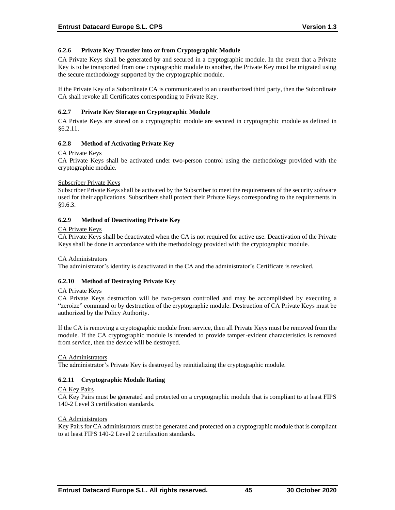## **6.2.6 Private Key Transfer into or from Cryptographic Module**

CA Private Keys shall be generated by and secured in a cryptographic module. In the event that a Private Key is to be transported from one cryptographic module to another, the Private Key must be migrated using the secure methodology supported by the cryptographic module.

If the Private Key of a Subordinate CA is communicated to an unauthorized third party, then the Subordinate CA shall revoke all Certificates corresponding to Private Key.

### **6.2.7 Private Key Storage on Cryptographic Module**

CA Private Keys are stored on a cryptographic module are secured in cryptographic module as defined in §6.2.11.

### **6.2.8 Method of Activating Private Key**

#### CA Private Keys

CA Private Keys shall be activated under two-person control using the methodology provided with the cryptographic module.

#### Subscriber Private Keys

Subscriber Private Keys shall be activated by the Subscriber to meet the requirements of the security software used for their applications. Subscribers shall protect their Private Keys corresponding to the requirements in §9.6.3.

## **6.2.9 Method of Deactivating Private Key**

#### CA Private Keys

CA Private Keys shall be deactivated when the CA is not required for active use. Deactivation of the Private Keys shall be done in accordance with the methodology provided with the cryptographic module.

#### CA Administrators

The administrator's identity is deactivated in the CA and the administrator's Certificate is revoked.

## **6.2.10 Method of Destroying Private Key**

#### CA Private Keys

CA Private Keys destruction will be two-person controlled and may be accomplished by executing a "zeroize" command or by destruction of the cryptographic module. Destruction of CA Private Keys must be authorized by the Policy Authority.

If the CA is removing a cryptographic module from service, then all Private Keys must be removed from the module. If the CA cryptographic module is intended to provide tamper-evident characteristics is removed from service, then the device will be destroyed.

#### CA Administrators

The administrator's Private Key is destroyed by reinitializing the cryptographic module.

## **6.2.11 Cryptographic Module Rating**

#### CA Key Pairs

CA Key Pairs must be generated and protected on a cryptographic module that is compliant to at least FIPS 140-2 Level 3 certification standards.

#### CA Administrators

Key Pairs for CA administrators must be generated and protected on a cryptographic module that is compliant to at least FIPS 140-2 Level 2 certification standards.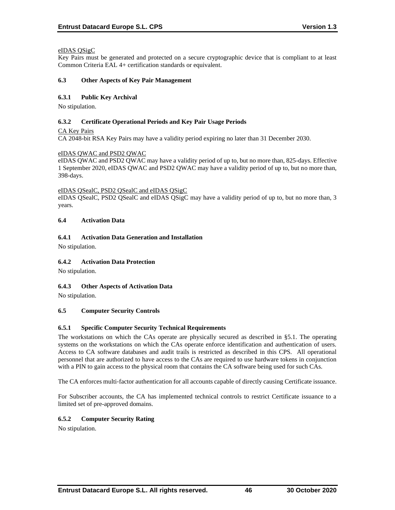### eIDAS QSigC

Key Pairs must be generated and protected on a secure cryptographic device that is compliant to at least Common Criteria EAL 4+ certification standards or equivalent.

#### **6.3 Other Aspects of Key Pair Management**

### **6.3.1 Public Key Archival**

No stipulation.

### **6.3.2 Certificate Operational Periods and Key Pair Usage Periods**

CA Key Pairs

CA 2048-bit RSA Key Pairs may have a validity period expiring no later than 31 December 2030.

### eIDAS QWAC and PSD2 QWAC

eIDAS QWAC and PSD2 QWAC may have a validity period of up to, but no more than, 825-days. Effective 1 September 2020, eIDAS QWAC and PSD2 QWAC may have a validity period of up to, but no more than, 398-days.

#### eIDAS QSealC, PSD2 QSealC and eIDAS QSigC

eIDAS QSealC, PSD2 QSealC and eIDAS QSigC may have a validity period of up to, but no more than, 3 years.

### **6.4 Activation Data**

## **6.4.1 Activation Data Generation and Installation**

No stipulation.

## **6.4.2 Activation Data Protection**

No stipulation.

## **6.4.3 Other Aspects of Activation Data**

No stipulation.

## **6.5 Computer Security Controls**

## **6.5.1 Specific Computer Security Technical Requirements**

The workstations on which the CAs operate are physically secured as described in §5.1. The operating systems on the workstations on which the CAs operate enforce identification and authentication of users. Access to CA software databases and audit trails is restricted as described in this CPS. All operational personnel that are authorized to have access to the CAs are required to use hardware tokens in conjunction with a PIN to gain access to the physical room that contains the CA software being used for such CAs.

The CA enforces multi-factor authentication for all accounts capable of directly causing Certificate issuance.

For Subscriber accounts, the CA has implemented technical controls to restrict Certificate issuance to a limited set of pre-approved domains.

## **6.5.2 Computer Security Rating**

No stipulation.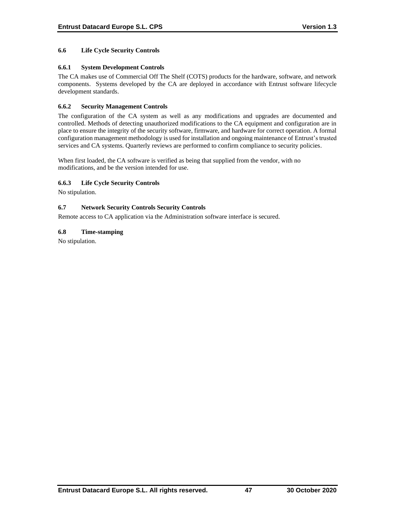### **6.6 Life Cycle Security Controls**

### **6.6.1 System Development Controls**

The CA makes use of Commercial Off The Shelf (COTS) products for the hardware, software, and network components. Systems developed by the CA are deployed in accordance with Entrust software lifecycle development standards.

### **6.6.2 Security Management Controls**

The configuration of the CA system as well as any modifications and upgrades are documented and controlled. Methods of detecting unauthorized modifications to the CA equipment and configuration are in place to ensure the integrity of the security software, firmware, and hardware for correct operation. A formal configuration management methodology is used for installation and ongoing maintenance of Entrust's trusted services and CA systems. Quarterly reviews are performed to confirm compliance to security policies.

When first loaded, the CA software is verified as being that supplied from the vendor, with no modifications, and be the version intended for use.

### **6.6.3 Life Cycle Security Controls**

No stipulation.

### **6.7 Network Security Controls Security Controls**

Remote access to CA application via the Administration software interface is secured.

### **6.8 Time-stamping**

No stipulation.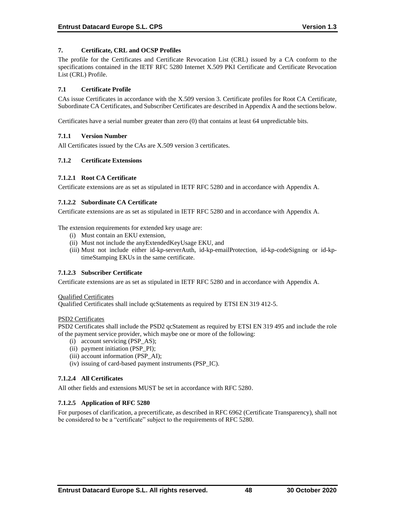## **7. Certificate, CRL and OCSP Profiles**

The profile for the Certificates and Certificate Revocation List (CRL) issued by a CA conform to the specifications contained in the IETF RFC 5280 Internet X.509 PKI Certificate and Certificate Revocation List (CRL) Profile.

### **7.1 Certificate Profile**

CAs issue Certificates in accordance with the X.509 version 3. Certificate profiles for Root CA Certificate, Subordinate CA Certificates, and Subscriber Certificates are described in Appendix A and the sections below.

Certificates have a serial number greater than zero (0) that contains at least 64 unpredictable bits.

### **7.1.1 Version Number**

All Certificates issued by the CAs are X.509 version 3 certificates.

### **7.1.2 Certificate Extensions**

### **7.1.2.1 Root CA Certificate**

Certificate extensions are as set as stipulated in IETF RFC 5280 and in accordance with Appendix A.

### **7.1.2.2 Subordinate CA Certificate**

Certificate extensions are as set as stipulated in IETF RFC 5280 and in accordance with Appendix A.

The extension requirements for extended key usage are:

- (i) Must contain an EKU extension,
- (ii) Must not include the anyExtendedKeyUsage EKU, and
- (iii) Must not include either id-kp-serverAuth, id-kp-emailProtection, id-kp-codeSigning or id-kptimeStamping EKUs in the same certificate.

## **7.1.2.3 Subscriber Certificate**

Certificate extensions are as set as stipulated in IETF RFC 5280 and in accordance with Appendix A.

#### Qualified Certificates

Qualified Certificates shall include qcStatements as required by ETSI EN 319 412-5.

#### PSD2 Certificates

PSD2 Certificates shall include the PSD2 qcStatement as required by ETSI EN 319 495 and include the role of the payment service provider, which maybe one or more of the following:

- (i) account servicing (PSP\_AS);
- (ii) payment initiation (PSP\_PI);
- (iii) account information (PSP\_AI);
- (iv) issuing of card-based payment instruments (PSP\_IC).

## **7.1.2.4 All Certificates**

All other fields and extensions MUST be set in accordance with RFC 5280.

#### **7.1.2.5 Application of RFC 5280**

For purposes of clarification, a precertificate, as described in RFC 6962 (Certificate Transparency), shall not be considered to be a "certificate" subject to the requirements of RFC 5280.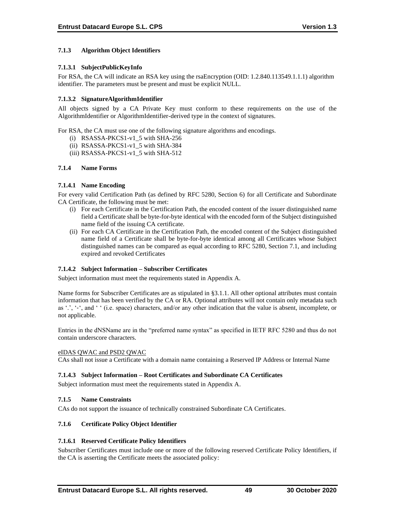## **7.1.3 Algorithm Object Identifiers**

## **7.1.3.1 SubjectPublicKeyInfo**

For RSA, the CA will indicate an RSA key using the rsaEncryption (OID: 1.2.840.113549.1.1.1) algorithm identifier. The parameters must be present and must be explicit NULL.

## **7.1.3.2 SignatureAlgorithmIdentifier**

All objects signed by a CA Private Key must conform to these requirements on the use of the AlgorithmIdentifier or AlgorithmIdentifier-derived type in the context of signatures.

For RSA, the CA must use one of the following signature algorithms and encodings.

- (i) RSASSA-PKCS1-v1\_5 with SHA-256
- (ii) RSASSA-PKCS1-v1\_5 with SHA-384
- (iii) RSASSA-PKCS1-v1\_5 with SHA-512

### **7.1.4 Name Forms**

### **7.1.4.1 Name Encoding**

For every valid Certification Path (as defined by RFC 5280, Section 6) for all Certificate and Subordinate CA Certificate, the following must be met:

- (i) For each Certificate in the Certification Path, the encoded content of the issuer distinguished name field a Certificate shall be byte-for-byte identical with the encoded form of the Subject distinguished name field of the issuing CA certificate.
- (ii) For each CA Certificate in the Certification Path, the encoded content of the Subject distinguished name field of a Certificate shall be byte-for-byte identical among all Certificates whose Subject distinguished names can be compared as equal according to RFC 5280, Section 7.1, and including expired and revoked Certificates

## **7.1.4.2 Subject Information – Subscriber Certificates**

Subject information must meet the requirements stated in Appendix A.

Name forms for Subscriber Certificates are as stipulated in §3.1.1. All other optional attributes must contain information that has been verified by the CA or RA. Optional attributes will not contain only metadata such as '.', '-', and ' ' (i.e. space) characters, and/or any other indication that the value is absent, incomplete, or not applicable.

Entries in the dNSName are in the "preferred name syntax" as specified in IETF RFC 5280 and thus do not contain underscore characters.

#### eIDAS QWAC and PSD2 QWAC

CAs shall not issue a Certificate with a domain name containing a Reserved IP Address or Internal Name

#### **7.1.4.3 Subject Information – Root Certificates and Subordinate CA Certificates**

Subject information must meet the requirements stated in Appendix A.

#### **7.1.5 Name Constraints**

CAs do not support the issuance of technically constrained Subordinate CA Certificates.

#### **7.1.6 Certificate Policy Object Identifier**

## **7.1.6.1 Reserved Certificate Policy Identifiers**

Subscriber Certificates must include one or more of the following reserved Certificate Policy Identifiers, if the CA is asserting the Certificate meets the associated policy: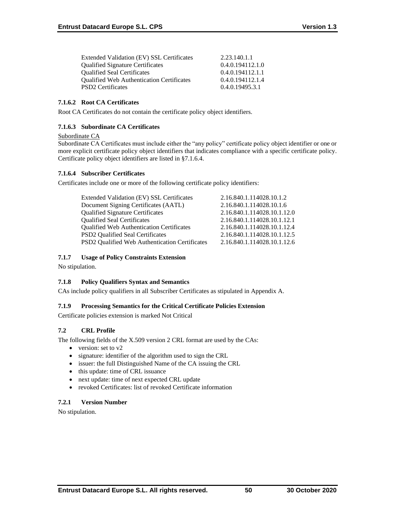| Extended Validation (EV) SSL Certificates        | 2.23.140.1.1     |
|--------------------------------------------------|------------------|
| <b>Qualified Signature Certificates</b>          | 0.4.0.194112.1.0 |
| <b>Oualified Seal Certificates</b>               | 0.4.0.194112.1.1 |
| <b>Qualified Web Authentication Certificates</b> | 0.4.0.194112.1.4 |
| <b>PSD2</b> Certificates                         | 0.4.0.19495.3.1  |

### **7.1.6.2 Root CA Certificates**

Root CA Certificates do not contain the certificate policy object identifiers.

## **7.1.6.3 Subordinate CA Certificates**

### Subordinate CA

Subordinate CA Certificates must include either the "any policy" certificate policy object identifier or one or more explicit certificate policy object identifiers that indicates compliance with a specific certificate policy. Certificate policy object identifiers are listed in §7.1.6.4.

## **7.1.6.4 Subscriber Certificates**

Certificates include one or more of the following certificate policy identifiers:

| Extended Validation (EV) SSL Certificates        | 2.16.840.1.114028.10.1.2    |
|--------------------------------------------------|-----------------------------|
| Document Signing Certificates (AATL)             | 2.16.840.1.114028.10.1.6    |
| <b>Qualified Signature Certificates</b>          | 2.16.840.1.114028.10.1.12.0 |
| <b>Qualified Seal Certificates</b>               | 2.16.840.1.114028.10.1.12.1 |
| <b>Qualified Web Authentication Certificates</b> | 2.16.840.1.114028.10.1.12.4 |
| <b>PSD2</b> Qualified Seal Certificates          | 2.16.840.1.114028.10.1.12.5 |
| PSD2 Qualified Web Authentication Certificates   | 2.16.840.1.114028.10.1.12.6 |
|                                                  |                             |

### **7.1.7 Usage of Policy Constraints Extension**

No stipulation.

## **7.1.8 Policy Qualifiers Syntax and Semantics**

CAs include policy qualifiers in all Subscriber Certificates as stipulated in Appendix A.

## **7.1.9 Processing Semantics for the Critical Certificate Policies Extension**

Certificate policies extension is marked Not Critical

## **7.2 CRL Profile**

The following fields of the X.509 version 2 CRL format are used by the CAs:

- version: set to v2
- signature: identifier of the algorithm used to sign the CRL
- issuer: the full Distinguished Name of the CA issuing the CRL
- this update: time of CRL issuance
- next update: time of next expected CRL update
- revoked Certificates: list of revoked Certificate information

## **7.2.1 Version Number**

No stipulation.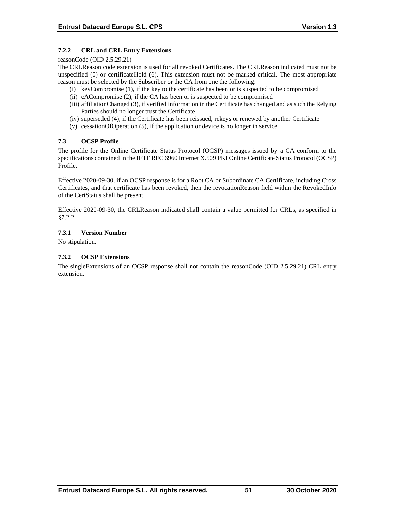## **7.2.2 CRL and CRL Entry Extensions**

#### reasonCode (OID 2.5.29.21)

The CRLReason code extension is used for all revoked Certificates. The CRLReason indicated must not be unspecified (0) or certificateHold (6). This extension must not be marked critical. The most appropriate reason must be selected by the Subscriber or the CA from one the following:

- (i) keyCompromise (1), if the key to the certificate has been or is suspected to be compromised
- (ii) cACompromise (2), if the CA has been or is suspected to be compromised
- (iii) affiliationChanged (3), if verified information in the Certificate has changed and as such the Relying Parties should no longer trust the Certificate
- (iv) superseded (4), if the Certificate has been reissued, rekeys or renewed by another Certificate
- (v) cessationOfOperation (5), if the application or device is no longer in service

## **7.3 OCSP Profile**

The profile for the Online Certificate Status Protocol (OCSP) messages issued by a CA conform to the specifications contained in the IETF RFC 6960 Internet X.509 PKI Online Certificate Status Protocol (OCSP) Profile.

Effective 2020-09-30, if an OCSP response is for a Root CA or Subordinate CA Certificate, including Cross Certificates, and that certificate has been revoked, then the revocationReason field within the RevokedInfo of the CertStatus shall be present.

Effective 2020-09-30, the CRLReason indicated shall contain a value permitted for CRLs, as specified in §7.2.2.

### **7.3.1 Version Number**

No stipulation.

### **7.3.2 OCSP Extensions**

The singleExtensions of an OCSP response shall not contain the reasonCode (OID 2.5.29.21) CRL entry extension.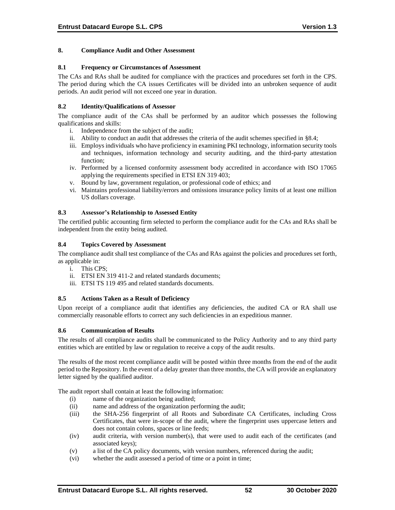### **8. Compliance Audit and Other Assessment**

#### **8.1 Frequency or Circumstances of Assessment**

The CAs and RAs shall be audited for compliance with the practices and procedures set forth in the CPS. The period during which the CA issues Certificates will be divided into an unbroken sequence of audit periods. An audit period will not exceed one year in duration.

### **8.2 Identity/Qualifications of Assessor**

The compliance audit of the CAs shall be performed by an auditor which possesses the following qualifications and skills:

- i. Independence from the subject of the audit;
- ii. Ability to conduct an audit that addresses the criteria of the audit schemes specified in §8.4;
- iii. Employs individuals who have proficiency in examining PKI technology, information security tools and techniques, information technology and security auditing, and the third-party attestation function;
- iv. Performed by a licensed conformity assessment body accredited in accordance with ISO 17065 applying the requirements specified in ETSI EN 319 403;
- v. Bound by law, government regulation, or professional code of ethics; and
- vi. Maintains professional liability/errors and omissions insurance policy limits of at least one million US dollars coverage.

### **8.3 Assessor's Relationship to Assessed Entity**

The certified public accounting firm selected to perform the compliance audit for the CAs and RAs shall be independent from the entity being audited.

#### **8.4 Topics Covered by Assessment**

The compliance audit shall test compliance of the CAs and RAs against the policies and procedures set forth, as applicable in:

- i. This CPS;
- ii. ETSI EN 319 411-2 and related standards documents;
- iii. ETSI TS 119 495 and related standards documents.

### **8.5 Actions Taken as a Result of Deficiency**

Upon receipt of a compliance audit that identifies any deficiencies, the audited CA or RA shall use commercially reasonable efforts to correct any such deficiencies in an expeditious manner.

#### **8.6 Communication of Results**

The results of all compliance audits shall be communicated to the Policy Authority and to any third party entities which are entitled by law or regulation to receive a copy of the audit results.

The results of the most recent compliance audit will be posted within three months from the end of the audit period to the Repository. In the event of a delay greater than three months, the CA will provide an explanatory letter signed by the qualified auditor.

The audit report shall contain at least the following information:

- (i) name of the organization being audited;
- (ii) name and address of the organization performing the audit;
- (iii) the SHA-256 fingerprint of all Roots and Subordinate CA Certificates, including Cross Certificates, that were in-scope of the audit, where the fingerprint uses uppercase letters and does not contain colons, spaces or line feeds;
- (iv) audit criteria, with version number(s), that were used to audit each of the certificates (and associated keys);
- (v) a list of the CA policy documents, with version numbers, referenced during the audit;
- (vi) whether the audit assessed a period of time or a point in time;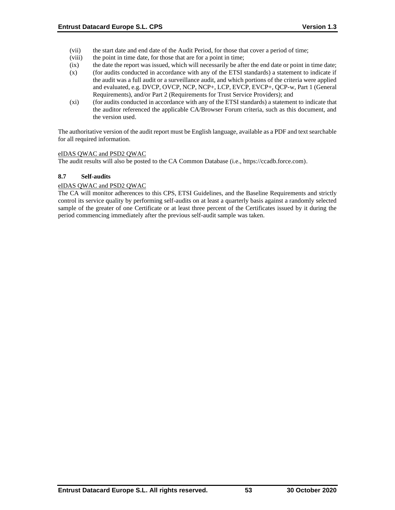- (vii) the start date and end date of the Audit Period, for those that cover a period of time;
- (viii) the point in time date, for those that are for a point in time;
- (ix) the date the report was issued, which will necessarily be after the end date or point in time date;
- (x) (for audits conducted in accordance with any of the ETSI standards) a statement to indicate if the audit was a full audit or a surveillance audit, and which portions of the criteria were applied and evaluated, e.g. DVCP, OVCP, NCP, NCP+, LCP, EVCP, EVCP+, QCP-w, Part 1 (General Requirements), and/or Part 2 (Requirements for Trust Service Providers); and
- (xi) (for audits conducted in accordance with any of the ETSI standards) a statement to indicate that the auditor referenced the applicable CA/Browser Forum criteria, such as this document, and the version used.

The authoritative version of the audit report must be English language, available as a PDF and text searchable for all required information.

### eIDAS QWAC and PSD2 QWAC

The audit results will also be posted to the CA Common Database (i.e., https://ccadb.force.com).

#### **8.7 Self-audits**

### eIDAS QWAC and PSD2 QWAC

The CA will monitor adherences to this CPS, ETSI Guidelines, and the Baseline Requirements and strictly control its service quality by performing self-audits on at least a quarterly basis against a randomly selected sample of the greater of one Certificate or at least three percent of the Certificates issued by it during the period commencing immediately after the previous self-audit sample was taken.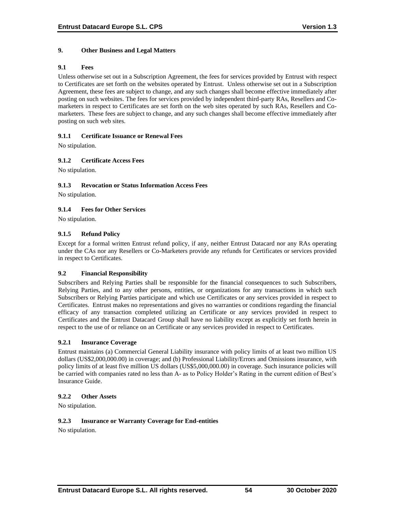### **9. Other Business and Legal Matters**

#### **9.1 Fees**

Unless otherwise set out in a Subscription Agreement, the fees for services provided by Entrust with respect to Certificates are set forth on the websites operated by Entrust. Unless otherwise set out in a Subscription Agreement, these fees are subject to change, and any such changes shall become effective immediately after posting on such websites. The fees for services provided by independent third-party RAs, Resellers and Comarketers in respect to Certificates are set forth on the web sites operated by such RAs, Resellers and Comarketers. These fees are subject to change, and any such changes shall become effective immediately after posting on such web sites.

### **9.1.1 Certificate Issuance or Renewal Fees**

No stipulation.

## **9.1.2 Certificate Access Fees**

No stipulation.

### **9.1.3 Revocation or Status Information Access Fees**

No stipulation.

## **9.1.4 Fees for Other Services**

No stipulation.

### **9.1.5 Refund Policy**

Except for a formal written Entrust refund policy, if any, neither Entrust Datacard nor any RAs operating under the CAs nor any Resellers or Co-Marketers provide any refunds for Certificates or services provided in respect to Certificates.

#### **9.2 Financial Responsibility**

Subscribers and Relying Parties shall be responsible for the financial consequences to such Subscribers, Relying Parties, and to any other persons, entities, or organizations for any transactions in which such Subscribers or Relying Parties participate and which use Certificates or any services provided in respect to Certificates. Entrust makes no representations and gives no warranties or conditions regarding the financial efficacy of any transaction completed utilizing an Certificate or any services provided in respect to Certificates and the Entrust Datacard Group shall have no liability except as explicitly set forth herein in respect to the use of or reliance on an Certificate or any services provided in respect to Certificates.

#### **9.2.1 Insurance Coverage**

Entrust maintains (a) Commercial General Liability insurance with policy limits of at least two million US dollars (US\$2,000,000.00) in coverage; and (b) Professional Liability/Errors and Omissions insurance, with policy limits of at least five million US dollars (US\$5,000,000.00) in coverage. Such insurance policies will be carried with companies rated no less than A- as to Policy Holder's Rating in the current edition of Best's Insurance Guide.

#### **9.2.2 Other Assets**

No stipulation.

#### **9.2.3 Insurance or Warranty Coverage for End-entities**

No stipulation.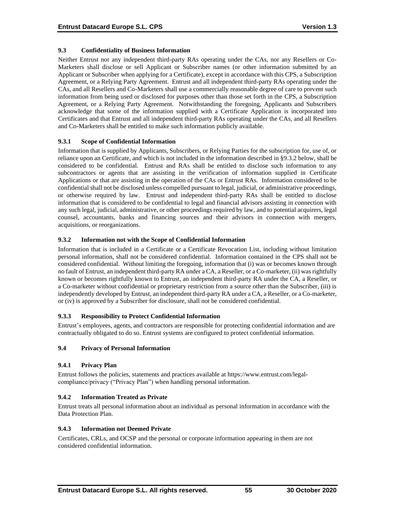## **9.3 Confidentiality of Business Information**

Neither Entrust nor any independent third-party RAs operating under the CAs, nor any Resellers or Co-Marketers shall disclose or sell Applicant or Subscriber names (or other information submitted by an Applicant or Subscriber when applying for a Certificate), except in accordance with this CPS, a Subscription Agreement, or a Relying Party Agreement. Entrust and all independent third-party RAs operating under the CAs, and all Resellers and Co-Marketers shall use a commercially reasonable degree of care to prevent such information from being used or disclosed for purposes other than those set forth in the CPS, a Subscription Agreement, or a Relying Party Agreement. Notwithstanding the foregoing, Applicants and Subscribers acknowledge that some of the information supplied with a Certificate Application is incorporated into Certificates and that Entrust and all independent third-party RAs operating under the CAs, and all Resellers and Co-Marketers shall be entitled to make such information publicly available.

### **9.3.1 Scope of Confidential Information**

Information that is supplied by Applicants, Subscribers, or Relying Parties for the subscription for, use of, or reliance upon an Certificate, and which is not included in the information described in §9.3.2 below, shall be considered to be confidential. Entrust and RAs shall be entitled to disclose such information to any subcontractors or agents that are assisting in the verification of information supplied in Certificate Applications or that are assisting in the operation of the CAs or Entrust RAs. Information considered to be confidential shall not be disclosed unless compelled pursuant to legal, judicial, or administrative proceedings, or otherwise required by law. Entrust and independent third-party RAs shall be entitled to disclose information that is considered to be confidential to legal and financial advisors assisting in connection with any such legal, judicial, administrative, or other proceedings required by law, and to potential acquirers, legal counsel, accountants, banks and financing sources and their advisors in connection with mergers, acquisitions, or reorganizations.

### **9.3.2 Information not with the Scope of Confidential Information**

Information that is included in a Certificate or a Certificate Revocation List, including without limitation personal information, shall not be considered confidential. Information contained in the CPS shall not be considered confidential. Without limiting the foregoing, information that (i) was or becomes known through no fault of Entrust, an independent third-party RA under a CA, a Reseller, or a Co-marketer, (ii) was rightfully known or becomes rightfully known to Entrust, an independent third-party RA under the CA, a Reseller, or a Co-marketer without confidential or proprietary restriction from a source other than the Subscriber, (iii) is independently developed by Entrust, an independent third-party RA under a CA, a Reseller, or a Co-marketer, or (iv) is approved by a Subscriber for disclosure, shall not be considered confidential.

## **9.3.3 Responsibility to Protect Confidential Information**

Entrust's employees, agents, and contractors are responsible for protecting confidential information and are contractually obligated to do so. Entrust systems are configured to protect confidential information.

#### **9.4 Privacy of Personal Information**

## **9.4.1 Privacy Plan**

Entrust follows the policies, statements and practices available at https://www.entrust.com/legalcompliance/privacy ("Privacy Plan") when handling personal information.

## **9.4.2 Information Treated as Private**

Entrust treats all personal information about an individual as personal information in accordance with the Data Protection Plan.

#### **9.4.3 Information not Deemed Private**

Certificates, CRLs, and OCSP and the personal or corporate information appearing in them are not considered confidential information.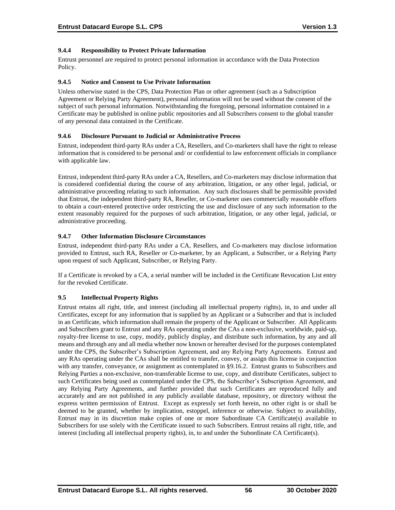## **9.4.4 Responsibility to Protect Private Information**

Entrust personnel are required to protect personal information in accordance with the Data Protection Policy.

### **9.4.5 Notice and Consent to Use Private Information**

Unless otherwise stated in the CPS, Data Protection Plan or other agreement (such as a Subscription Agreement or Relying Party Agreement), personal information will not be used without the consent of the subject of such personal information. Notwithstanding the foregoing, personal information contained in a Certificate may be published in online public repositories and all Subscribers consent to the global transfer of any personal data contained in the Certificate.

### **9.4.6 Disclosure Pursuant to Judicial or Administrative Process**

Entrust, independent third-party RAs under a CA, Resellers, and Co-marketers shall have the right to release information that is considered to be personal and/ or confidential to law enforcement officials in compliance with applicable law.

Entrust, independent third-party RAs under a CA, Resellers, and Co-marketers may disclose information that is considered confidential during the course of any arbitration, litigation, or any other legal, judicial, or administrative proceeding relating to such information. Any such disclosures shall be permissible provided that Entrust, the independent third-party RA, Reseller, or Co-marketer uses commercially reasonable efforts to obtain a court-entered protective order restricting the use and disclosure of any such information to the extent reasonably required for the purposes of such arbitration, litigation, or any other legal, judicial, or administrative proceeding.

### **9.4.7 Other Information Disclosure Circumstances**

Entrust, independent third-party RAs under a CA, Resellers, and Co-marketers may disclose information provided to Entrust, such RA, Reseller or Co-marketer, by an Applicant, a Subscriber, or a Relying Party upon request of such Applicant, Subscriber, or Relying Party.

If a Certificate is revoked by a CA, a serial number will be included in the Certificate Revocation List entry for the revoked Certificate.

## **9.5 Intellectual Property Rights**

Entrust retains all right, title, and interest (including all intellectual property rights), in, to and under all Certificates, except for any information that is supplied by an Applicant or a Subscriber and that is included in an Certificate, which information shall remain the property of the Applicant or Subscriber. All Applicants and Subscribers grant to Entrust and any RAs operating under the CAs a non-exclusive, worldwide, paid-up, royalty-free license to use, copy, modify, publicly display, and distribute such information, by any and all means and through any and all media whether now known or hereafter devised for the purposes contemplated under the CPS, the Subscriber's Subscription Agreement, and any Relying Party Agreements. Entrust and any RAs operating under the CAs shall be entitled to transfer, convey, or assign this license in conjunction with any transfer, conveyance, or assignment as contemplated in §9.16.2. Entrust grants to Subscribers and Relying Parties a non-exclusive, non-transferable license to use, copy, and distribute Certificates, subject to such Certificates being used as contemplated under the CPS, the Subscriber's Subscription Agreement, and any Relying Party Agreements, and further provided that such Certificates are reproduced fully and accurately and are not published in any publicly available database, repository, or directory without the express written permission of Entrust. Except as expressly set forth herein, no other right is or shall be deemed to be granted, whether by implication, estoppel, inference or otherwise. Subject to availability, Entrust may in its discretion make copies of one or more Subordinate CA Certificate(s) available to Subscribers for use solely with the Certificate issued to such Subscribers. Entrust retains all right, title, and interest (including all intellectual property rights), in, to and under the Subordinate CA Certificate(s).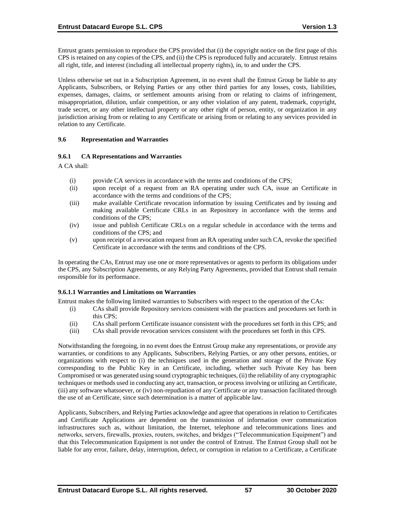Entrust grants permission to reproduce the CPS provided that (i) the copyright notice on the first page of this CPS is retained on any copies of the CPS, and (ii) the CPS is reproduced fully and accurately. Entrust retains all right, title, and interest (including all intellectual property rights), in, to and under the CPS.

Unless otherwise set out in a Subscription Agreement, in no event shall the Entrust Group be liable to any Applicants, Subscribers, or Relying Parties or any other third parties for any losses, costs, liabilities, expenses, damages, claims, or settlement amounts arising from or relating to claims of infringement, misappropriation, dilution, unfair competition, or any other violation of any patent, trademark, copyright, trade secret, or any other intellectual property or any other right of person, entity, or organization in any jurisdiction arising from or relating to any Certificate or arising from or relating to any services provided in relation to any Certificate.

### **9.6 Representation and Warranties**

### **9.6.1 CA Representations and Warranties**

A CA shall:

- (i) provide CA services in accordance with the terms and conditions of the CPS;
- (ii) upon receipt of a request from an RA operating under such CA, issue an Certificate in accordance with the terms and conditions of the CPS;
- (iii) make available Certificate revocation information by issuing Certificates and by issuing and making available Certificate CRLs in an Repository in accordance with the terms and conditions of the CPS;
- (iv) issue and publish Certificate CRLs on a regular schedule in accordance with the terms and conditions of the CPS; and
- (v) upon receipt of a revocation request from an RA operating under such CA, revoke the specified Certificate in accordance with the terms and conditions of the CPS.

In operating the CAs, Entrust may use one or more representatives or agents to perform its obligations under the CPS, any Subscription Agreements, or any Relying Party Agreements, provided that Entrust shall remain responsible for its performance.

#### **9.6.1.1 Warranties and Limitations on Warranties**

Entrust makes the following limited warranties to Subscribers with respect to the operation of the CAs:

- (i) CAs shall provide Repository services consistent with the practices and procedures set forth in this CPS;
- (ii) CAs shall perform Certificate issuance consistent with the procedures set forth in this CPS; and
- (iii) CAs shall provide revocation services consistent with the procedures set forth in this CPS.

Notwithstanding the foregoing, in no event does the Entrust Group make any representations, or provide any warranties, or conditions to any Applicants, Subscribers, Relying Parties, or any other persons, entities, or organizations with respect to (i) the techniques used in the generation and storage of the Private Key corresponding to the Public Key in an Certificate, including, whether such Private Key has been Compromised or was generated using sound cryptographic techniques, (ii) the reliability of any cryptographic techniques or methods used in conducting any act, transaction, or process involving or utilizing an Certificate, (iii) any software whatsoever, or (iv) non-repudiation of any Certificate or any transaction facilitated through the use of an Certificate, since such determination is a matter of applicable law.

Applicants, Subscribers, and Relying Parties acknowledge and agree that operations in relation to Certificates and Certificate Applications are dependent on the transmission of information over communication infrastructures such as, without limitation, the Internet, telephone and telecommunications lines and networks, servers, firewalls, proxies, routers, switches, and bridges ("Telecommunication Equipment") and that this Telecommunication Equipment is not under the control of Entrust. The Entrust Group shall not be liable for any error, failure, delay, interruption, defect, or corruption in relation to a Certificate, a Certificate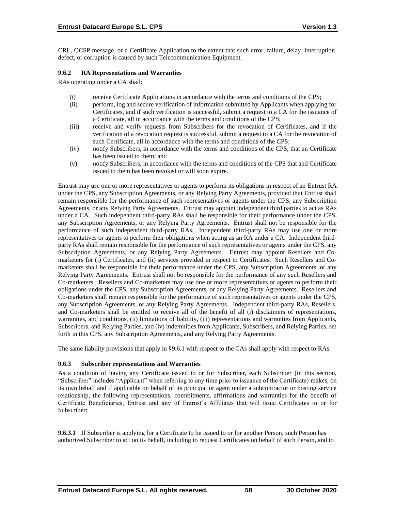CRL, OCSP message, or a Certificate Application to the extent that such error, failure, delay, interruption, defect, or corruption is caused by such Telecommunication Equipment.

### **9.6.2 RA Representations and Warranties**

RAs operating under a CA shall:

- (i) receive Certificate Applications in accordance with the terms and conditions of the CPS;
- (ii) perform, log and secure verification of information submitted by Applicants when applying for Certificates, and if such verification is successful, submit a request to a CA for the issuance of a Certificate, all in accordance with the terms and conditions of the CPS;
- (iii) receive and verify requests from Subscribers for the revocation of Certificates, and if the verification of a revocation request is successful, submit a request to a CA for the revocation of such Certificate, all in accordance with the terms and conditions of the CPS;
- (iv) notify Subscribers, in accordance with the terms and conditions of the CPS, that an Certificate has been issued to them; and
- (v) notify Subscribers, in accordance with the terms and conditions of the CPS that and Certificate issued to them has been revoked or will soon expire.

Entrust may use one or more representatives or agents to perform its obligations in respect of an Entrust RA under the CPS, any Subscription Agreements, or any Relying Party Agreements, provided that Entrust shall remain responsible for the performance of such representatives or agents under the CPS, any Subscription Agreements, or any Relying Party Agreements. Entrust may appoint independent third parties to act as RAs under a CA. Such independent third-party RAs shall be responsible for their performance under the CPS, any Subscription Agreements, or any Relying Party Agreements. Entrust shall not be responsible for the performance of such independent third-party RAs. Independent third-party RAs may use one or more representatives or agents to perform their obligations when acting as an RA under a CA. Independent thirdparty RAs shall remain responsible for the performance of such representatives or agents under the CPS, any Subscription Agreements, or any Relying Party Agreements. Entrust may appoint Resellers and Comarketers for (i) Certificates, and (ii) services provided in respect to Certificates. Such Resellers and Comarketers shall be responsible for their performance under the CPS, any Subscription Agreements, or any Relying Party Agreements. Entrust shall not be responsible for the performance of any such Resellers and Co-marketers. Resellers and Co-marketers may use one or more representatives or agents to perform their obligations under the CPS, any Subscription Agreements, or any Relying Party Agreements. Resellers and Co-marketers shall remain responsible for the performance of such representatives or agents under the CPS, any Subscription Agreements, or any Relying Party Agreements. Independent third-party RAs, Resellers, and Co-marketers shall be entitled to receive all of the benefit of all (i) disclaimers of representations, warranties, and conditions, (ii) limitations of liability, (iii) representations and warranties from Applicants, Subscribers, and Relying Parties, and (iv) indemnities from Applicants, Subscribers, and Relying Parties, set forth in this CPS, any Subscription Agreements, and any Relying Party Agreements.

The same liability provisions that apply in §9.6.1 with respect to the CAs shall apply with respect to RAs.

## **9.6.3 Subscriber representations and Warranties**

As a condition of having any Certificate issued to or for Subscriber, each Subscriber (in this section, "Subscriber" includes "Applicant" when referring to any time prior to issuance of the Certificate) makes, on its own behalf and if applicable on behalf of its principal or agent under a subcontractor or hosting service relationship, the following representations, commitments, affirmations and warranties for the benefit of Certificate Beneficiaries, Entrust and any of Entrust's Affiliates that will issue Certificates to or for Subscriber:

**9.6.3.1** If Subscriber is applying for a Certificate to be issued to or for another Person, such Person has authorized Subscriber to act on its behalf, including to request Certificates on behalf of such Person, and to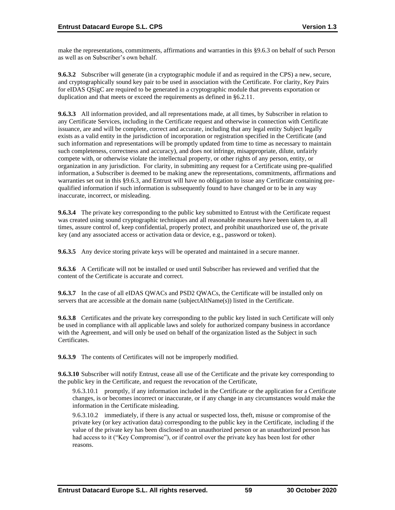make the representations, commitments, affirmations and warranties in this §9.6.3 on behalf of such Person as well as on Subscriber's own behalf.

**9.6.3.2** Subscriber will generate (in a cryptographic module if and as required in the CPS) a new, secure, and cryptographically sound key pair to be used in association with the Certificate. For clarity, Key Pairs for eIDAS QSigC are required to be generated in a cryptographic module that prevents exportation or duplication and that meets or exceed the requirements as defined in §6.2.11.

**9.6.3.3** All information provided, and all representations made, at all times, by Subscriber in relation to any Certificate Services, including in the Certificate request and otherwise in connection with Certificate issuance, are and will be complete, correct and accurate, including that any legal entity Subject legally exists as a valid entity in the jurisdiction of incorporation or registration specified in the Certificate (and such information and representations will be promptly updated from time to time as necessary to maintain such completeness, correctness and accuracy), and does not infringe, misappropriate, dilute, unfairly compete with, or otherwise violate the intellectual property, or other rights of any person, entity, or organization in any jurisdiction. For clarity, in submitting any request for a Certificate using pre-qualified information, a Subscriber is deemed to be making anew the representations, commitments, affirmations and warranties set out in this §9.6.3, and Entrust will have no obligation to issue any Certificate containing prequalified information if such information is subsequently found to have changed or to be in any way inaccurate, incorrect, or misleading.

**9.6.3.4** The private key corresponding to the public key submitted to Entrust with the Certificate request was created using sound cryptographic techniques and all reasonable measures have been taken to, at all times, assure control of, keep confidential, properly protect, and prohibit unauthorized use of, the private key (and any associated access or activation data or device, e.g., password or token).

**9.6.3.5** Any device storing private keys will be operated and maintained in a secure manner.

**9.6.3.6** A Certificate will not be installed or used until Subscriber has reviewed and verified that the content of the Certificate is accurate and correct.

**9.6.3.7** In the case of all eIDAS QWACs and PSD2 QWACs, the Certificate will be installed only on servers that are accessible at the domain name (subjectAltName(s)) listed in the Certificate.

**9.6.3.8** Certificates and the private key corresponding to the public key listed in such Certificate will only be used in compliance with all applicable laws and solely for authorized company business in accordance with the Agreement, and will only be used on behalf of the organization listed as the Subject in such Certificates.

**9.6.3.9** The contents of Certificates will not be improperly modified.

**9.6.3.10** Subscriber will notify Entrust, cease all use of the Certificate and the private key corresponding to the public key in the Certificate, and request the revocation of the Certificate,

9.6.3.10.1 promptly, if any information included in the Certificate or the application for a Certificate changes, is or becomes incorrect or inaccurate, or if any change in any circumstances would make the information in the Certificate misleading.

9.6.3.10.2 immediately, if there is any actual or suspected loss, theft, misuse or compromise of the private key (or key activation data) corresponding to the public key in the Certificate, including if the value of the private key has been disclosed to an unauthorized person or an unauthorized person has had access to it ("Key Compromise"), or if control over the private key has been lost for other reasons.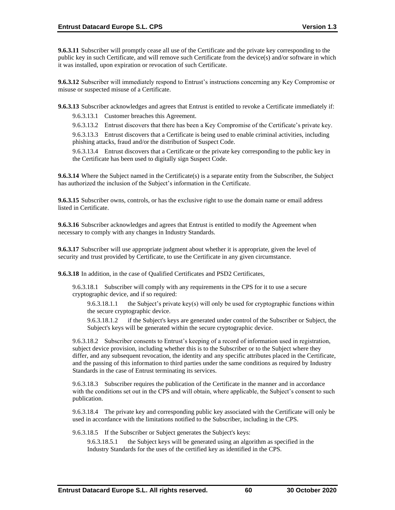**9.6.3.11** Subscriber will promptly cease all use of the Certificate and the private key corresponding to the public key in such Certificate, and will remove such Certificate from the device(s) and/or software in which it was installed, upon expiration or revocation of such Certificate.

**9.6.3.12** Subscriber will immediately respond to Entrust's instructions concerning any Key Compromise or misuse or suspected misuse of a Certificate.

**9.6.3.13** Subscriber acknowledges and agrees that Entrust is entitled to revoke a Certificate immediately if:

9.6.3.13.1 Customer breaches this Agreement.

9.6.3.13.2 Entrust discovers that there has been a Key Compromise of the Certificate's private key.

9.6.3.13.3 Entrust discovers that a Certificate is being used to enable criminal activities, including phishing attacks, fraud and/or the distribution of Suspect Code.

9.6.3.13.4 Entrust discovers that a Certificate or the private key corresponding to the public key in the Certificate has been used to digitally sign Suspect Code.

**9.6.3.14** Where the Subject named in the Certificate(s) is a separate entity from the Subscriber, the Subject has authorized the inclusion of the Subject's information in the Certificate.

**9.6.3.15** Subscriber owns, controls, or has the exclusive right to use the domain name or email address listed in Certificate.

**9.6.3.16** Subscriber acknowledges and agrees that Entrust is entitled to modify the Agreement when necessary to comply with any changes in Industry Standards.

**9.6.3.17** Subscriber will use appropriate judgment about whether it is appropriate, given the level of security and trust provided by Certificate, to use the Certificate in any given circumstance.

**9.6.3.18** In addition, in the case of Qualified Certificates and PSD2 Certificates,

9.6.3.18.1 Subscriber will comply with any requirements in the CPS for it to use a secure cryptographic device, and if so required:

9.6.3.18.1.1 the Subject's private key(s) will only be used for cryptographic functions within the secure cryptographic device.

9.6.3.18.1.2 if the Subject's keys are generated under control of the Subscriber or Subject, the Subject's keys will be generated within the secure cryptographic device.

9.6.3.18.2 Subscriber consents to Entrust's keeping of a record of information used in registration, subject device provision, including whether this is to the Subscriber or to the Subject where they differ, and any subsequent revocation, the identity and any specific attributes placed in the Certificate, and the passing of this information to third parties under the same conditions as required by Industry Standards in the case of Entrust terminating its services.

9.6.3.18.3 Subscriber requires the publication of the Certificate in the manner and in accordance with the conditions set out in the CPS and will obtain, where applicable, the Subject's consent to such publication.

9.6.3.18.4 The private key and corresponding public key associated with the Certificate will only be used in accordance with the limitations notified to the Subscriber, including in the CPS.

9.6.3.18.5 If the Subscriber or Subject generates the Subject's keys:

9.6.3.18.5.1 the Subject keys will be generated using an algorithm as specified in the Industry Standards for the uses of the certified key as identified in the CPS.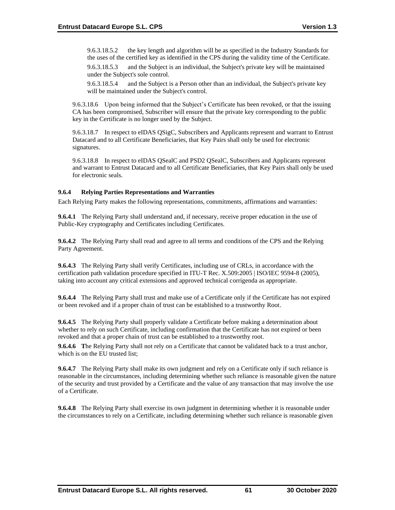9.6.3.18.5.2 the key length and algorithm will be as specified in the Industry Standards for the uses of the certified key as identified in the CPS during the validity time of the Certificate.

9.6.3.18.5.3 and the Subject is an individual, the Subject's private key will be maintained under the Subject's sole control.

9.6.3.18.5.4 and the Subject is a Person other than an individual, the Subject's private key will be maintained under the Subject's control.

9.6.3.18.6 Upon being informed that the Subject's Certificate has been revoked, or that the issuing CA has been compromised, Subscriber will ensure that the private key corresponding to the public key in the Certificate is no longer used by the Subject.

9.6.3.18.7 In respect to eIDAS QSigC, Subscribers and Applicants represent and warrant to Entrust Datacard and to all Certificate Beneficiaries, that Key Pairs shall only be used for electronic signatures.

9.6.3.18.8 In respect to eIDAS QSealC and PSD2 QSealC, Subscribers and Applicants represent and warrant to Entrust Datacard and to all Certificate Beneficiaries, that Key Pairs shall only be used for electronic seals.

### **9.6.4 Relying Parties Representations and Warranties**

Each Relying Party makes the following representations, commitments, affirmations and warranties:

**9.6.4.1** The Relying Party shall understand and, if necessary, receive proper education in the use of Public-Key cryptography and Certificates including Certificates.

**9.6.4.2** The Relying Party shall read and agree to all terms and conditions of the CPS and the Relying Party Agreement.

**9.6.4.3** The Relying Party shall verify Certificates, including use of CRLs, in accordance with the certification path validation procedure specified in ITU-T Rec. X.509:2005 | ISO/IEC 9594-8 (2005), taking into account any critical extensions and approved technical corrigenda as appropriate.

**9.6.4.4** The Relying Party shall trust and make use of a Certificate only if the Certificate has not expired or been revoked and if a proper chain of trust can be established to a trustworthy Root.

**9.6.4.5** The Relying Party shall properly validate a Certificate before making a determination about whether to rely on such Certificate, including confirmation that the Certificate has not expired or been revoked and that a proper chain of trust can be established to a trustworthy root.

**9.6.4.6 T**he Relying Party shall not rely on a Certificate that cannot be validated back to a trust anchor, which is on the EU trusted list;

**9.6.4.7** The Relying Party shall make its own judgment and rely on a Certificate only if such reliance is reasonable in the circumstances, including determining whether such reliance is reasonable given the nature of the security and trust provided by a Certificate and the value of any transaction that may involve the use of a Certificate.

**9.6.4.8** The Relying Party shall exercise its own judgment in determining whether it is reasonable under the circumstances to rely on a Certificate, including determining whether such reliance is reasonable given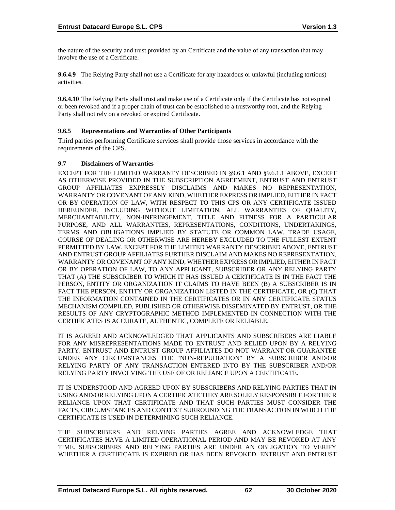the nature of the security and trust provided by an Certificate and the value of any transaction that may involve the use of a Certificate.

**9.6.4.9** The Relying Party shall not use a Certificate for any hazardous or unlawful (including tortious) activities.

**9.6.4.10** The Relying Party shall trust and make use of a Certificate only if the Certificate has not expired or been revoked and if a proper chain of trust can be established to a trustworthy root, and the Relying Party shall not rely on a revoked or expired Certificate.

## **9.6.5 Representations and Warranties of Other Participants**

Third parties performing Certificate services shall provide those services in accordance with the requirements of the CPS.

#### **9.7 Disclaimers of Warranties**

EXCEPT FOR THE LIMITED WARRANTY DESCRIBED IN §9.6.1 AND §9.6.1.1 ABOVE, EXCEPT AS OTHERWISE PROVIDED IN THE SUBSCRIPTION AGREEMENT, ENTRUST AND ENTRUST GROUP AFFILIATES EXPRESSLY DISCLAIMS AND MAKES NO REPRESENTATION, WARRANTY OR COVENANT OF ANY KIND, WHETHER EXPRESS OR IMPLIED, EITHER IN FACT OR BY OPERATION OF LAW, WITH RESPECT TO THIS CPS OR ANY CERTIFICATE ISSUED HEREUNDER, INCLUDING WITHOUT LIMITATION, ALL WARRANTIES OF QUALITY, MERCHANTABILITY, NON-INFRINGEMENT, TITLE AND FITNESS FOR A PARTICULAR PURPOSE, AND ALL WARRANTIES, REPRESENTATIONS, CONDITIONS, UNDERTAKINGS, TERMS AND OBLIGATIONS IMPLIED BY STATUTE OR COMMON LAW, TRADE USAGE, COURSE OF DEALING OR OTHERWISE ARE HEREBY EXCLUDED TO THE FULLEST EXTENT PERMITTED BY LAW. EXCEPT FOR THE LIMITED WARRANTY DESCRIBED ABOVE, ENTRUST AND ENTRUST GROUP AFFILIATES FURTHER DISCLAIM AND MAKES NO REPRESENTATION, WARRANTY OR COVENANT OF ANY KIND, WHETHER EXPRESS OR IMPLIED, EITHER IN FACT OR BY OPERATION OF LAW, TO ANY APPLICANT, SUBSCRIBER OR ANY RELYING PARTY THAT (A) THE SUBSCRIBER TO WHICH IT HAS ISSUED A CERTIFICATE IS IN THE FACT THE PERSON, ENTITY OR ORGANIZATION IT CLAIMS TO HAVE BEEN (B) A SUBSCRIBER IS IN FACT THE PERSON, ENTITY OR ORGANIZATION LISTED IN THE CERTIFICATE, OR (C) THAT THE INFORMATION CONTAINED IN THE CERTIFICATES OR IN ANY CERTIFICATE STATUS MECHANISM COMPILED, PUBLISHED OR OTHERWISE DISSEMINATED BY ENTRUST, OR THE RESULTS OF ANY CRYPTOGRAPHIC METHOD IMPLEMENTED IN CONNECTION WITH THE CERTIFICATES IS ACCURATE, AUTHENTIC, COMPLETE OR RELIABLE.

IT IS AGREED AND ACKNOWLEDGED THAT APPLICANTS AND SUBSCRIBERS ARE LIABLE FOR ANY MISREPRESENTATIONS MADE TO ENTRUST AND RELIED UPON BY A RELYING PARTY. ENTRUST AND ENTRUST GROUP AFFILIATES DO NOT WARRANT OR GUARANTEE UNDER ANY CIRCUMSTANCES THE "NON-REPUDIATION" BY A SUBSCRIBER AND/OR RELYING PARTY OF ANY TRANSACTION ENTERED INTO BY THE SUBSCRIBER AND/OR RELYING PARTY INVOLVING THE USE OF OR RELIANCE UPON A CERTIFICATE.

IT IS UNDERSTOOD AND AGREED UPON BY SUBSCRIBERS AND RELYING PARTIES THAT IN USING AND/OR RELYING UPON A CERTIFICATE THEY ARE SOLELY RESPONSIBLE FOR THEIR RELIANCE UPON THAT CERTIFICATE AND THAT SUCH PARTIES MUST CONSIDER THE FACTS, CIRCUMSTANCES AND CONTEXT SURROUNDING THE TRANSACTION IN WHICH THE CERTIFICATE IS USED IN DETERMINING SUCH RELIANCE.

THE SUBSCRIBERS AND RELYING PARTIES AGREE AND ACKNOWLEDGE THAT CERTIFICATES HAVE A LIMITED OPERATIONAL PERIOD AND MAY BE REVOKED AT ANY TIME. SUBSCRIBERS AND RELYING PARTIES ARE UNDER AN OBLIGATION TO VERIFY WHETHER A CERTIFICATE IS EXPIRED OR HAS BEEN REVOKED. ENTRUST AND ENTRUST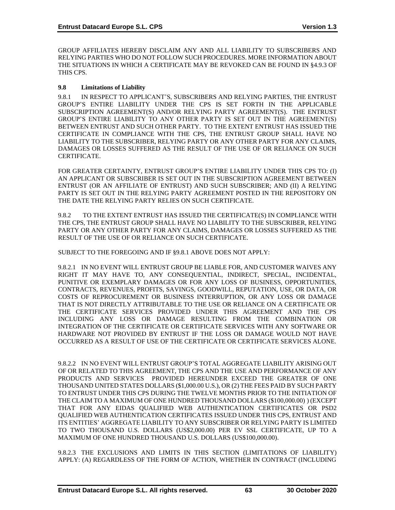GROUP AFFILIATES HEREBY DISCLAIM ANY AND ALL LIABILITY TO SUBSCRIBERS AND RELYING PARTIES WHO DO NOT FOLLOW SUCH PROCEDURES. MORE INFORMATION ABOUT THE SITUATIONS IN WHICH A CERTIFICATE MAY BE REVOKED CAN BE FOUND IN §4.9.3 OF THIS CPS.

### **9.8 Limitations of Liability**

9.8.1 IN RESPECT TO APPLICANT'S, SUBSCRIBERS AND RELYING PARTIES, THE ENTRUST GROUP'S ENTIRE LIABILITY UNDER THE CPS IS SET FORTH IN THE APPLICABLE SUBSCRIPTION AGREEMENT(S) AND/OR RELYING PARTY AGREEMENT(S). THE ENTRUST GROUP'S ENTIRE LIABILITY TO ANY OTHER PARTY IS SET OUT IN THE AGREEMENT(S) BETWEEN ENTRUST AND SUCH OTHER PARTY. TO THE EXTENT ENTRUST HAS ISSUED THE CERTIFICATE IN COMPLIANCE WITH THE CPS, THE ENTRUST GROUP SHALL HAVE NO LIABILITY TO THE SUBSCRIBER, RELYING PARTY OR ANY OTHER PARTY FOR ANY CLAIMS, DAMAGES OR LOSSES SUFFERED AS THE RESULT OF THE USE OF OR RELIANCE ON SUCH CERTIFICATE.

FOR GREATER CERTAINTY, ENTRUST GROUP'S ENTIRE LIABILITY UNDER THIS CPS TO: (I) AN APPLICANT OR SUBSCRIBER IS SET OUT IN THE SUBSCRIPTION AGREEMENT BETWEEN ENTRUST (OR AN AFFILIATE OF ENTRUST) AND SUCH SUBSCRIBER; AND (II) A RELYING PARTY IS SET OUT IN THE RELYING PARTY AGREEMENT POSTED IN THE REPOSITORY ON THE DATE THE RELYING PARTY RELIES ON SUCH CERTIFICATE.

9.8.2 TO THE EXTENT ENTRUST HAS ISSUED THE CERTIFICATE(S) IN COMPLIANCE WITH THE CPS, THE ENTRUST GROUP SHALL HAVE NO LIABILITY TO THE SUBSCRIBER, RELYING PARTY OR ANY OTHER PARTY FOR ANY CLAIMS, DAMAGES OR LOSSES SUFFERED AS THE RESULT OF THE USE OF OR RELIANCE ON SUCH CERTIFICATE.

SUBJECT TO THE FOREGOING AND IF §9.8.1 ABOVE DOES NOT APPLY:

9.8.2.1 IN NO EVENT WILL ENTRUST GROUP BE LIABLE FOR, AND CUSTOMER WAIVES ANY RIGHT IT MAY HAVE TO, ANY CONSEQUENTIAL, INDIRECT, SPECIAL, INCIDENTAL, PUNITIVE OR EXEMPLARY DAMAGES OR FOR ANY LOSS OF BUSINESS, OPPORTUNITIES, CONTRACTS, REVENUES, PROFITS, SAVINGS, GOODWILL, REPUTATION, USE, OR DATA, OR COSTS OF REPROCUREMENT OR BUSINESS INTERRUPTION, OR ANY LOSS OR DAMAGE THAT IS NOT DIRECTLY ATTRIBUTABLE TO THE USE OR RELIANCE ON A CERTIFICATE OR THE CERTIFICATE SERVICES PROVIDED UNDER THIS AGREEMENT AND THE CPS INCLUDING ANY LOSS OR DAMAGE RESULTING FROM THE COMBINATION OR INTEGRATION OF THE CERTIFICATE OR CERTIFICATE SERVICES WITH ANY SOFTWARE OR HARDWARE NOT PROVIDED BY ENTRUST IF THE LOSS OR DAMAGE WOULD NOT HAVE OCCURRED AS A RESULT OF USE OF THE CERTIFICATE OR CERTIFICATE SERVICES ALONE.

9.8.2.2 IN NO EVENT WILL ENTRUST GROUP'S TOTAL AGGREGATE LIABILITY ARISING OUT OF OR RELATED TO THIS AGREEMENT, THE CPS AND THE USE AND PERFORMANCE OF ANY PRODUCTS AND SERVICES PROVIDED HEREUNDER EXCEED THE GREATER OF ONE THOUSAND UNITED STATES DOLLARS (\$1,000.00 U.S.), OR (2) THE FEES PAID BY SUCH PARTY TO ENTRUST UNDER THIS CPS DURING THE TWELVE MONTHS PRIOR TO THE INITIATION OF THE CLAIM TO A MAXIMUM OF ONE HUNDRED THOUSAND DOLLARS (\$100,000.00) ) (EXCEPT THAT FOR ANY EIDAS QUALIFIED WEB AUTHENTICATION CERTIFICATES OR PSD2 QUALIFIED WEB AUTHENTICATION CERTIFICATES ISSUED UNDER THIS CPS, ENTRUST AND ITS ENTITIES' AGGREGATE LIABILITY TO ANY SUBSCRIBER OR RELYING PARTY IS LIMITED TO TWO THOUSAND U.S. DOLLARS (US\$2,000.00) PER EV SSL CERTIFICATE, UP TO A MAXIMUM OF ONE HUNDRED THOUSAND U.S. DOLLARS (US\$100,000.00).

9.8.2.3 THE EXCLUSIONS AND LIMITS IN THIS SECTION (LIMITATIONS OF LIABILITY) APPLY: (A) REGARDLESS OF THE FORM OF ACTION, WHETHER IN CONTRACT (INCLUDING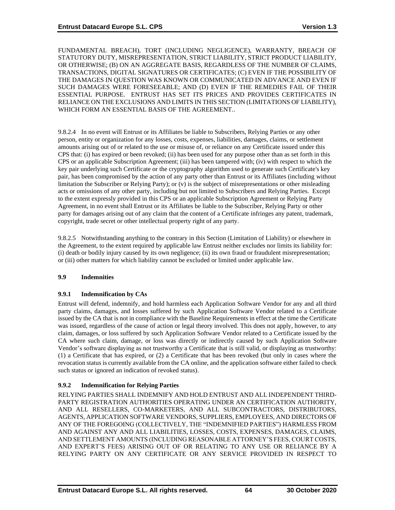FUNDAMENTAL BREACH), TORT (INCLUDING NEGLIGENCE), WARRANTY, BREACH OF STATUTORY DUTY, MISREPRESENTATION, STRICT LIABILITY, STRICT PRODUCT LIABILITY, OR OTHERWISE; (B) ON AN AGGREGATE BASIS, REGARDLESS OF THE NUMBER OF CLAIMS, TRANSACTIONS, DIGITAL SIGNATURES OR CERTIFICATES; (C) EVEN IF THE POSSIBILITY OF THE DAMAGES IN QUESTION WAS KNOWN OR COMMUNICATED IN ADVANCE AND EVEN IF SUCH DAMAGES WERE FORESEEABLE; AND (D) EVEN IF THE REMEDIES FAIL OF THEIR ESSENTIAL PURPOSE. ENTRUST HAS SET ITS PRICES AND PROVIDES CERTIFICATES IN RELIANCE ON THE EXCLUSIONS AND LIMITS IN THIS SECTION (LIMITATIONS OF LIABILITY), WHICH FORM AN ESSENTIAL BASIS OF THE AGREEMENT..

9.8.2.4 In no event will Entrust or its Affiliates be liable to Subscribers, Relying Parties or any other person, entity or organization for any losses, costs, expenses, liabilities, damages, claims, or settlement amounts arising out of or related to the use or misuse of, or reliance on any Certificate issued under this CPS that: (i) has expired or been revoked; (ii) has been used for any purpose other than as set forth in this CPS or an applicable Subscription Agreement; (iii) has been tampered with; (iv) with respect to which the key pair underlying such Certificate or the cryptography algorithm used to generate such Certificate's key pair, has been compromised by the action of any party other than Entrust or its Affiliates (including without limitation the Subscriber or Relying Party); or (v) is the subject of misrepresentations or other misleading acts or omissions of any other party, including but not limited to Subscribers and Relying Parties. Except to the extent expressly provided in this CPS or an applicable Subscription Agreement or Relying Party Agreement, in no event shall Entrust or its Affiliates be liable to the Subscriber, Relying Party or other party for damages arising out of any claim that the content of a Certificate infringes any patent, trademark, copyright, trade secret or other intellectual property right of any party.

9.8.2.5 Notwithstanding anything to the contrary in this Section (Limitation of Liability) or elsewhere in the Agreement, to the extent required by applicable law Entrust neither excludes nor limits its liability for: (i) death or bodily injury caused by its own negligence; (ii) its own fraud or fraudulent misrepresentation; or (iii) other matters for which liability cannot be excluded or limited under applicable law.

## **9.9 Indemnities**

## **9.9.1 Indemnification by CAs**

Entrust will defend, indemnify, and hold harmless each Application Software Vendor for any and all third party claims, damages, and losses suffered by such Application Software Vendor related to a Certificate issued by the CA that is not in compliance with the Baseline Requirements in effect at the time the Certificate was issued, regardless of the cause of action or legal theory involved. This does not apply, however, to any claim, damages, or loss suffered by such Application Software Vendor related to a Certificate issued by the CA where such claim, damage, or loss was directly or indirectly caused by such Application Software Vendor's software displaying as not trustworthy a Certificate that is still valid, or displaying as trustworthy: (1) a Certificate that has expired, or (2) a Certificate that has been revoked (but only in cases where the revocation status is currently available from the CA online, and the application software either failed to check such status or ignored an indication of revoked status).

# **9.9.2 Indemnification for Relying Parties**

RELYING PARTIES SHALL INDEMNIFY AND HOLD ENTRUST AND ALL INDEPENDENT THIRD-PARTY REGISTRATION AUTHORITIES OPERATING UNDER AN CERTIFICATION AUTHORITY, AND ALL RESELLERS, CO-MARKETERS, AND ALL SUBCONTRACTORS, DISTRIBUTORS, AGENTS, APPLICATION SOFTWARE VENDORS, SUPPLIERS, EMPLOYEES, AND DIRECTORS OF ANY OF THE FOREGOING (COLLECTIVELY, THE "INDEMNIFIED PARTIES") HARMLESS FROM AND AGAINST ANY AND ALL LIABILITIES, LOSSES, COSTS, EXPENSES, DAMAGES, CLAIMS, AND SETTLEMENT AMOUNTS (INCLUDING REASONABLE ATTORNEY'S FEES, COURT COSTS, AND EXPERT'S FEES) ARISING OUT OF OR RELATING TO ANY USE OR RELIANCE BY A RELYING PARTY ON ANY CERTIFICATE OR ANY SERVICE PROVIDED IN RESPECT TO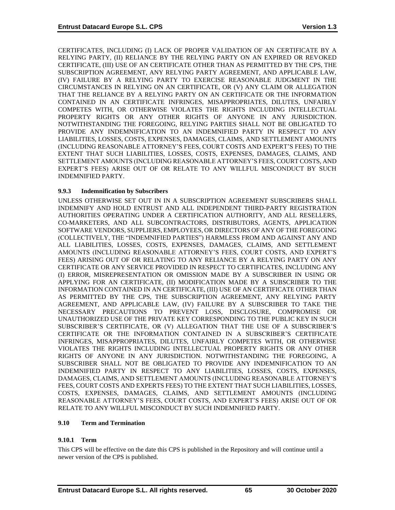CERTIFICATES, INCLUDING (I) LACK OF PROPER VALIDATION OF AN CERTIFICATE BY A RELYING PARTY, (II) RELIANCE BY THE RELYING PARTY ON AN EXPIRED OR REVOKED CERTIFICATE, (III) USE OF AN CERTIFICATE OTHER THAN AS PERMITTED BY THE CPS, THE SUBSCRIPTION AGREEMENT, ANY RELYING PARTY AGREEMENT, AND APPLICABLE LAW, (IV) FAILURE BY A RELYING PARTY TO EXERCISE REASONABLE JUDGMENT IN THE CIRCUMSTANCES IN RELYING ON AN CERTIFICATE, OR (V) ANY CLAIM OR ALLEGATION THAT THE RELIANCE BY A RELYING PARTY ON AN CERTIFICATE OR THE INFORMATION CONTAINED IN AN CERTIFICATE INFRINGES, MISAPPROPRIATES, DILUTES, UNFAIRLY COMPETES WITH, OR OTHERWISE VIOLATES THE RIGHTS INCLUDING INTELLECTUAL PROPERTY RIGHTS OR ANY OTHER RIGHTS OF ANYONE IN ANY JURISDICTION. NOTWITHSTANDING THE FOREGOING, RELYING PARTIES SHALL NOT BE OBLIGATED TO PROVIDE ANY INDEMNIFICATION TO AN INDEMNIFIED PARTY IN RESPECT TO ANY LIABILITIES, LOSSES, COSTS, EXPENSES, DAMAGES, CLAIMS, AND SETTLEMENT AMOUNTS (INCLUDING REASONABLE ATTORNEY'S FEES, COURT COSTS AND EXPERT'S FEES) TO THE EXTENT THAT SUCH LIABILITIES, LOSSES, COSTS, EXPENSES, DAMAGES, CLAIMS, AND SETTLEMENT AMOUNTS (INCLUDING REASONABLE ATTORNEY'S FEES, COURT COSTS, AND EXPERT'S FEES) ARISE OUT OF OR RELATE TO ANY WILLFUL MISCONDUCT BY SUCH INDEMNIFIED PARTY.

## **9.9.3 Indemnification by Subscribers**

UNLESS OTHERWISE SET OUT IN IN A SUBSCRIPTION AGREEMENT SUBSCRIBERS SHALL INDEMNIFY AND HOLD ENTRUST AND ALL INDEPENDENT THIRD-PARTY REGISTRATION AUTHORITIES OPERATING UNDER A CERTIFICATION AUTHORITY, AND ALL RESELLERS, CO-MARKETERS, AND ALL SUBCONTRACTORS, DISTRIBUTORS, AGENTS, APPLICATION SOFTWARE VENDORS, SUPPLIERS, EMPLOYEES, OR DIRECTORS OF ANY OF THE FOREGOING (COLLECTIVELY, THE "INDEMNIFIED PARTIES") HARMLESS FROM AND AGAINST ANY AND ALL LIABILITIES, LOSSES, COSTS, EXPENSES, DAMAGES, CLAIMS, AND SETTLEMENT AMOUNTS (INCLUDING REASONABLE ATTORNEY'S FEES, COURT COSTS, AND EXPERT'S FEES) ARISING OUT OF OR RELATING TO ANY RELIANCE BY A RELYING PARTY ON ANY CERTIFICATE OR ANY SERVICE PROVIDED IN RESPECT TO CERTIFICATES, INCLUDING ANY (I) ERROR, MISREPRESENTATION OR OMISSION MADE BY A SUBSCRIBER IN USING OR APPLYING FOR AN CERTIFICATE, (II) MODIFICATION MADE BY A SUBSCRIBER TO THE INFORMATION CONTAINED IN AN CERTIFICATE, (III) USE OF AN CERTIFICATE OTHER THAN AS PERMITTED BY THE CPS, THE SUBSCRIPTION AGREEMENT, ANY RELYING PARTY AGREEMENT, AND APPLICABLE LAW, (IV) FAILURE BY A SUBSCRIBER TO TAKE THE NECESSARY PRECAUTIONS TO PREVENT LOSS, DISCLOSURE, COMPROMISE OR UNAUTHORIZED USE OF THE PRIVATE KEY CORRESPONDING TO THE PUBLIC KEY IN SUCH SUBSCRIBER'S CERTIFICATE, OR (V) ALLEGATION THAT THE USE OF A SUBSCRIBER'S CERTIFICATE OR THE INFORMATION CONTAINED IN A SUBSCRIBER'S CERTIFICATE INFRINGES, MISAPPROPRIATES, DILUTES, UNFAIRLY COMPETES WITH, OR OTHERWISE VIOLATES THE RIGHTS INCLUDING INTELLECTUAL PROPERTY RIGHTS OR ANY OTHER RIGHTS OF ANYONE IN ANY JURISDICTION. NOTWITHSTANDING THE FOREGOING, A SUBSCRIBER SHALL NOT BE OBLIGATED TO PROVIDE ANY INDEMNIFICATION TO AN INDEMNIFIED PARTY IN RESPECT TO ANY LIABILITIES, LOSSES, COSTS, EXPENSES, DAMAGES, CLAIMS, AND SETTLEMENT AMOUNTS (INCLUDING REASONABLE ATTORNEY'S FEES, COURT COSTS AND EXPERTS FEES) TO THE EXTENT THAT SUCH LIABILITIES, LOSSES, COSTS, EXPENSES, DAMAGES, CLAIMS, AND SETTLEMENT AMOUNTS (INCLUDING REASONABLE ATTORNEY'S FEES, COURT COSTS, AND EXPERT'S FEES) ARISE OUT OF OR RELATE TO ANY WILLFUL MISCONDUCT BY SUCH INDEMNIFIED PARTY.

#### **9.10 Term and Termination**

## **9.10.1 Term**

This CPS will be effective on the date this CPS is published in the Repository and will continue until a newer version of the CPS is published.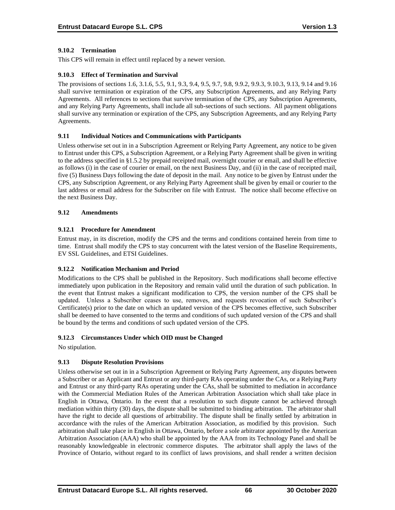## **9.10.2 Termination**

This CPS will remain in effect until replaced by a newer version.

## **9.10.3 Effect of Termination and Survival**

The provisions of sections 1.6, 3.1.6, 5.5, 9.1, 9.3, 9.4, 9.5, 9.7, 9.8, 9.9.2, 9.9.3, 9.10.3, 9.13, 9.14 and 9.16 shall survive termination or expiration of the CPS, any Subscription Agreements, and any Relying Party Agreements. All references to sections that survive termination of the CPS, any Subscription Agreements, and any Relying Party Agreements, shall include all sub-sections of such sections. All payment obligations shall survive any termination or expiration of the CPS, any Subscription Agreements, and any Relying Party Agreements.

#### **9.11 Individual Notices and Communications with Participants**

Unless otherwise set out in in a Subscription Agreement or Relying Party Agreement, any notice to be given to Entrust under this CPS, a Subscription Agreement, or a Relying Party Agreement shall be given in writing to the address specified in §1.5.2 by prepaid receipted mail, overnight courier or email, and shall be effective as follows (i) in the case of courier or email, on the next Business Day, and (ii) in the case of receipted mail, five (5) Business Days following the date of deposit in the mail. Any notice to be given by Entrust under the CPS, any Subscription Agreement, or any Relying Party Agreement shall be given by email or courier to the last address or email address for the Subscriber on file with Entrust. The notice shall become effective on the next Business Day.

#### **9.12 Amendments**

#### **9.12.1 Procedure for Amendment**

Entrust may, in its discretion, modify the CPS and the terms and conditions contained herein from time to time. Entrust shall modify the CPS to stay concurrent with the latest version of the Baseline Requirements, EV SSL Guidelines, and ETSI Guidelines.

## **9.12.2 Notification Mechanism and Period**

Modifications to the CPS shall be published in the Repository. Such modifications shall become effective immediately upon publication in the Repository and remain valid until the duration of such publication. In the event that Entrust makes a significant modification to CPS, the version number of the CPS shall be updated. Unless a Subscriber ceases to use, removes, and requests revocation of such Subscriber's Certificate(s) prior to the date on which an updated version of the CPS becomes effective, such Subscriber shall be deemed to have consented to the terms and conditions of such updated version of the CPS and shall be bound by the terms and conditions of such updated version of the CPS.

## **9.12.3 Circumstances Under which OID must be Changed**

No stipulation.

## **9.13 Dispute Resolution Provisions**

Unless otherwise set out in in a Subscription Agreement or Relying Party Agreement, any disputes between a Subscriber or an Applicant and Entrust or any third-party RAs operating under the CAs, or a Relying Party and Entrust or any third-party RAs operating under the CAs, shall be submitted to mediation in accordance with the Commercial Mediation Rules of the American Arbitration Association which shall take place in English in Ottawa, Ontario. In the event that a resolution to such dispute cannot be achieved through mediation within thirty (30) days, the dispute shall be submitted to binding arbitration. The arbitrator shall have the right to decide all questions of arbitrability. The dispute shall be finally settled by arbitration in accordance with the rules of the American Arbitration Association, as modified by this provision. Such arbitration shall take place in English in Ottawa, Ontario, before a sole arbitrator appointed by the American Arbitration Association (AAA) who shall be appointed by the AAA from its Technology Panel and shall be reasonably knowledgeable in electronic commerce disputes. The arbitrator shall apply the laws of the Province of Ontario, without regard to its conflict of laws provisions, and shall render a written decision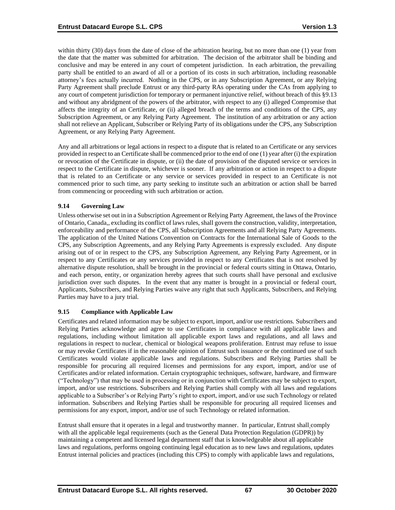within thirty (30) days from the date of close of the arbitration hearing, but no more than one (1) year from the date that the matter was submitted for arbitration. The decision of the arbitrator shall be binding and conclusive and may be entered in any court of competent jurisdiction. In each arbitration, the prevailing party shall be entitled to an award of all or a portion of its costs in such arbitration, including reasonable attorney's fees actually incurred. Nothing in the CPS, or in any Subscription Agreement, or any Relying Party Agreement shall preclude Entrust or any third-party RAs operating under the CAs from applying to any court of competent jurisdiction for temporary or permanent injunctive relief, without breach of this §9.13 and without any abridgment of the powers of the arbitrator, with respect to any (i) alleged Compromise that affects the integrity of an Certificate, or (ii) alleged breach of the terms and conditions of the CPS, any Subscription Agreement, or any Relying Party Agreement. The institution of any arbitration or any action shall not relieve an Applicant, Subscriber or Relying Party of its obligations under the CPS, any Subscription Agreement, or any Relying Party Agreement.

Any and all arbitrations or legal actions in respect to a dispute that is related to an Certificate or any services provided in respect to an Certificate shall be commenced prior to the end of one (1) year after (i) the expiration or revocation of the Certificate in dispute, or (ii) the date of provision of the disputed service or services in respect to the Certificate in dispute, whichever is sooner. If any arbitration or action in respect to a dispute that is related to an Certificate or any service or services provided in respect to an Certificate is not commenced prior to such time, any party seeking to institute such an arbitration or action shall be barred from commencing or proceeding with such arbitration or action.

#### **9.14 Governing Law**

Unless otherwise set out in in a Subscription Agreement or Relying Party Agreement, the laws of the Province of Ontario, Canada,, excluding its conflict of laws rules, shall govern the construction, validity, interpretation, enforceability and performance of the CPS, all Subscription Agreements and all Relying Party Agreements. The application of the United Nations Convention on Contracts for the International Sale of Goods to the CPS, any Subscription Agreements, and any Relying Party Agreements is expressly excluded. Any dispute arising out of or in respect to the CPS, any Subscription Agreement, any Relying Party Agreement, or in respect to any Certificates or any services provided in respect to any Certificates that is not resolved by alternative dispute resolution, shall be brought in the provincial or federal courts sitting in Ottawa, Ontario, and each person, entity, or organization hereby agrees that such courts shall have personal and exclusive jurisdiction over such disputes. In the event that any matter is brought in a provincial or federal court, Applicants, Subscribers, and Relying Parties waive any right that such Applicants, Subscribers, and Relying Parties may have to a jury trial.

#### **9.15 Compliance with Applicable Law**

Certificates and related information may be subject to export, import, and/or use restrictions. Subscribers and Relying Parties acknowledge and agree to use Certificates in compliance with all applicable laws and regulations, including without limitation all applicable export laws and regulations, and all laws and regulations in respect to nuclear, chemical or biological weapons proliferation. Entrust may refuse to issue or may revoke Certificates if in the reasonable opinion of Entrust such issuance or the continued use of such Certificates would violate applicable laws and regulations. Subscribers and Relying Parties shall be responsible for procuring all required licenses and permissions for any export, import, and/or use of Certificates and/or related information. Certain cryptographic techniques, software, hardware, and firmware ("Technology") that may be used in processing or in conjunction with Certificates may be subject to export, import, and/or use restrictions. Subscribers and Relying Parties shall comply with all laws and regulations applicable to a Subscriber's or Relying Party's right to export, import, and/or use such Technology or related information. Subscribers and Relying Parties shall be responsible for procuring all required licenses and permissions for any export, import, and/or use of such Technology or related information.

Entrust shall ensure that it operates in a legal and trustworthy manner. In particular, Entrust shall comply with all the applicable legal requirements (such as the General Data Protection Regulation (GDPR)) by maintaining a competent and licensed legal department staff that is knowledgeable about all applicable laws and regulations, performs ongoing continuing legal education as to new laws and regulations, updates Entrust internal policies and practices (including this CPS) to comply with applicable laws and regulations,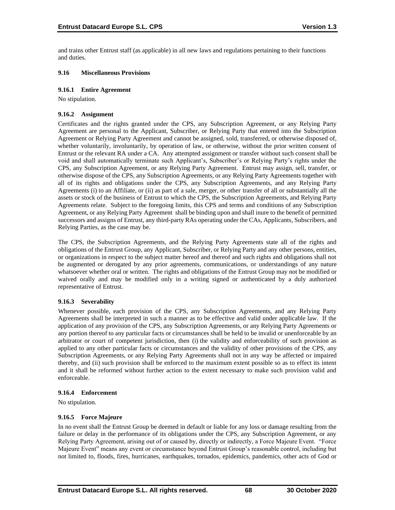and trains other Entrust staff (as applicable) in all new laws and regulations pertaining to their functions and duties.

## **9.16 Miscellaneous Provisions**

#### **9.16.1 Entire Agreement**

No stipulation.

#### **9.16.2 Assignment**

Certificates and the rights granted under the CPS, any Subscription Agreement, or any Relying Party Agreement are personal to the Applicant, Subscriber, or Relying Party that entered into the Subscription Agreement or Relying Party Agreement and cannot be assigned, sold, transferred, or otherwise disposed of, whether voluntarily, involuntarily, by operation of law, or otherwise, without the prior written consent of Entrust or the relevant RA under a CA. Any attempted assignment or transfer without such consent shall be void and shall automatically terminate such Applicant's, Subscriber's or Relying Party's rights under the CPS, any Subscription Agreement, or any Relying Party Agreement. Entrust may assign, sell, transfer, or otherwise dispose of the CPS, any Subscription Agreements, or any Relying Party Agreements together with all of its rights and obligations under the CPS, any Subscription Agreements, and any Relying Party Agreements (i) to an Affiliate, or (ii) as part of a sale, merger, or other transfer of all or substantially all the assets or stock of the business of Entrust to which the CPS, the Subscription Agreements, and Relying Party Agreements relate. Subject to the foregoing limits, this CPS and terms and conditions of any Subscription Agreement, or any Relying Party Agreement shall be binding upon and shall inure to the benefit of permitted successors and assigns of Entrust, any third-party RAs operating under the CAs, Applicants, Subscribers, and Relying Parties, as the case may be.

The CPS, the Subscription Agreements, and the Relying Party Agreements state all of the rights and obligations of the Entrust Group, any Applicant, Subscriber, or Relying Party and any other persons, entities, or organizations in respect to the subject matter hereof and thereof and such rights and obligations shall not be augmented or derogated by any prior agreements, communications, or understandings of any nature whatsoever whether oral or written. The rights and obligations of the Entrust Group may not be modified or waived orally and may be modified only in a writing signed or authenticated by a duly authorized representative of Entrust.

## **9.16.3 Severability**

Whenever possible, each provision of the CPS, any Subscription Agreements, and any Relying Party Agreements shall be interpreted in such a manner as to be effective and valid under applicable law. If the application of any provision of the CPS, any Subscription Agreements, or any Relying Party Agreements or any portion thereof to any particular facts or circumstances shall be held to be invalid or unenforceable by an arbitrator or court of competent jurisdiction, then (i) the validity and enforceability of such provision as applied to any other particular facts or circumstances and the validity of other provisions of the CPS, any Subscription Agreements, or any Relying Party Agreements shall not in any way be affected or impaired thereby, and (ii) such provision shall be enforced to the maximum extent possible so as to effect its intent and it shall be reformed without further action to the extent necessary to make such provision valid and enforceable.

#### **9.16.4 Enforcement**

No stipulation.

## **9.16.5 Force Majeure**

In no event shall the Entrust Group be deemed in default or liable for any loss or damage resulting from the failure or delay in the performance of its obligations under the CPS, any Subscription Agreement, or any Relying Party Agreement, arising out of or caused by, directly or indirectly, a Force Majeure Event. "Force Majeure Event" means any event or circumstance beyond Entrust Group's reasonable control, including but not limited to, floods, fires, hurricanes, earthquakes, tornados, epidemics, pandemics, other acts of God or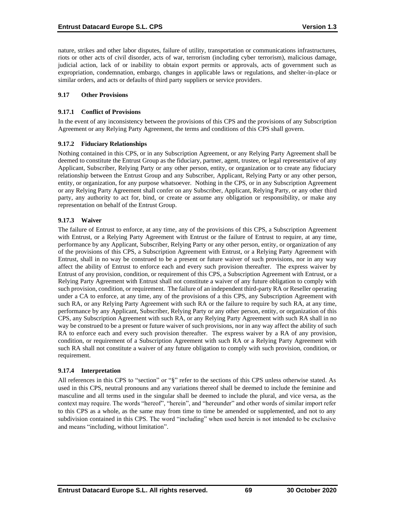nature, strikes and other labor disputes, failure of utility, transportation or communications infrastructures, riots or other acts of civil disorder, acts of war, terrorism (including cyber terrorism), malicious damage, judicial action, lack of or inability to obtain export permits or approvals, acts of government such as expropriation, condemnation, embargo, changes in applicable laws or regulations, and shelter-in-place or similar orders, and acts or defaults of third party suppliers or service providers.

#### **9.17 Other Provisions**

#### **9.17.1 Conflict of Provisions**

In the event of any inconsistency between the provisions of this CPS and the provisions of any Subscription Agreement or any Relying Party Agreement, the terms and conditions of this CPS shall govern.

#### **9.17.2 Fiduciary Relationships**

Nothing contained in this CPS, or in any Subscription Agreement, or any Relying Party Agreement shall be deemed to constitute the Entrust Group as the fiduciary, partner, agent, trustee, or legal representative of any Applicant, Subscriber, Relying Party or any other person, entity, or organization or to create any fiduciary relationship between the Entrust Group and any Subscriber, Applicant, Relying Party or any other person, entity, or organization, for any purpose whatsoever. Nothing in the CPS, or in any Subscription Agreement or any Relying Party Agreement shall confer on any Subscriber, Applicant, Relying Party, or any other third party, any authority to act for, bind, or create or assume any obligation or responsibility, or make any representation on behalf of the Entrust Group.

## **9.17.3 Waiver**

The failure of Entrust to enforce, at any time, any of the provisions of this CPS, a Subscription Agreement with Entrust, or a Relying Party Agreement with Entrust or the failure of Entrust to require, at any time, performance by any Applicant, Subscriber, Relying Party or any other person, entity, or organization of any of the provisions of this CPS, a Subscription Agreement with Entrust, or a Relying Party Agreement with Entrust, shall in no way be construed to be a present or future waiver of such provisions, nor in any way affect the ability of Entrust to enforce each and every such provision thereafter. The express waiver by Entrust of any provision, condition, or requirement of this CPS, a Subscription Agreement with Entrust, or a Relying Party Agreement with Entrust shall not constitute a waiver of any future obligation to comply with such provision, condition, or requirement. The failure of an independent third-party RA or Reseller operating under a CA to enforce, at any time, any of the provisions of a this CPS, any Subscription Agreement with such RA, or any Relying Party Agreement with such RA or the failure to require by such RA, at any time, performance by any Applicant, Subscriber, Relying Party or any other person, entity, or organization of this CPS, any Subscription Agreement with such RA, or any Relying Party Agreement with such RA shall in no way be construed to be a present or future waiver of such provisions, nor in any way affect the ability of such RA to enforce each and every such provision thereafter. The express waiver by a RA of any provision, condition, or requirement of a Subscription Agreement with such RA or a Relying Party Agreement with such RA shall not constitute a waiver of any future obligation to comply with such provision, condition, or requirement.

#### **9.17.4 Interpretation**

All references in this CPS to "section" or "§" refer to the sections of this CPS unless otherwise stated. As used in this CPS, neutral pronouns and any variations thereof shall be deemed to include the feminine and masculine and all terms used in the singular shall be deemed to include the plural, and vice versa, as the context may require. The words "hereof", "herein", and "hereunder" and other words of similar import refer to this CPS as a whole, as the same may from time to time be amended or supplemented, and not to any subdivision contained in this CPS. The word "including" when used herein is not intended to be exclusive and means "including, without limitation".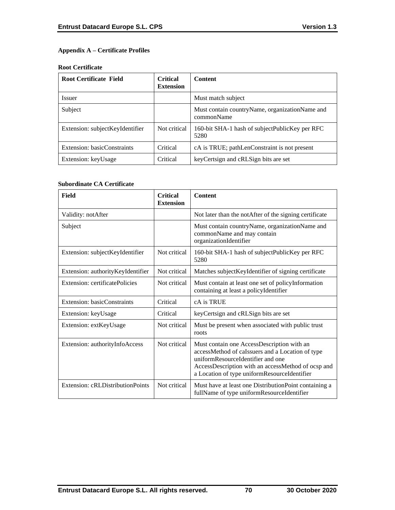# **Appendix A – Certificate Profiles**

#### **Root Certificate**

| <b>Root Certificate Field</b>   | <b>Critical</b><br><b>Extension</b> | <b>Content</b>                                                 |
|---------------------------------|-------------------------------------|----------------------------------------------------------------|
| <b>Issuer</b>                   |                                     | Must match subject                                             |
| Subject                         |                                     | Must contain country Name, organization Name and<br>commonName |
| Extension: subjectKeyIdentifier | Not critical                        | 160-bit SHA-1 hash of subject Public Key per RFC<br>5280       |
| Extension: basicConstraints     | Critical                            | cA is TRUE; pathLenConstraint is not present                   |
| Extension: keyUsage             | Critical                            | key Certsign and cRLSign bits are set                          |

## **Subordinate CA Certificate**

| <b>Field</b>                      | <b>Critical</b><br><b>Extension</b> | <b>Content</b>                                                                                                                                                                                                                            |
|-----------------------------------|-------------------------------------|-------------------------------------------------------------------------------------------------------------------------------------------------------------------------------------------------------------------------------------------|
| Validity: notAfter                |                                     | Not later than the notAfter of the signing certificate                                                                                                                                                                                    |
| Subject                           |                                     | Must contain countryName, organizationName and<br>commonName and may contain<br>organizationIdentifier                                                                                                                                    |
| Extension: subjectKeyIdentifier   | Not critical                        | 160-bit SHA-1 hash of subjectPublicKey per RFC<br>5280                                                                                                                                                                                    |
| Extension: authorityKeyIdentifier | Not critical                        | Matches subject KeyIdentifier of signing certificate                                                                                                                                                                                      |
| Extension: certificatePolicies    | Not critical                        | Must contain at least one set of policyInformation<br>containing at least a policyIdentifier                                                                                                                                              |
| Extension: basicConstraints       | Critical                            | cA is TRUE                                                                                                                                                                                                                                |
| Extension: keyUsage               | Critical                            | keyCertsign and cRLSign bits are set                                                                                                                                                                                                      |
| Extension: extKeyUsage            | Not critical                        | Must be present when associated with public trust<br>roots                                                                                                                                                                                |
| Extension: authorityInfoAccess    | Not critical                        | Must contain one AccessDescription with an<br>accessMethod of caIssuers and a Location of type<br>uniformResourceIdentifier and one<br>AccessDescription with an accessMethod of ocsp and<br>a Location of type uniformResourceIdentifier |
| Extension: cRLDistributionPoints  | Not critical                        | Must have at least one DistributionPoint containing a<br>fullName of type uniformResourceIdentifier                                                                                                                                       |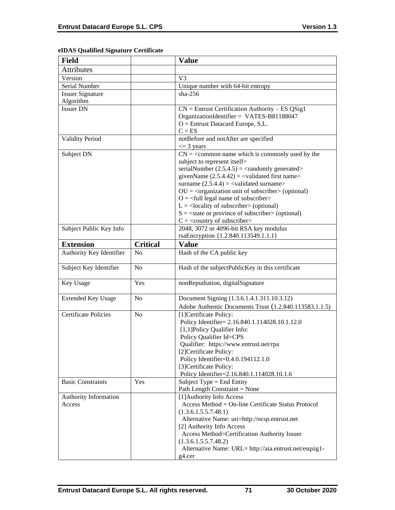|  |  | eIDAS Qualified Signature Certificate |
|--|--|---------------------------------------|
|--|--|---------------------------------------|

| <b>Field</b>                |                 | <b>Value</b>                                                                                             |
|-----------------------------|-----------------|----------------------------------------------------------------------------------------------------------|
| <b>Attributes</b>           |                 |                                                                                                          |
| Version                     |                 | V <sub>3</sub>                                                                                           |
| Serial Number               |                 | Unique number with 64-bit entropy                                                                        |
| <b>Issuer Signature</b>     |                 | $sha-256$                                                                                                |
| Algorithm                   |                 |                                                                                                          |
| <b>Issuer DN</b>            |                 | $CN =$ Entrust Certification Authority – ES QSig1                                                        |
|                             |                 | OrganizationIdentifier = VATES-B81188047                                                                 |
|                             |                 | $O =$ Entrust Datacard Europe, S.L.                                                                      |
|                             |                 | $C = ES$                                                                                                 |
| <b>Validity Period</b>      |                 | notBefore and notAfter are specified                                                                     |
|                             |                 | $\leq$ 3 years                                                                                           |
| Subject DN                  |                 | $CN =$ < common name which is commonly used by the                                                       |
|                             |                 | subject to represent itself>                                                                             |
|                             |                 | serialNumber $(2.5.4.5) = \langle$ randomly generated>                                                   |
|                             |                 | givenName $(2.5.4.42) = \langle$ validated first name>                                                   |
|                             |                 | surname $(2.5.4.4) =$ <validated surname=""></validated>                                                 |
|                             |                 | $OU = corganization unit of subscripter > (optional)$                                                    |
|                             |                 | $Q = \text{full legal name of subscriber}$<br>$L =$ <locality of="" subscriber=""> (optional)</locality> |
|                             |                 | $S = \text{state}$ or province of subscriber > (optional)                                                |
|                             |                 | $C =$ < country of subscriber>                                                                           |
| Subject Public Key Info     |                 | 2048, 3072 or 4096-bit RSA key modulus                                                                   |
|                             |                 | rsaEncryption {1.2.840.113549.1.1.1}                                                                     |
| <b>Extension</b>            | <b>Critical</b> | <b>Value</b>                                                                                             |
| Authority Key Identifier    | No              | Hash of the CA public key                                                                                |
|                             |                 |                                                                                                          |
| Subject Key Identifier      | N <sub>o</sub>  | Hash of the subjectPublicKey in this certificate                                                         |
| Key Usage                   | Yes             | nonRepudiation, digitalSignature                                                                         |
| <b>Extended Key Usage</b>   | N <sub>o</sub>  | Document Signing (1.3.6.1.4.1.311.10.3.12)                                                               |
|                             |                 | Adobe Authentic Documents Trust (1.2.840.113583.1.1.5)                                                   |
| <b>Certificate Policies</b> | N <sub>o</sub>  | [1]Certificate Policy:                                                                                   |
|                             |                 | Policy Identifier= 2.16.840.1.114028.10.1.12.0                                                           |
|                             |                 | [1,1]Policy Qualifier Info:                                                                              |
|                             |                 | Policy Qualifier Id=CPS                                                                                  |
|                             |                 | Qualifier: https://www.entrust.net/rpa                                                                   |
|                             |                 | [2]Certificate Policy:                                                                                   |
|                             |                 | Policy Identifier=0.4.0.194112.1.0                                                                       |
|                             |                 | [3] Certificate Policy:                                                                                  |
|                             |                 | Policy Identifier=2.16.840.1.114028.10.1.6                                                               |
| <b>Basic Constraints</b>    | Yes             | Subject Type = End Entity<br>Path Length Constraint = None                                               |
| Authority Information       |                 | [1] Authority Info Access                                                                                |
| Access                      |                 | Access Method = On-line Certificate Status Protocol                                                      |
|                             |                 | (1.3.6.1.5.5.7.48.1)                                                                                     |
|                             |                 | Alternative Name: uri=http://ocsp.entrust.net                                                            |
|                             |                 | [2] Authority Info Access                                                                                |
|                             |                 | Access Method=Certification Authority Issuer                                                             |
|                             |                 | (1.3.6.1.5.5.7.48.2)                                                                                     |
|                             |                 | Alternative Name: URL= http://aia.entrust.net/esqsig1-                                                   |
|                             |                 | $g4.$ cer                                                                                                |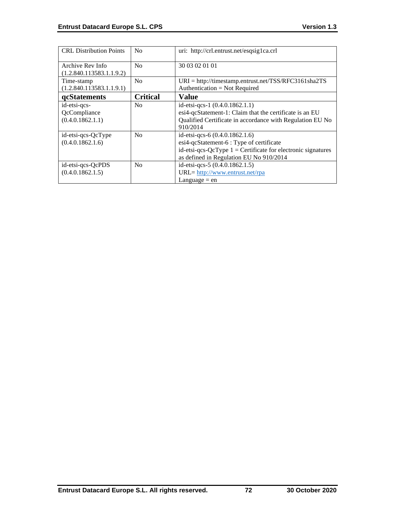| <b>CRL</b> Distribution Points                   | N <sub>0</sub>  | uri: http://crl.entrust.net/esqsig1ca.crl                                                                                                                                               |
|--------------------------------------------------|-----------------|-----------------------------------------------------------------------------------------------------------------------------------------------------------------------------------------|
| Archive Rev Info<br>(1.2.840.113583.1.1.9.2)     | N <sub>0</sub>  | 30 03 02 01 01                                                                                                                                                                          |
| Time-stamp<br>(1.2.840.113583.1.1.9.1)           | No              | $URI = \frac{http://timestamp.entrust.net/TSS/RFC3161sha2TS}{$<br>Authentication = Not Required                                                                                         |
| <b>gcStatements</b>                              | <b>Critical</b> | Value                                                                                                                                                                                   |
| id-etsi-qcs-<br>QcCompliance<br>(0.4.0.1862.1.1) | N <sub>0</sub>  | id-etsi-qcs-1 $(0.4.0.1862.1.1)$<br>esi4-qcStatement-1: Claim that the certificate is an EU<br>Qualified Certificate in accordance with Regulation EU No<br>910/2014                    |
| id-etsi-qcs-QcType<br>(0.4.0.1862.1.6)           | N <sub>0</sub>  | id-etsi-qcs-6 (0.4.0.1862.1.6)<br>esi4-qcStatement-6 : Type of certificate<br>id-etsi-qcs-QcType $1 =$ Certificate for electronic signatures<br>as defined in Regulation EU No 910/2014 |
| id-etsi-qcs-QcPDS<br>(0.4.0.1862.1.5)            | N <sub>0</sub>  | id-etsi-qcs-5 (0.4.0.1862.1.5)<br>URL= http://www.entrust.net/rpa<br>Language $=$ en                                                                                                    |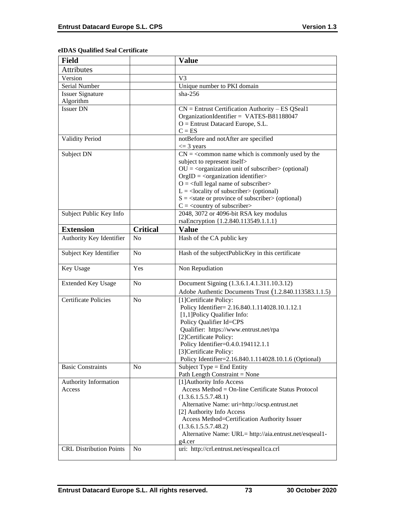| eIDAS Qualified Seal Certificate |  |
|----------------------------------|--|
|----------------------------------|--|

| <b>Field</b>                   |                 | <b>Value</b>                                                                       |
|--------------------------------|-----------------|------------------------------------------------------------------------------------|
| <b>Attributes</b>              |                 |                                                                                    |
| Version                        |                 | V <sub>3</sub>                                                                     |
| Serial Number                  |                 | Unique number to PKI domain                                                        |
| <b>Issuer Signature</b>        |                 | $sha-256$                                                                          |
| Algorithm                      |                 |                                                                                    |
| <b>Issuer DN</b>               |                 | $CN =$ Entrust Certification Authority – ES QSeal1                                 |
|                                |                 | OrganizationIdentifier = VATES-B81188047                                           |
|                                |                 | O = Entrust Datacard Europe, S.L.                                                  |
|                                |                 | $C = ES$                                                                           |
| <b>Validity Period</b>         |                 | notBefore and notAfter are specified                                               |
|                                |                 | $\leq$ 3 years                                                                     |
| Subject DN                     |                 | $CN =$ < common name which is commonly used by the<br>subject to represent itself> |
|                                |                 | $OU = corganization unit of subscripter > (optional)$                              |
|                                |                 | $OrgID = <$ organization identifier>                                               |
|                                |                 | $O = \left\langle \text{full legal name of subscripter} \right\rangle$             |
|                                |                 | $L =$ <locality of="" subscriber=""> (optional)</locality>                         |
|                                |                 | $S = \text{state or province of subscriber} > \text{(optional)}$                   |
|                                |                 | $C = \langle$ country of subscriber>                                               |
| Subject Public Key Info        |                 | 2048, 3072 or 4096-bit RSA key modulus                                             |
|                                |                 | rsaEncryption {1.2.840.113549.1.1.1}                                               |
| <b>Extension</b>               | <b>Critical</b> | <b>Value</b>                                                                       |
| Authority Key Identifier       | N <sub>o</sub>  | Hash of the CA public key                                                          |
| Subject Key Identifier         | No              | Hash of the subjectPublicKey in this certificate                                   |
| Key Usage                      |                 |                                                                                    |
|                                | Yes             | Non Repudiation                                                                    |
|                                | N <sub>o</sub>  |                                                                                    |
| <b>Extended Key Usage</b>      |                 | Document Signing (1.3.6.1.4.1.311.10.3.12)                                         |
| <b>Certificate Policies</b>    | N <sub>o</sub>  | Adobe Authentic Documents Trust (1.2.840.113583.1.1.5)                             |
|                                |                 | [1] Certificate Policy:                                                            |
|                                |                 | Policy Identifier= 2.16.840.1.114028.10.1.12.1<br>[1,1]Policy Qualifier Info:      |
|                                |                 | Policy Qualifier Id=CPS                                                            |
|                                |                 | Qualifier: https://www.entrust.net/rpa                                             |
|                                |                 | [2]Certificate Policy:                                                             |
|                                |                 | Policy Identifier=0.4.0.194112.1.1                                                 |
|                                |                 | [3] Certificate Policy:                                                            |
|                                |                 | Policy Identifier=2.16.840.1.114028.10.1.6 (Optional)                              |
| <b>Basic Constraints</b>       | N <sub>0</sub>  | Subject Type = End Entity                                                          |
|                                |                 | Path Length Constraint = None                                                      |
| Authority Information          |                 | [1] Authority Info Access                                                          |
| Access                         |                 | Access Method = On-line Certificate Status Protocol                                |
|                                |                 | (1.3.6.1.5.5.7.48.1)                                                               |
|                                |                 | Alternative Name: uri=http://ocsp.entrust.net<br>[2] Authority Info Access         |
|                                |                 | Access Method=Certification Authority Issuer                                       |
|                                |                 | (1.3.6.1.5.5.7.48.2)                                                               |
|                                |                 | Alternative Name: URL= http://aia.entrust.net/esqseal1-                            |
| <b>CRL Distribution Points</b> | N <sub>o</sub>  | g4.cer<br>uri: http://crl.entrust.net/esqseal1ca.crl                               |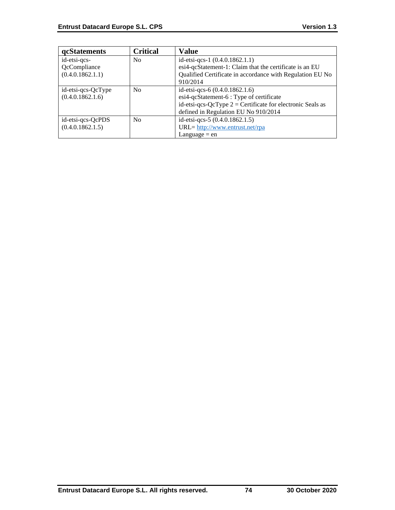| qcStatements       | Critical       | Value                                                        |
|--------------------|----------------|--------------------------------------------------------------|
| id-etsi-qcs-       | N <sub>0</sub> | id-etsi-qcs-1 $(0.4.0.1862.1.1)$                             |
| QcCompliance       |                | esi4-qcStatement-1: Claim that the certificate is an EU      |
| (0.4.0.1862.1.1)   |                | Qualified Certificate in accordance with Regulation EU No    |
|                    |                | 910/2014                                                     |
| id-etsi-qcs-QcType | N <sub>0</sub> | id-etsi-qcs-6 $(0.4.0.1862.1.6)$                             |
| (0.4.0.1862.1.6)   |                | esi4-qcStatement-6 : Type of certificate                     |
|                    |                | id-etsi-qcs-QcType $2$ = Certificate for electronic Seals as |
|                    |                | defined in Regulation EU No 910/2014                         |
| id-etsi-qcs-QcPDS  | No             | id-etsi-qcs-5 (0.4.0.1862.1.5)                               |
| (0.4.0.1862.1.5)   |                | URL= http://www.entrust.net/rpa                              |
|                    |                | Language $=$ en                                              |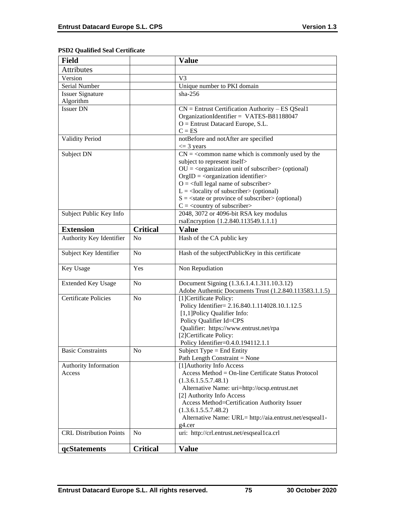# **PSD2 Qualified Seal Certificate**

| <b>Field</b>                   |                 | <b>Value</b>                                                                                                                                  |
|--------------------------------|-----------------|-----------------------------------------------------------------------------------------------------------------------------------------------|
| <b>Attributes</b>              |                 |                                                                                                                                               |
| Version                        |                 | V3                                                                                                                                            |
| Serial Number                  |                 | Unique number to PKI domain                                                                                                                   |
| <b>Issuer Signature</b>        |                 | $sha-256$                                                                                                                                     |
| Algorithm                      |                 |                                                                                                                                               |
| <b>Issuer DN</b>               |                 | $CN =$ Entrust Certification Authority – ES QSeal1                                                                                            |
|                                |                 | OrganizationIdentifier = VATES-B81188047                                                                                                      |
|                                |                 | $O =$ Entrust Datacard Europe, S.L.                                                                                                           |
|                                |                 | $C = ES$                                                                                                                                      |
| <b>Validity Period</b>         |                 | notBefore and notAfter are specified                                                                                                          |
|                                |                 | $\leq$ 3 years                                                                                                                                |
| Subject DN                     |                 | $CN =$ < common name which is commonly used by the                                                                                            |
|                                |                 | subject to represent itself>                                                                                                                  |
|                                |                 | $OU = corganization unit of subscripter > (optional)$                                                                                         |
|                                |                 | $OrgID = <$ organization identifier>                                                                                                          |
|                                |                 | $O = \left\langle \text{full legal name of subscripter} \right\rangle$                                                                        |
|                                |                 | $L =$ <locality of="" subscriber=""> (optional)<br/><math>S = \text{state or province of subscriber} &gt; \text{(optional)}</math></locality> |
|                                |                 | $C = \langle$ country of subscriber>                                                                                                          |
| Subject Public Key Info        |                 | 2048, 3072 or 4096-bit RSA key modulus                                                                                                        |
|                                |                 | rsaEncryption {1.2.840.113549.1.1.1}                                                                                                          |
| <b>Extension</b>               | <b>Critical</b> | <b>Value</b>                                                                                                                                  |
|                                | N <sub>o</sub>  |                                                                                                                                               |
| Authority Key Identifier       |                 | Hash of the CA public key                                                                                                                     |
| Subject Key Identifier         | No              | Hash of the subjectPublicKey in this certificate                                                                                              |
| Key Usage                      | Yes             | Non Repudiation                                                                                                                               |
| <b>Extended Key Usage</b>      | N <sub>0</sub>  | Document Signing (1.3.6.1.4.1.311.10.3.12)                                                                                                    |
|                                |                 | Adobe Authentic Documents Trust (1.2.840.113583.1.1.5)                                                                                        |
| <b>Certificate Policies</b>    | N <sub>o</sub>  | [1] Certificate Policy:                                                                                                                       |
|                                |                 | Policy Identifier= 2.16.840.1.114028.10.1.12.5                                                                                                |
|                                |                 | [1,1]Policy Qualifier Info:                                                                                                                   |
|                                |                 | Policy Qualifier Id=CPS                                                                                                                       |
|                                |                 | Qualifier: https://www.entrust.net/rpa                                                                                                        |
|                                |                 | [2]Certificate Policy:<br>Policy Identifier=0.4.0.194112.1.1                                                                                  |
| <b>Basic Constraints</b>       | N <sub>0</sub>  | Subject Type = End Entity                                                                                                                     |
|                                |                 | Path Length Constraint = None                                                                                                                 |
| Authority Information          |                 | [1] Authority Info Access                                                                                                                     |
| Access                         |                 | Access Method = On-line Certificate Status Protocol                                                                                           |
|                                |                 | (1.3.6.1.5.5.7.48.1)                                                                                                                          |
|                                |                 | Alternative Name: uri=http://ocsp.entrust.net                                                                                                 |
|                                |                 | [2] Authority Info Access                                                                                                                     |
|                                |                 | Access Method=Certification Authority Issuer                                                                                                  |
|                                |                 | (1.3.6.1.5.5.7.48.2)                                                                                                                          |
|                                |                 | Alternative Name: URL= http://aia.entrust.net/esqseal1-                                                                                       |
|                                |                 | $g4.$ cer                                                                                                                                     |
| <b>CRL</b> Distribution Points | N <sub>0</sub>  | uri: http://crl.entrust.net/esqseal1ca.crl                                                                                                    |
| qcStatements                   | <b>Critical</b> | <b>Value</b>                                                                                                                                  |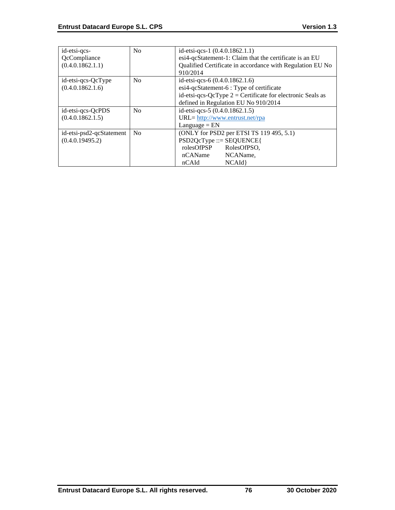| id-etsi-qcs-             | No             | id-etsi-qcs-1 (0.4.0.1862.1.1)                               |
|--------------------------|----------------|--------------------------------------------------------------|
| QcCompliance             |                | esi4-qcStatement-1: Claim that the certificate is an EU      |
| (0.4.0.1862.1.1)         |                | Qualified Certificate in accordance with Regulation EU No    |
|                          |                | 910/2014                                                     |
| id-etsi-qcs-QcType       | No             | id-etsi-qcs-6 (0.4.0.1862.1.6)                               |
| (0.4.0.1862.1.6)         |                | esi4-qcStatement-6 : Type of certificate                     |
|                          |                | id-etsi-qcs-QcType $2 =$ Certificate for electronic Seals as |
|                          |                | defined in Regulation EU No 910/2014                         |
| id-etsi-qcs-QcPDS        | No             | id-etsi-qcs-5 (0.4.0.1862.1.5)                               |
| (0.4.0.1862.1.5)         |                | URL= http://www.entrust.net/rpa                              |
|                          |                | $L$ anguage = $EN$                                           |
| id-etsi-psd2-qcStatement | N <sub>0</sub> | (ONLY for PSD2 per ETSI TS 119 495, 5.1)                     |
| (0.4.0.19495.2)          |                | $PSD2QcType ::= SEQUENCE$                                    |
|                          |                | rolesOfPSP<br>RolesOfPSO,                                    |
|                          |                | nCAName<br>NCAName,                                          |
|                          |                | NCAId<br>nCAId                                               |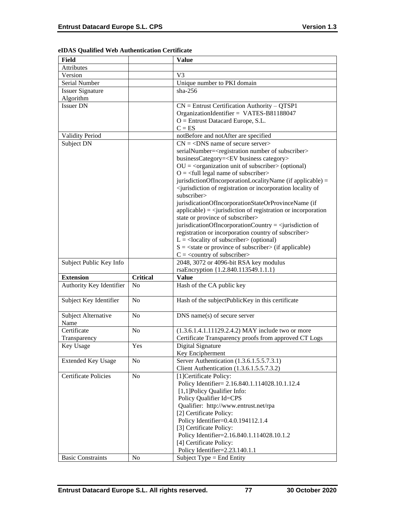| Field                       |                 | <b>Value</b>                                                                                        |
|-----------------------------|-----------------|-----------------------------------------------------------------------------------------------------|
| Attributes                  |                 |                                                                                                     |
| Version                     |                 | V <sub>3</sub>                                                                                      |
| Serial Number               |                 | Unique number to PKI domain                                                                         |
| <b>Issuer Signature</b>     |                 | $sha-256$                                                                                           |
| Algorithm                   |                 |                                                                                                     |
| <b>Issuer DN</b>            |                 | $CN =$ Entrust Certification Authority – QTSP1                                                      |
|                             |                 | OrganizationIdentifier = VATES-B81188047                                                            |
|                             |                 | $O =$ Entrust Datacard Europe, S.L.                                                                 |
|                             |                 | $C = ES$                                                                                            |
| <b>Validity Period</b>      |                 | notBefore and notAfter are specified                                                                |
| Subject DN                  |                 | $CN = <$ DNS name of secure server>                                                                 |
|                             |                 | serialNumber= <registration number="" of="" subscriber=""></registration>                           |
|                             |                 | businessCategory= <ev business="" category=""></ev>                                                 |
|                             |                 | $OU = coequation unit of subscripter > (optional)$                                                  |
|                             |                 | $O = \frac{1}{2}$ legal name of subscriber                                                          |
|                             |                 | jurisdictionOfIncorporationLocalityName (if applicable) =                                           |
|                             |                 | <jurisdiction incorporation="" locality="" of="" of<="" or="" registration="" td=""></jurisdiction> |
|                             |                 | subscriber>                                                                                         |
|                             |                 | jurisdicationOfIncorporationStateOrProvinceName (if                                                 |
|                             |                 | $applicable) = \langle$ jurisdiction of registration or incorporation                               |
|                             |                 | state or province of subscriber>                                                                    |
|                             |                 | jurisdicationOfIncorporationCountry = $\le$ jurisdiction of                                         |
|                             |                 | registration or incorporation country of subscriber>                                                |
|                             |                 | $L =$ <locality of="" subscriber=""> (optional)</locality>                                          |
|                             |                 | $S = \text{state}$ or province of subscriber > (if applicable)                                      |
|                             |                 | $C = \langle$ country of subscriber>                                                                |
| Subject Public Key Info     |                 | 2048, 3072 or 4096-bit RSA key modulus                                                              |
|                             |                 | rsaEncryption {1.2.840.113549.1.1.1}                                                                |
| <b>Extension</b>            | <b>Critical</b> | <b>Value</b>                                                                                        |
| Authority Key Identifier    | N <sub>o</sub>  | Hash of the CA public key                                                                           |
|                             |                 |                                                                                                     |
| Subject Key Identifier      | N <sub>o</sub>  | Hash of the subjectPublicKey in this certificate                                                    |
|                             |                 |                                                                                                     |
|                             |                 |                                                                                                     |
| Subject Alternative         | N <sub>o</sub>  | $DNS$ name(s) of secure server                                                                      |
| Name                        |                 |                                                                                                     |
| Certificate                 | N <sub>o</sub>  | (1.3.6.1.4.1.11129.2.4.2) MAY include two or more                                                   |
| Transparency                |                 | Certificate Transparency proofs from approved CT Logs                                               |
| Key Usage                   | Yes             | Digital Signature                                                                                   |
|                             |                 | Key Encipherment                                                                                    |
| <b>Extended Key Usage</b>   | No              | Server Authentication (1.3.6.1.5.5.7.3.1)                                                           |
|                             |                 | Client Authentication (1.3.6.1.5.5.7.3.2)                                                           |
| <b>Certificate Policies</b> | No              | [1] Certificate Policy:                                                                             |
|                             |                 | Policy Identifier= 2.16.840.1.114028.10.1.12.4                                                      |
|                             |                 | [1,1] Policy Qualifier Info:                                                                        |
|                             |                 | Policy Qualifier Id=CPS                                                                             |
|                             |                 | Qualifier: http://www.entrust.net/rpa                                                               |
|                             |                 | [2] Certificate Policy:                                                                             |
|                             |                 | Policy Identifier=0.4.0.194112.1.4                                                                  |
|                             |                 | [3] Certificate Policy:                                                                             |
|                             |                 | Policy Identifier=2.16.840.1.114028.10.1.2                                                          |
|                             |                 | [4] Certificate Policy:                                                                             |
| <b>Basic Constraints</b>    | N <sub>0</sub>  | Policy Identifier=2.23.140.1.1<br>Subject Type = End Entity                                         |

## **eIDAS Qualified Web Authentication Certificate**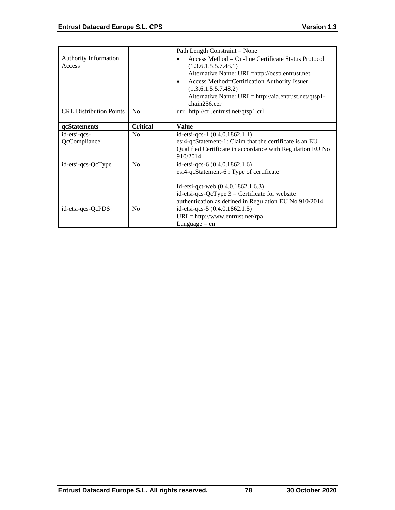|                                |                 | Path Length Constraint = None                             |
|--------------------------------|-----------------|-----------------------------------------------------------|
| <b>Authority Information</b>   |                 | Access Method = $On$ -line Certificate Status Protocol    |
| Access                         |                 | (1.3.6.1.5.5.7.48.1)                                      |
|                                |                 | Alternative Name: URL=http://ocsp.entrust.net             |
|                                |                 | Access Method=Certification Authority Issuer<br>٠         |
|                                |                 | (1.3.6.1.5.5.7.48.2)                                      |
|                                |                 | Alternative Name: URL= http://aia.entrust.net/qtsp1-      |
|                                |                 | chain256.cer                                              |
| <b>CRL Distribution Points</b> | N <sub>o</sub>  | uri: http://crl.entrust.net/qtsp1.crl                     |
|                                |                 |                                                           |
| qcStatements                   | <b>Critical</b> | <b>Value</b>                                              |
| id-etsi-qcs-                   | No              | id-etsi-qcs-1 $(0.4.0.1862.1.1)$                          |
| QcCompliance                   |                 | esi4-qcStatement-1: Claim that the certificate is an EU   |
|                                |                 | Qualified Certificate in accordance with Regulation EU No |
|                                |                 | 910/2014                                                  |
| id-etsi-qcs-QcType             | No              | id-etsi-qcs-6 (0.4.0.1862.1.6)                            |
|                                |                 | esi4-qcStatement-6 : Type of certificate                  |
|                                |                 |                                                           |
|                                |                 | Id-etsi-qct-web $(0.4.0.1862.1.6.3)$                      |
|                                |                 | id-etsi-qcs-QcType $3$ = Certificate for website          |
|                                |                 | authentication as defined in Regulation EU No 910/2014    |
| id-etsi-qcs-QcPDS              |                 |                                                           |
|                                | No              | id-etsi-qcs-5 (0.4.0.1862.1.5)                            |
|                                |                 | URL= http://www.entrust.net/rpa                           |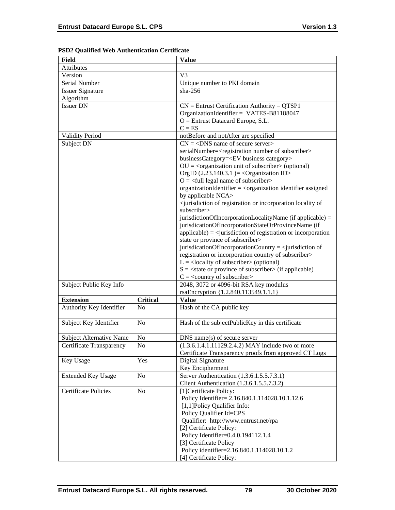| Field                       |                 | <b>Value</b>                                                                                        |
|-----------------------------|-----------------|-----------------------------------------------------------------------------------------------------|
| Attributes                  |                 |                                                                                                     |
| Version                     |                 | V <sub>3</sub>                                                                                      |
| Serial Number               |                 | Unique number to PKI domain                                                                         |
| <b>Issuer Signature</b>     |                 | $sha-256$                                                                                           |
| Algorithm                   |                 |                                                                                                     |
| <b>Issuer DN</b>            |                 | $CN =$ Entrust Certification Authority – QTSP1                                                      |
|                             |                 | OrganizationIdentifier = VATES-B81188047                                                            |
|                             |                 | $O =$ Entrust Datacard Europe, S.L.                                                                 |
|                             |                 | $C = ES$                                                                                            |
| <b>Validity Period</b>      |                 | notBefore and notAfter are specified                                                                |
| Subject DN                  |                 | $CN = <$ DNS name of secure server>                                                                 |
|                             |                 | serialNumber= <registration number="" of="" subscriber=""></registration>                           |
|                             |                 | businessCategory= <ev business="" category=""></ev>                                                 |
|                             |                 | $OU = corganization unit of subscripter > (optional)$                                               |
|                             |                 | OrgID $(2.23.140.3.1)$ = < Organization ID>                                                         |
|                             |                 | $O = \frac{1}{2}$ legal name of subscriber                                                          |
|                             |                 | organizationIdentifier = $\langle$ organization identifier assigned                                 |
|                             |                 | by applicable NCA>                                                                                  |
|                             |                 | <jurisdiction incorporation="" locality="" of="" of<="" or="" registration="" td=""></jurisdiction> |
|                             |                 | subscriber>                                                                                         |
|                             |                 | jurisdictionOfIncorporationLocalityName (if applicable) =                                           |
|                             |                 | jurisdicationOfIncorporationStateOrProvinceName (if                                                 |
|                             |                 | $applicable) = \langle$ invisible in of registration or incorporation                               |
|                             |                 | state or province of subscriber>                                                                    |
|                             |                 | jurisdicationOfIncorporationCountry = $\le$ jurisdiction of                                         |
|                             |                 | registration or incorporation country of subscriber>                                                |
|                             |                 | $L =$ <locality of="" subscriber=""> (optional)</locality>                                          |
|                             |                 | $S = \text{state}$ or province of subscriber $\text{in}$ (if applicable)                            |
|                             |                 | $C = \langle$ country of subscriber>                                                                |
| Subject Public Key Info     |                 | 2048, 3072 or 4096-bit RSA key modulus                                                              |
|                             |                 | rsaEncryption {1.2.840.113549.1.1.1}                                                                |
| <b>Extension</b>            | <b>Critical</b> | <b>Value</b>                                                                                        |
| Authority Key Identifier    | No              | Hash of the CA public key                                                                           |
|                             |                 |                                                                                                     |
| Subject Key Identifier      | N <sub>o</sub>  | Hash of the subjectPublicKey in this certificate                                                    |
|                             |                 |                                                                                                     |
| Subject Alternative Name    | N <sub>o</sub>  | $DNS$ name(s) of secure server                                                                      |
| Certificate Transparency    | No              | (1.3.6.1.4.1.11129.2.4.2) MAY include two or more                                                   |
|                             |                 | Certificate Transparency proofs from approved CT Logs                                               |
| Key Usage                   | Yes             | Digital Signature                                                                                   |
|                             |                 | Key Encipherment                                                                                    |
| <b>Extended Key Usage</b>   | N <sub>0</sub>  | Server Authentication (1.3.6.1.5.5.7.3.1)                                                           |
|                             |                 | Client Authentication (1.3.6.1.5.5.7.3.2)                                                           |
| <b>Certificate Policies</b> | No              | [1] Certificate Policy:                                                                             |
|                             |                 | Policy Identifier= 2.16.840.1.114028.10.1.12.6                                                      |
|                             |                 | [1,1]Policy Qualifier Info:                                                                         |
|                             |                 | Policy Qualifier Id=CPS                                                                             |
|                             |                 | Qualifier: http://www.entrust.net/rpa                                                               |
|                             |                 | [2] Certificate Policy:                                                                             |
|                             |                 | Policy Identifier=0.4.0.194112.1.4                                                                  |
|                             |                 | [3] Certificate Policy                                                                              |
|                             |                 | Policy identifier=2.16.840.1.114028.10.1.2                                                          |
|                             |                 | [4] Certificate Policy:                                                                             |

## **PSD2 Qualified Web Authentication Certificate**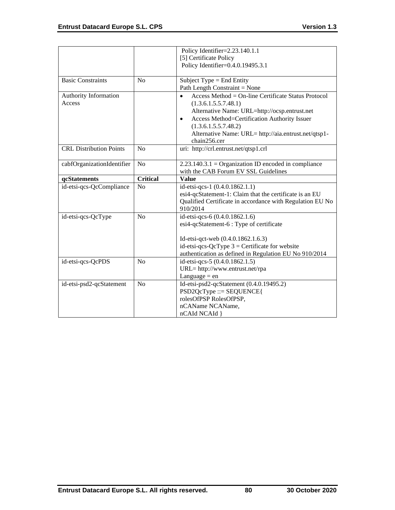|                                 |                 | Policy Identifier=2.23.140.1.1                                              |
|---------------------------------|-----------------|-----------------------------------------------------------------------------|
|                                 |                 | [5] Certificate Policy                                                      |
|                                 |                 | Policy Identifier=0.4.0.19495.3.1                                           |
| <b>Basic Constraints</b>        | N <sub>0</sub>  | Subject Type $=$ End Entity                                                 |
|                                 |                 | Path Length Constraint = None                                               |
| Authority Information<br>Access |                 | Access Method = On-line Certificate Status Protocol<br>(1.3.6.1.5.5.7.48.1) |
|                                 |                 | Alternative Name: URL=http://ocsp.entrust.net                               |
|                                 |                 | Access Method=Certification Authority Issuer<br>$\bullet$                   |
|                                 |                 | (1.3.6.1.5.5.7.48.2)                                                        |
|                                 |                 | Alternative Name: URL= http://aia.entrust.net/qtsp1-                        |
|                                 |                 | chain256.cer                                                                |
| <b>CRL Distribution Points</b>  | N <sub>0</sub>  | uri: http://crl.entrust.net/qtsp1.crl                                       |
| cabfOrganizationIdentifier      | No              | $2.23.140.3.1 =$ Organization ID encoded in compliance                      |
|                                 |                 | with the CAB Forum EV SSL Guidelines                                        |
| qcStatements                    | <b>Critical</b> | <b>Value</b>                                                                |
| id-etsi-qcs-QcCompliance        | N <sub>o</sub>  | id-etsi-qcs-1 (0.4.0.1862.1.1)                                              |
|                                 |                 | esi4-qcStatement-1: Claim that the certificate is an EU                     |
|                                 |                 | Qualified Certificate in accordance with Regulation EU No<br>910/2014       |
| id-etsi-qcs-QcType              | No              | id-etsi-qcs-6 (0.4.0.1862.1.6)                                              |
|                                 |                 | esi4-qcStatement-6 : Type of certificate                                    |
|                                 |                 |                                                                             |
|                                 |                 | Id-etsi-qct-web (0.4.0.1862.1.6.3)                                          |
|                                 |                 | id-etsi-qcs-QcType $3$ = Certificate for website                            |
|                                 |                 | authentication as defined in Regulation EU No 910/2014                      |
| id-etsi-qcs-QcPDS               | N <sub>o</sub>  | id-etsi-qcs-5 (0.4.0.1862.1.5)                                              |
|                                 |                 | URL= http://www.entrust.net/rpa                                             |
|                                 |                 | Language $=$ en                                                             |
| id-etsi-psd2-qcStatement        | N <sub>o</sub>  | Id-etsi-psd2-qcStatement (0.4.0.19495.2)                                    |
|                                 |                 | $PSD2QcType ::= SEQUENCE$                                                   |
|                                 |                 | rolesOfPSP RolesOfPSP,                                                      |
|                                 |                 | nCAName NCAName,<br>nCAId NCAId }                                           |
|                                 |                 |                                                                             |